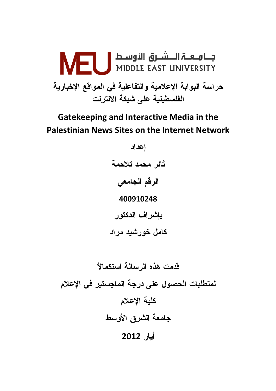

# **Gatekeeping and Interactive Media in the Palestinian News Sites on the Internet Network**

اعداد ثائر محمد تلاحمة الرقم الجامعي 400910248 بإشراف الدكتور كامل خورشيد مراد

قدمت هذه الرسالة استكمالاً لمتطلبات الحصول على درجة الماجستير فى الإعلام كلية الإعلام جامعة الشرق الأوسط أيار 2012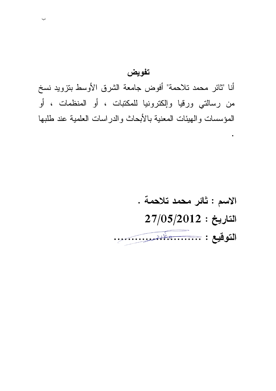# تفويض

أنا "ثائر محمد تلاحمة" أفوض جامعة الشرق الأوسط بنزويد نسخ من رسالتي ورقيا وإلكترونيا للمكتبات ، أو المنظمات ، أو المؤسسات والهيئات المعنية بالأبحاث والدراسات العلمية عند طلبها

# الاسم : ثائر محمد تلاحمة .  $27/05/2012:$ التاريخ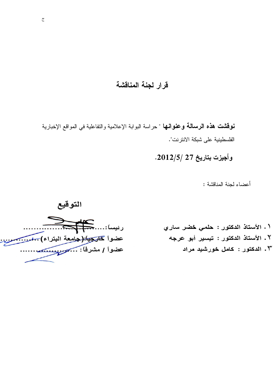# قرار لجنة المناقشة

نوقشت هذه الرسالة وعنوانها " حراسة البوابة الإعلامية والتفاعلية في المواقع الإخبارية الفلسطينية على شبكة الانتر نت".

وأجيزت بتاريخ 27 /2012/5.

أعضاء لجنة المناقشة :



١. الأستاذ الدكتور : حلمي خضر ساري ٢. الأستاذ الدكتور : تيسير أبو عرجه ٢. الدكتور : كامل خورشيد مراد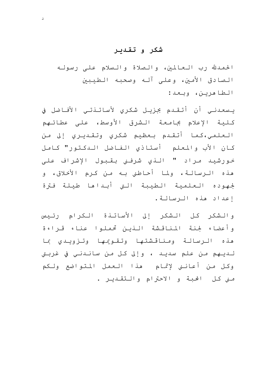## شکر و تقدیر

 $\Delta$ 

الحمدلله رب العالمين، والصلاة والسلام على رسوله الصادق الأمين، وعلى آلـه وصحبـه الطيبين الطاهرين، وبعد:

يـسعـدنـى أن أتـقـدم بجزيـل شكرى لأساتـذتـى الأفـاضل في كلية الإعلام بجامعة الشرق الأوسط، على عطائـهم الـعلمـي،كـمـا أتـقـدم بـعظيم شكري وتـقـديـري إلى مـن كان الأب والمعلم أستاذي الفاضل البكتور" كامل خورشيد مراد " النو شرفني بقبول الإشراف على هذه الـرسالـة، ولما أحـاطني بـه مـن كـرم الأخـلاق، و لجهوده العلمية الطيبة التي أبىداها طيلة فترة إعداد هذه الرسالة.

والشكر كل الشكر إلى الأساتذة الكرام رئيس وأعضاء لجنة المناقشة النين تحملوا عناء قراءة هذه الرسالة ومناقشتها وتقويمها وتزويدى بما لـديـهم مـن علم سديـد ، وإلى كـل مـن سانـدنـي في غربـتي وكل من أعانني لإتمام هذا العمل المتواضع ولكم منى كل الحبة و الاحترام والتقديـر .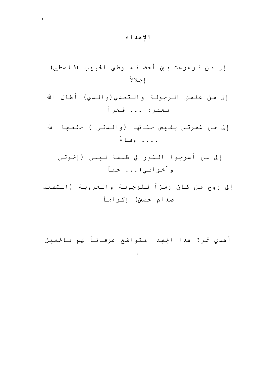# الإهداء

 $\sim$ 

إلى من غمرتني بفيض حنانها (والدتي ) حفظها الله . . . . . وفاءً

إلى من أسرجوا النور في ظلمة ليلي (إخوتي وأخواتي)... حبأ

إلى روح من كان رمزاً للرجولة والعروبة (الشهيد صدام حسين) إكراماً

أهدي ثمرة هذا الجهد المتواضع عرفاناً لهم بالجميل

 $\sim 100$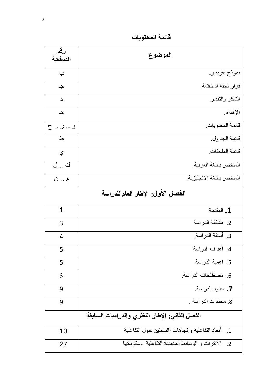قائمة المحتويات

| رقم<br>الصفحة                     | الموضوع                                                                         |  |  |  |
|-----------------------------------|---------------------------------------------------------------------------------|--|--|--|
| $\overline{\phantom{0}}$          | نموذج تفويض                                                                     |  |  |  |
| $\rightarrow$                     | قرار لجنة المناقشة.                                                             |  |  |  |
| د                                 | الشكر والتقدير                                                                  |  |  |  |
| هـ                                | الإهداء                                                                         |  |  |  |
| و  ز  ح                           | قائمة المحتويات.                                                                |  |  |  |
| ط                                 | قائمة الجداول.                                                                  |  |  |  |
| ي                                 | قائمة الملحقات                                                                  |  |  |  |
| ك  ل                              | الملخص باللغة العربية                                                           |  |  |  |
| م  ن                              | الملخص باللغة الانجليزية                                                        |  |  |  |
| الفصل الأول: الإطار العام للدراسة |                                                                                 |  |  |  |
| $\mathbf{1}$                      | 1. المقدمة                                                                      |  |  |  |
| 3                                 | 2. مشكلة الدراسة                                                                |  |  |  |
| $\overline{4}$                    | 3. أسئلة الدراسة.                                                               |  |  |  |
| 5                                 | 4. أهداف الدراسة.                                                               |  |  |  |
| 5                                 | 5. أهمية الدراسة.                                                               |  |  |  |
| 6                                 | 6. مصطلحات الدراسة.                                                             |  |  |  |
| 9                                 | 7. حدود الدراسة.                                                                |  |  |  |
| 9                                 | 8. محددات الدر اسة .                                                            |  |  |  |
|                                   | الفصل الثانى: الإطار النظري والدراسات السابقة                                   |  |  |  |
| 10                                | أبعاد التفاعلية وإنجاهات االباحثين حول التفاعلية<br>$\overline{\phantom{0}}$ .1 |  |  |  |
| 27                                | الانترنت و الوسائط المتعددة التفاعلية ومكوناتها<br>$\cdot$ .2                   |  |  |  |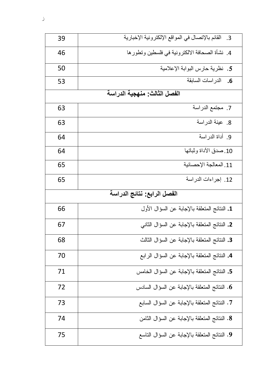| 39                           | القائم بالإتصال في المواقع الإلكترونية الإخبارية<br>.3 |  |  |  |
|------------------------------|--------------------------------------------------------|--|--|--|
| 46                           | 4. نشأة الصحافة الالكترونية في فلسطين وتطور ها         |  |  |  |
| 50                           | 5. نظرية حارس البوابة الإعلامية                        |  |  |  |
| 53                           | الدر اسات السابقة<br>.6                                |  |  |  |
| الفصل الثالث: منهجية الدراسة |                                                        |  |  |  |
| 63                           | 7. مجتمع الدراسة                                       |  |  |  |
| 63                           | 8. عينة الدراسة                                        |  |  |  |
| 64                           | 9. أداة الدر اسة                                       |  |  |  |
| 64                           | 10 صدق الأداة وثباتها                                  |  |  |  |
| 65                           | 11. المعالجة الإحصائية                                 |  |  |  |
| 65                           | 12. إجراءات الدراسة                                    |  |  |  |
|                              | الفصل الرابع: نتائج الدراسة                            |  |  |  |
| 66                           | 1. النتائج المتعلقة بالإجابة عن السؤال الأول           |  |  |  |
| 67                           | 2. النتائج المتعلقة بالإجابة عن السؤال الثاني          |  |  |  |
| 68                           | 3. النتائج المتعلقة بالإجابة عن السؤال الثالث          |  |  |  |
| 70                           |                                                        |  |  |  |
|                              | 4. النتائج المتعلقة بالإجابة عن السؤال الرابع          |  |  |  |
| 71                           | 5. النتائج المتعلقة بالإجابة عن السؤال الخامس          |  |  |  |
| 72                           | 6. النتائج المتعلقة بالإجابة عن السؤال السادس          |  |  |  |
| 73                           | 7. النتائج المتعلقة بالإجابة عن السؤال السابع          |  |  |  |
| 74                           | 8. النتائج المتعلقة بالإجابة عن السؤال الثامن          |  |  |  |

 $\mathcal{L}$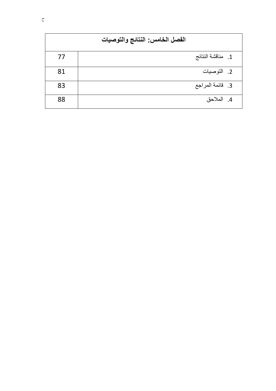| الفصل الخامس: النتائج والتوصيات |                   |  |  |  |  |
|---------------------------------|-------------------|--|--|--|--|
| 77                              | 1. مناقشة النتائج |  |  |  |  |
| 81                              | 2. التوصيات       |  |  |  |  |
| 83                              | 3. قائمة المراجع  |  |  |  |  |
| 88                              | 4. الملاحق        |  |  |  |  |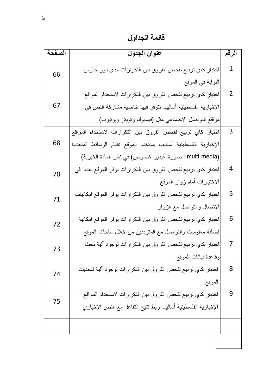فائمة الجداول

| الصفحة | عنوان الجدول                                                    |                |  |  |
|--------|-----------------------------------------------------------------|----------------|--|--|
| 66     | اختبار كاي نزبيع لفحص الفروق بين النكر ارات مدى دور حارس        | $\mathbf{1}$   |  |  |
|        | البوابة في الموقع                                               |                |  |  |
|        | اختبار كاي نزبيع لفحص الفروق بين النكر ارات لاستخدام المواقع    | $\overline{2}$ |  |  |
| 67     | الإخبارية الفلسطينية أساليب نتوفر فيها خاصية مشاركة النص في     |                |  |  |
|        | مواقع النواصل الاجتماعي مثل (فيسبوك ونوينز ويونيوب)             |                |  |  |
|        | اختبار كاي تربيع لفحص الفروق بين النكرارات لاستخدام المواقع     | 3              |  |  |
| 68     | الإخبارية الفلسطينية أساليب يستخدم الموقع نظام الوسائط المتعددة |                |  |  |
|        | multi media) صورة ،فيديو ،نصوص) في نشر المادة الخبرية)          |                |  |  |
| 70     | اختبار كاي تربيع لفحص الفروق بين التكرارات يوفر الموقع تعددا في | 4              |  |  |
|        | الاختيارات أمام زوار الموقع                                     |                |  |  |
| 71     | اختبار كاي نزبيع لفحص الفروق بين النكرارات يوفر الموقع امكانيات | 5              |  |  |
|        | الاتصال والنواصل مع الزوار                                      |                |  |  |
| 72     | اختبار كاي نربيع لفحص الفروق بين النكر ارات يوفر الموقع امكانية | 6              |  |  |
|        | إضافة معلومات والنواصل مع المترددين من خلال ساحات الموقع        |                |  |  |
| 73     | اختبار كاي نزبيع لفحص الفروق بين النكرارات لوجود ألية بحث       | 7              |  |  |
|        | وقاعدة بيانات للموقع                                            |                |  |  |
| 74     | اختبار كاي تربيع لفحص الفروق بين التكرارات لوجود ألية لتحديث    | 8              |  |  |
|        | الموقع                                                          |                |  |  |
| 75     | اختبار كاي نربيع لفحص الفروق بين النكر ارات لاستخدام المواقع    | 9              |  |  |
|        | الإخبارية الفلسطينية أساليب ربط نتيح النفاعل مع النص الإخباري   |                |  |  |
|        |                                                                 |                |  |  |
|        |                                                                 |                |  |  |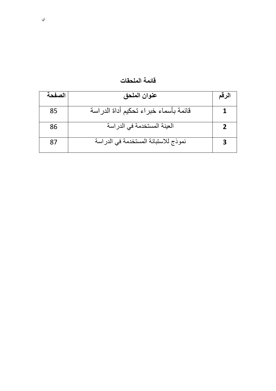| الصفحة | عنوان الملحق                          | الرقم          |
|--------|---------------------------------------|----------------|
| 85     | قائمة بأسماء خبراء تحكيم أداة الدراسة |                |
| 86     | العينة المستخدمة في الدراسة           | $\overline{2}$ |
| 87     | نموذج للاستبانة المستخدمة في الدراسة  | 3              |

قائمة الملحقات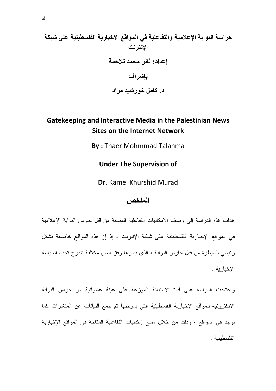# حراسة البوابة الإعلامية والتفاعلية في المواقع الاخبارية الفلسطينية على شبكة الإنترنت إعداد: ثائر محمد تلاحمة باشراف د. کامل خورشید مراد

# Gatekeeping and Interactive Media in the Palestinian News **Sites on the Internet Network**

**By: Thaer Mohmmad Talahma** 

**Under The Supervision of** 

Dr. Kamel Khurshid Murad

#### الملخص

هدفت هذه الدراسة إلى وصف الامكانيات التفاعلية المتاحة من قبل حارس البوابة الإعلامية في المواقع الإخبارية الفلسطينية على شبكة الإنترنت ، إذ إن هذه المواقع خاضعة بشكل رئيسي للسيطرة من قبل حارس البوابة ، الذي يدير ها وفق أسس مختلفة نتدرج تحت السياسة الإخبار ية .

واعتمدت الدراسة على أداة الاستبانة الموزعة على عينة عشوائية من حراس البوابة الالكترونية للمواقع الإخبارية الفلسطينية التي بموجبها تم جمع البيانات عن المتغيرات كما توجد في المواقع ، وذلك من خلال مسح إمكانيات التفاعلية المتاحة في المواقع الإخبارية الفلسطينية .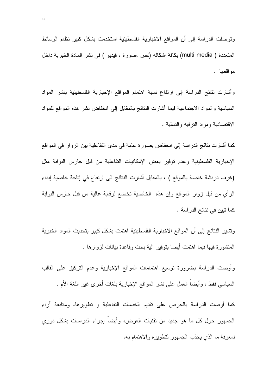وتوصلت الدراسة إلى أن المواقع الاخبارية الفلسطينية استخدمت بشكل كبير نظام الوسائط المتعددة ( multi media) بكافة اشكاله (نص ،صورة ، فيديو ) في نشر المادة الخبرية داخل مواقعها .

وأشارت نتائج الدراسة إلى ارتفاع نسبة اهتمام المواقع الإخبارية الفلسطينية بنشر المواد السياسية والمواد الاجتماعية فيما أشارت النتائج بالمقابل إلىي انخفاض نشر هذه المواقع للمواد الاقتصادية ومواد النرفيه والتسلية .

كما أشارت نتائج الدراسة إلى انخفاض بصورة عامة في مدى النفاعلية بين الزوار في المواقع الإخبارية الفلسطينية وعدم توفير بعض الإمكانيات التفاعلية من قبل حارس البوابة مثل (غرف دردشة خاصة بالموقع ) ، بالمقابل أشارت النتائج الى ارتفاع في إتاحة خاصية إبداء الرأي من قبل زوار المواقع وإن هذه الخاصية تخضع لرقابة عالية من قبل حارس البوابة كما نبين في نتائج الدراسة .

ونشير النتائج إلىي أن المواقع الاخبارية الفلسطينية اهتمت بشكل كبير بتحديث المواد الخبرية المنشورة فيها فيما اهتمت أيضا بتوفير آلية بحث وقاعدة بيانات لزوارها .

وأوصت الدراسة بضرورة نوسيع اهتمامات المواقع الإخبارية وعدم التركيز على القالب السياسي فقط ، وأيضاً العمل على نشر المواقع الإخبارية بلغات أخرى غير اللغة الأم .

كما أوصت الدراسة بالحرص على نقديم الخدمات النفاعلية و نطويرها، ومنابعة آراء الجمهور حول كل ما هو جديد من تقنيات العرض، وأيضاً إجراء الدراسات بشكل دوري لمعرفة ما الذي يجذب الجمهور لنطويره والاهتمام به.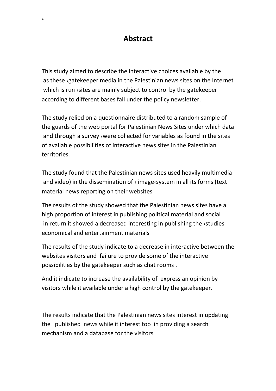# **Abstract**

This study aimed to describe the interactive choices available by the as these «gatekeeper media in the Palestinian news sites on the Internet which is run sites are mainly subject to control by the gatekeeper according to different bases fall under the policy newsletter.

The study relied on a questionnaire distributed to a random sample of the guards of the web portal for Palestinian News Sites under which data and through a survey were collected for variables as found in the sites of available possibilities of interactive news sites in the Palestinian territories.

The study found that the Palestinian news sites used heavily multimedia and video) in the dissemination of  $\epsilon$  image system in all its forms (text material news reporting on their websites

The results of the study showed that the Palestinian news sites have a high proportion of interest in publishing political material and social in return it showed a decreased interesting in publishing the  $\cdot$ studies economical and entertainment materials

The results of the study indicate to a decrease in interactive between the websites visitors and failure to provide some of the interactive possibilities by the gatekeeper such as chat rooms .

And it indicate to increase the availability of express an opinion by visitors while it available under a high control by the gatekeeper.

The results indicate that the Palestinian news sites interest in updating the published news while it interest too in providing a search mechanism and a database for the visitors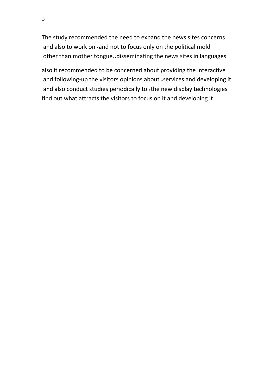The study recommended the need to expand the news sites concerns and also to work on cand not to focus only on the political mold other than mother tongue. disseminating the news sites in languages

also it recommended to be concerned about providing the interactive and following-up the visitors opinions about «services and developing it and also conduct studies periodically to the new display technologies find out what attracts the visitors to focus on it and developing it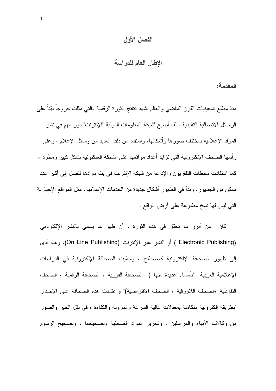#### الفصل الأول

الإطار العام للدراسة

المقدمة:

منذ مطلع تسعينيات القرن الماضبي والعالم يشهد نتائج الثورة الرقمية ،التبي مثلت خروجا بيّنا علمي الرسائل الاتصالية التقليدية . لقد أصبح لشبكة المعلومات الدولية "الإنترنت" دور مهم في نشر المواد الإعلامية بمختلف صورها وأشكالها، واستفاد من ذلك العديد من وسائل الإعلام ، وعلى ر أسها الصحف الإلكترونية التي تزايد أعداد مواقعها على الشبكة العنكبوتية بشكل كبير ومطرد ، كما استفادت محطات النلفزيون والإذاعة من شبكة الإنترنت في بث موادها لتصل إلى أكبر عدد ممكن من الجمهور . وبدأ في الظهور أشكال جديدة من الخدمات الإعلامية، مثل المواقع الإخبارية النبي ليس لها نسخ مطبوعة على أرض الواقع .

كان من أبرز ما تحقق في هذه الثورة ، أن ظهر ما يسمى بالنشر الإلكتروني (Electronic Publishing ) أو النشر عبر الإنترنت (On Line Publishing). وهذا أدى إلى ظهور الصحافة الإلكترونية كمصطلح ، وسمّيت الصحافة الإلكترونية في الدراسات الإعلامية العربية "بأسماء عديدة منها ( الصحافة الفورية ، الصحافة الرقمية ، الصحف التفاعلية ،الصحف اللاورقية ، الصحف الافتراضية)" واعتمدت هذه الصحافة على الإصدار "بطريقة الكترونية متكاملة بمعدلات عالية السرعة والمرونة والكفاءة ، في نقل الخبر والصور من وكالات الأنباء والمراسلين ، وتحرير المواد الصحفية وتصحيحها ، وتصحيح الرسوم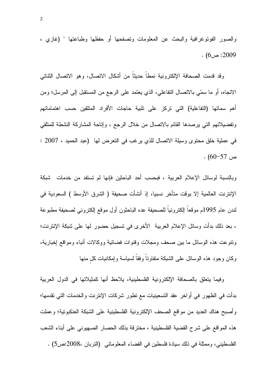والصور الفوتوغرافية والبحث عن المعلومات وتصفحها أو حفظها وطباعتها " (غازى ،  $(6) \rightarrow 2009$ 

وقد قدمت الصحافة الإلكترونية نمطاً حديثاً من أشكال الاتصال، وهو الاتصال الثنائي الانجاه، أو ما سمَّى بالانصال النفاعلي، الذي يعنِّمد على الرجع من المستقبل إلى المرسل؛ ومن أهم سماتها (التفاعلية) التي تركز على تلبية حاجات الأفراد المتلقين حسب اهتماماتهم ونفضيلاتهم التي يرصدها القائم بالاتصال من خلال الرجع ، وإتاحة المشاركة النشطة للمتلقى في عملية خلق محتوى وسيلة الاتصال للذي يرغب في التعرض لها (عبد الحميد ، 2007 :  $(60-57)$  مر

وبالنسبة لوسائل الإعلام العربية ، فبحسب أحد الباحثين فإنها لم تستفد من خدمات شبكة الإنترنت العالمية إلا بوقت متأخر نسبيا، إذ أنشأت صحيفة ( الشرق الأوسط ) السعودية في لندن عام 1995م موقعا الكترونيا للصحيفة عده الباحثون أول موقع الكتروني لصحيفة مطبوعة ، بعد ذلك بدأت وسائل الإعلام العربية الأخرى في تسجيل حضور لها على شبكة الإنترنت؛ ونتوعت هذه الوسائل ما ببين صحف ومجلات وقنوات فضائية ووكالات أنباء ومواقع إخبارية، وكان وجود هذه الوسائل على الشبكة متفاوناً وفقاً لسياسة وإمكانيات كل منها

وفيما يتعلق بالصحافة الإلكترونية الفلسطينية، يلاحظ أنها كمثيلاتها في الدول العربية بدأت في الظهور في أواخر عقد التسعينيات مع تطور شركات الإنترنت والخدمات التي تقدمها؛ وأصبح هناك العديد من مواقع الصحف الإلكترونية الفلسطينية على الشبكة العنكبونية؛ وعملت هذه المواقع على شرح القضية الفلسطينية ، مخترفة بذلك الحصار الصهيوني على أبناء الشعب الفلسطيني، وممثلة في ذلك سيادة فلسطين في الفضاء المعلوماتي (التربان ،2008:ص5) .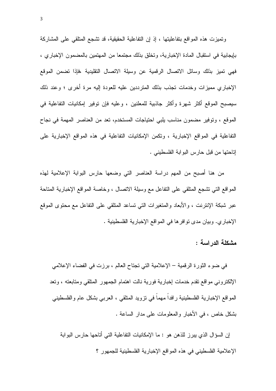وتميزت هذه المواقع بتفاعليتها ، إذ إن التفاعلية الحقيقية، قد تشجع المتلقى على المشاركة بإيجابية في استقبال المادة الإخبارية، وتخلق بذلك مجتمعا من المهتمين بالمضمون الإخباري ، فهي نميز بذلك وسائل الاتصال الرقمية عن وسيلة الاتصال التقليدية ،فإذا نضمن الموقع الإخباري مميزات وخدمات تجذب بذلك المترددين عليه للعودة إليه مرة أخرى ؛ وعند ذلك سيصبح الموقع أكثر شهرة وأكثر جاذبية للمعلنين ، وعليه فإن نوفير إمكانيات التفاعلية في الموقع ، وتوفير مضمون مناسب يلبي احتياجات المستخدم، تعد من العناصر المهمة في نجاح التفاعلية في المواقع الإخبارية ، ونكمن الإمكانيات التفاعلية في هذه المواقع الإخبارية على إناحتها من قبل حارس البوابة الفلسطيني .

من هنا أصبح من المهم دراسة العناصر التي وضعها حارس البوابة الإعلامية لهذه المواقع التي تشجع المتلقى على التفاعل مع وسيلة الاتصال ، وخاصة المواقع الإخبارية المتاحة عبر شبكة الإنترنت ، والأبعاد والمتغيرات التبي نساعد المتلقى على التفاعل مع محتوى الموقع الإخباري. وبيان مدى توافر ها في المواقع الإخبارية الفلسطينية .

مشكلة الدراسة :

في ضوء الثورة الرقمية – الإعلامية التي تجتاح العالم ، برزت في الفضاء الإعلامي الإلكتروني مواقع نقدم خدمات إخبارية فورية نالت اهتمام الجمهور المتلقى ومتابعته ، ونعد المواقع الإخبارية الفلسطينية رافداً مهماً في نزويد المنلقي ، العربـي بشكل عام والفلسطينـي بشكل خاص ، في الأخبار والمعلومات على مدار الساعة .

إن السؤال الذي يبرز للذهن هو : ما الإمكانيات النفاعلية التي أتاحها حارس البوابة الإعلامية الفلسطيني في هذه المواقع الإخبارية الفلسطينية للجمهور ؟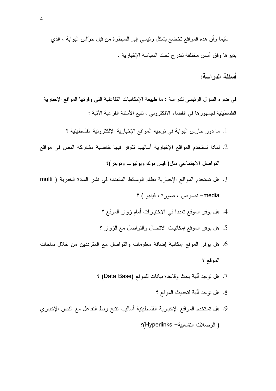سِّيما وأن هذه المواقع نخضع بشكل رئيسي إلىي السيطرة من قبل حرَّاس البوابة ، الذي يدير ها وفق أسس مختلفة نتدرج تحت السياسة الإخبارية .

#### أسئلة الدر اسة:

في ضوء السؤال الرئيسي للدراسة : ما طبيعة الإمكانيات النفاعلية التي وفرتها المواقع الإخبارية الفلسطينية لجمهور ها في الفضاء الإلكتروني ، تتبع الأسئلة الفرعية الأتية :

- 1. ما دور حارس البوابة في توجيه المواقع الإخبارية الإلكترونية الفلسطينية ؟
- 2. لماذا تستخدم المواقع الإخبارية أساليب نتوفر فيها خاصية مشاركة النص في مواقع النواصل الاجتماعي مثل(فيس بوك ويونيوب ونوينز)؟
- 3. هل تستخدم المواقع الإخبارية نظام الوسائط المتعددة في نشر المادة الخبرية ( multi media- نصوص ، صورة ، فيديو ) ؟
	- 4. هل يوفر الموقع تعددا في الاختيار ات أمام زوار الموقع ؟
	- 5. هل يوفر الموقع إمكانيات الانصال والنواصل مع الزوار ؟
- 6. هل يوفِّر الموقع إمكانية إضافة معلومات والتواصل مع المترددين من خلال ساحات الموقع ؟
	- 7. هل نوجد آلية بحث وفاعدة بيانات للموقع (Data Base) ؟
		- 8. هل توجد آلبة لتحديث الموقع ؟
- 9. هل تستخدم المواقع الإخبارية الفلسطينية أساليب تتيح ربط التفاعل مع النص الإخباري ( الوصلات التشعيبة - Hyperlinks)؟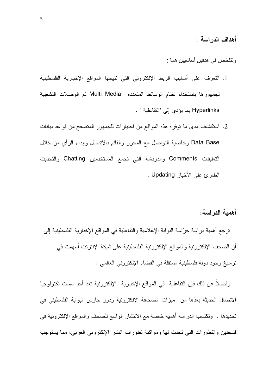أهداف الدر اسة :

وتتلخص في هدفين أساسيين هما :

- 1. النعرف على أساليب الربط الإلكتروني التي نتيحها المواقع الإخبارية الفلسطينية لجمهورها باستخدام نظام الوسائط المتعددة Multi Media ثم الوصلات التشعبية Hyperlinks بما يؤدى إلى "التفاعلية " .
- 2. استكشاف مدى ما نوفره هذه المواقع من اختيارات للجمهور المتصفح من قواعد بيانات Data Base وخاصية التواصل مع المحرر والقائم بالاتصال وإبداء الرأي من خلال التعليقات Comments والدردشة التي تجمع المستخدمين Chatting والتحديث الطارئ على الأخبار Updating .

أهمبة الدر اسة:

ترجع أهمية دراسة حرّاسة البوابة الإعلامية والتفاعلية في المواقع الإخبارية الفلسطينية إلى أن الصحف الإلكترونية والمواقع الإلكترونية الفلسطينية على شبكة الإنترنت أسهمت في نرسيخ وجود دولة فلسطينية مستقلة في الفضاء الإلكتروني العالمي .

وفضلاً عن ذلك فإن التفاعلية في المواقع الإخبارية الإلكترونية تعد أحد سمات تكنولوجيا الاتصال الحديثة بعدِّها من ميزات الصحافة الإلكترونية ودور حارس البوابة الفلسطيني في تحديدها . ۖ ونكتسب الدراسة أهمية خاصة مع الانتشار الواسع للصحف والمواقع الإلكترونية في فلسطين والتطورات التي تحدث لها ومواكبة تطورات النشر الإلكتروني العربي، مما يستوجب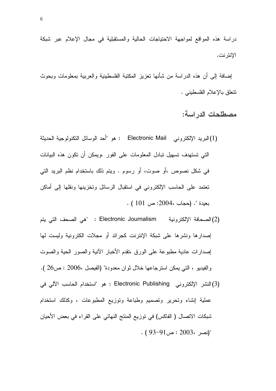دراسة هذه المواقع لمواجهة الاحتياجات الحالية والمستقبلية في مجال الإعلام عبر شبكة الإنتر نت.

إضـافة إلى أن هذه الدراسة من شأنـها تعزيز المكتبة الفلسطينية والعربية بمعلومات وبحوث نتعلق بالإعلام الفلسطيني .

مصطلحات الدر اسة:

(1) البريد الإلكتروني Electronic Mail : هو "أحد الوسائل النكنولوجية الحديثة التي تستهدف تسهيل تبادل المعلومات على الفور ،ويمكن أن تكون هذه البيانات في شكل نصوص ،أو صوت، أو رسوم . ويتم ذلك باستخدام نظم البريد التي تعتمد على الحاسب الإلكتروني في استقبال الرسائل وتخزينها ونقلها إلى أماكن  $.$  ( 101 ) . (حجاب ،2004: ص: 101 )

(2) الصحافة الإلكترونية Electronic Journalism تمي الصحف التي يتم إصدارها ونشرها على شبكة الإنترنت كجرائد أو مجلات الكترونية وليست لها إصدارات عادية مطبوعة على الورق ،تقدم الأخبار الأنية والصور الحية والصوت والفيديو ، التبي يمكن استرجاعها خلال ثوان معدودة" (الفيصل ،2006 : ص26 ). (3) النشر الإلكتروني Electronic Publishing : هو "استخدام الحاسب الآلي في عملية إنشاء وتحرير وتصميم وطباعة وتوزيع المطبوعات ، وكذلك استخدام شبكات الاتصال ( الفاكس) في توزيع المنتج النهائي على القراء في بعض الأحيان  $(93-91)$ نصر ، 2003 : ص $^{\circ}$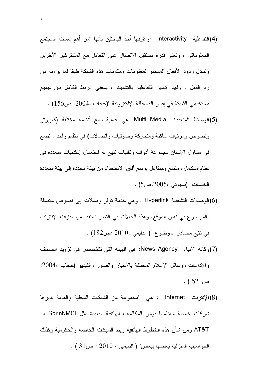(4) التفاعلية Interactivity :و عّر فها أحد الباحثين بأنها "من أهم سمات المجتمع المعلوماتي ، وتعني قدرة مستقبل الاتصال على التعامل مع المشتركين الآخرين وتبادل ردود الأفعال المستمر لمعلومات ومكونات هذه الشبكة طبقا لما برونه من رد الفعل . ولهذا نتميز النفاعلية بالتشبيك ، بمعنى الربط الكامل بين جميع مستخدمي الشبكة في إطار الصحافة الإلكترونية "(حجاب 2004: ص156) .

- (5)الوسائط المتعددة Multi Media: هي عملية دمج أنظمة مختلفة (كمبيوتر ونصوص ومرئيات ساكنة ومتحركة وصونيات واتصالات) في نظام واحد . تضع في متناول الإنسان مجموعة أدوات وتقنيات نتيح له استعمال إمكانيات متعددة في نظام متكامل ومتسع ومتفاعل يوسع أفاق الاستخدام من بيئة محددة إلى بيئة متعددة الخدمات (بسيوني ،2005،ص5) .
- (6)الوصلات التشعبية Hyperlink : وهي خدمة توفر وصلات إلى نصوص متصلة بالموضوع في نفس الموقع، وهذه الحالات في النص تستفيد من ميزات الإنترنت في نتبع مصادر الموضوع ( الدليمي ،2010 :ص182) .
- (7)وكالة الأنباء News Agency: هي الهيئة التي تتخصص في نزويد الصحف والإذاعات ووسائل الإعلام المختلفة بالأخبار والصور والفيديو (حجاب ،2004:  $(621)$ ص
- (8)الإنترنت Internet : هي "مجموعة من الشبكات المحلية والعامة تديرها شركات خاصة معظمها يؤمن المكالمات الهاتفية البعيدة مثل Sprint،MCI ، AT&T ومن شأن هذه الخطوط الـهاتفية ربط الشبكات الخاصـة والـحكومية وكذلك . الحواسيب المنزلية بعضها ببعض" ( الدليمي ، 2010 : ص31 )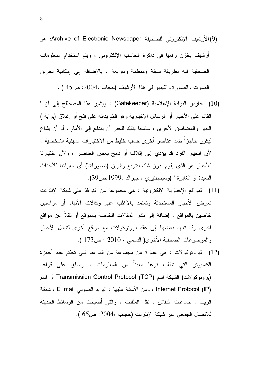- (9)الأرشيف الإلكتروني للصحيفة Archive of Electronic Newspaper: هو أرشيف يخزن رقميا في ذاكرة الحاسب الإلكتروني ، ويتم استخدام المعلومات الصحفية فيه بطريقة سهلة ومنظمة وسريعة . بالإضافة إلى إمكانية تخزين الصوت والصورة والفيديو في هذا الأرشيف (حجاب ،2004: ص45 ) .
- (10) حارس البوابة الإعلامية (Gatekeeper) : ويشير هذا المصطلح إلى أن " القائم على الأخبار أو الرسائل الإخبارية وهو قائم بذاته على فتح أو إغلاق (بوابة ) الخبر والمضامين الأخرى ، سامحا بذلك للخبر أن يندفع إلى الأمام ، أو أن يشاع ليكون حاجزاً ضد عناصر أخرى حسب خليط من الاختيارات المهنية الشخصية ، لأن انحياز الفرد قد يؤدي إلى إنلاف أو دمج بعض العناصر ، ولأن اختيارنا للأخبار هو الذي يقوم بدون شك بنتويع ونلوين (نصورانتا) أي معرفتنا للأحداث البعيدة أو الغابرة " (وسينجلتيري ، جيرالد ،1999،ص39).
- (11) المواقع الإخبارية الإلكترونية : هي مجموعة من النوافذ على شبكة الإنترنت تعرض الأخبار المستحدثة وتعتمد بالأغلب على وكالات الأنباء أو مراسلين خاصين بالمواقع ، إضافة إلى نشر المقالات الخاصة بالموقع أو نقلاً عن مواقع أخرى وقد تعهد بعضها إلى عقد برونوكولات مع مواقع أخرى لتبادل الأخبار والموضوعات الصحفية الأخرى( الدليمي ، 2010 : ص173 ).
- (12) البروتوكولات : هي عبارة عن مجموعة من القواعد التي تحكم عدد أجهزة الكمبيوتر التي نطلب نوعا معينا من المعلومات ، ويطلق على قواعد (برونوكولات) الشبكة اسم Transmission Control Protocol (TCP) أو اسم Internet Protocol (IP) ، ومن الأمثلة عليها : البريد الصوتي E–mail ، شبكة الويب ، جماعات النقاش ، نقل الملفات ، والتي أصبحت من الوسائط الحديثة للاتصال الجمعي عبر شبكة الإنترنت (حجاب ،2004: ص65 ).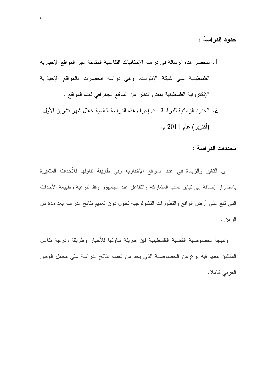حدود الدراسة :

- 1. نتحصر هذه الرسالة في دراسة الإمكانيات النفاعلية المتاحة عبر المواقع الإخبارية الفلسطينية على شبكة الإنترنت، وهي دراسة انحصرت بالمواقع الإخبارية الإلكترونية الفلسطينية بغض النظر عن الموقع الجغرافي لهذه المواقع .
	- 2. الحدود الزمانية للدراسة : تم إجراء هذه الدراسة العلمية خلال شهر تشرين الأول (أكتوبر) عام 2011 م.

محددات الدراسة :

إن التغير والزيادة في عدد المواقع الإخبارية وفي طريقة نتاولها للأحداث المتغيرة باستمرار إضافة إلى تباين نسب المشاركة والتفاعل عند الجمهور وفقا لنوعية وطبيعة الأحداث التبي نقع على أرض الواقع والنطورات النكنولوجية نحول دون نعميم نتائج الدراسة بعد مدة من الزمن .

ونتيجة لخصوصية القضية الفلسطينية فإن طريقة نتاولها للأخبار وطريقة ودرجة تفاعل المتلقين معها فيه نوع من الخصوصية الذي يحد من تعميم نتائج الدراسة على مجمل الوطن العربي كاملا.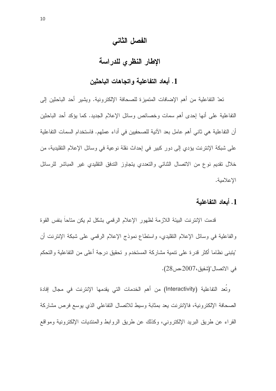## الفصل الثاني

# الإطار النظرى للدراسة

#### 1. أبعاد التفاعلية واتجاهات الباحثين

تعدّ التفاعلية من أهم الإضافات المتميز ة للصحافة الإلكتر ونية. ويشير أحد الباحثين إلى التفاعلية على أنها إحدى أهم سمات وخصائص وسائل الإعلام الجديد. كما يؤكد أحد الباحثين أن التفاعلية هي ثاني أهم عامل بعد الآنية للصحفيين في أداء عملهم. فاستخدام السمات التفاعلية على شبكة الإنترنت يؤدي إلى دور كبير في إحداث نقلة نوعية في وسائل الإعلام التقليدية، من خلال تقديم نوع من الاتصال الثنائي والتعددي يتجاوز الندفق التقليدي غير المباشر للرسائل الاعلامية.

## 1. أبعاد التفاعلية

قدمت الإنترنت البيئة اللازمة لظهور الإعلام الرقمي بشكل لم يكن متاحا بنفس القوة والفاعلية في وسائل الإعلام النقليدي، واستطاع نموذج الإعلام الرفمي على شبكة الإنترنت أن "يتبنى نظاما أكثر قدرة على نتمية مشاركة المستخدم و نحقيق درجة أعلى من التفاعلية والتحكم في الاتصال"(شفيق،2007،ص28).

وتُعد التفاعلية (Interactivity) من أهم الخدمات التي يقدمها الإنترنت في مجال إفادة الصحافة الإلكتر ونية، فالإنترنت يعد بمثابة وسيط للاتصال التفاعلي الذي يوسع فرص مشاركة القراء عن طريق البريد الإلكتروني، وكذلك عن طريق الروابط والمنتديات الإلكترونية ومواقع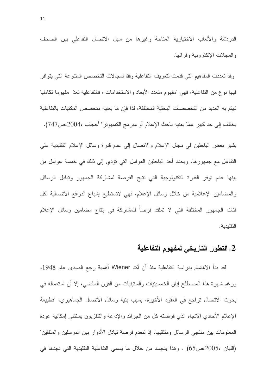الدر دشة والألعاب الاختيارية المتاحة وغيرها من سبل الاتصال التفاعلي بين الصحف والمجلات الإلكتر ونبة وقرائها.

وقد تعددت المفاهيم التي قدمت لتعريف التفاعلية وفقا لمجالات التخصص المنتوعة التي يتوافر فيها نوع من النفاعلية، فهي "مفهوم منعدد الأبعاد والاستخدامات ، فالنفاعلية نعدّ ً مفهوما نكامليا تهتم به العديد من التخصصات البحثية المختلفة، لذا فإن ما يعنيه متخصص المكتبات بالتفاعلية يختلف إلى حد كبير عمَا يعنيه باحث الإعلام أو مبرمج الكمبيوتر" (حجاب ،2004،ص747).

يشير بعض الباحثين في مجال الإعلام والانصال إلى عدم قدرة وسائل الإعلام التقليدية على التفاعل مع جمهورها. ويحدد أحد الباحثين العوامل التي نؤدي إلى ذلك في خمسة عوامل من بينها عدم توفر القدرة التكنولوجية التي تتيح الفرصة لمشاركة الجمهور وتبادل الرسائل والمضامين الإعلامية من خلال وسائل الإعلام، فهي لاتستطيع إشباع الدوافع الاتصالية لكل فئات الجمهور المختلفة التي لا تملك فرصاً للمشاركة في إنتاج مضامين وسائل الإعلام التقليدية.

# 2. التطور التاريخي لمفهوم التفاعلية

لقد بدأ الاهتمام بدراسة التفاعلية منذ أن أكد Wiener أهمية رجع الصدى عام 1948، ورغم شهرة هذا المصطلح إبان الخمسينيات والسنينيات من القرن الماضي، إلا أن استعماله في بحوث الاتصال تراجع في العقود الأخيرة، بسبب بنية وسائل الاتصال الجماهيري، "فطبيعة الإعلام الأحادي الاتجاه الذي فرضته كل من الجرائد والإذاعة والتلفزيون يستثنى إمكانية عودة المعلومات بين منتجى الرسائل ومتلقيها، إذ نتعدم فرصة نبادل الأدوار بين المرسلين والمتلقين" (اللبان ،2005،ص65) . وهذا يتجسد من خلال ما يسمى التفاعلية التقليدية التي نجدها في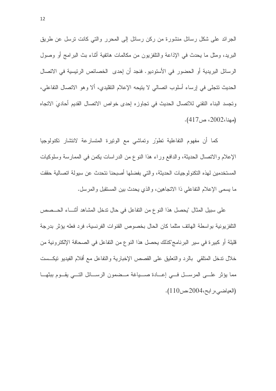الجرائد على شكل رسائل منشورة من ركن رسائل إلى المحرر والتي كانت نرسل عن طريق البريد، ومثل ما يحدث في الإذاعة والنلفزيون من مكالمات هاتفية أثناء بث البرامج أو وصول الرسائل البريدية أو الحضور في الأستوديو . فنجد أن إحدى الخصائص الرئيسية في الاتصال الحديث نتجلَّى في إرساء أسلوب انصالبي لا ينيحه الإعلام النقليدي، ألا وهو الانصال النفاعلي، وتجسد البناء النقني للاتصال الحديث في تجاوزه إحدى خواص الاتصال القديم أحاديَ الاتجاه (مهنا،2002، ص417).

كما أن مفهوم النفاعلية نطوّر ونماشى مع الونيرة المنسارعة لانتشار نكنولوجيا الإعلام والاتصال الحديثة، والدافع وراء هذا النوع من الدر اسات يكمن في الممارسة وسلوكيات المستخدمين لهذه النكنولوجيات الحديثة، والتي بفضلها أصبحنا نتحدث عن سيولة انصالية حققت ما يسمى الإعلام النفاعلـي ذا الانـجاهين، والذي يـحدث بين المسنقبل والمرسل.

على سبيل المثال "بحصل هذا النوع من النفاعل في حال ندخل المشاهد أثنــــاء الحـــصص النلفزيونية بواسطة الهاتف مثلما كان الحال بخصوص القنوات الفرنسية، فرد فعله يؤثر بدرجة قليلة أو كبير ة في سير البرنامج"كذلك يحصل هذا النو ع من النفاعل في الصحافة الإلكترونية من خلال ندخل المنلقى بالرد والنعليق على القصص الإخبارية والنفاعل مع أفلام الفيديو نيكست مما يؤثِّر علـــي المرســـل فـــي إعـــادة صــــياغة مـــضمون الرســــائل التــــي يقـــوم ببثهـــا (العياضي، رابح، 2004، ص110).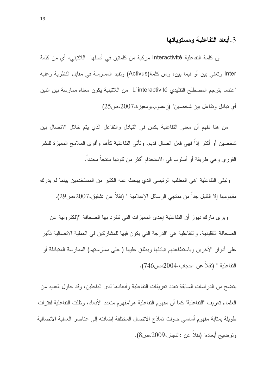#### 3. أبعاد التفاعلية ومستوياتها

إن كلمة التفاعلية Interactivité مركبة من كلمتين في أصلها اللاتيني، أي من كلمة Inter وتعني بين أو فيما بين، ومن كلمة(Activus) وتفيد الممارسة في مقابل النظرية وعليه "عندما يترجم المصطلح التقليدي L'interactivité من اللاتينية يكون معناه ممارسة بين اثنين أي نبادل ونفاعل بين شخصين" (ز عموم،بومعيز ة،2007،ص25)

من هنا نفهم أن معنى التفاعلية يكمن في النبادل والتفاعل الذي يتم خلال الاتصال بين شخصين أو أكثر إذاً فهي فعل انصال قديم. ونأتي النفاعلية كأهم وأقوى الملامح المميزة للنشر الفور ي و هي طريقة أو أسلوب في الاستخدام أكثر ٍ من كونها منتجاً محدداً.

ونبقى التفاعلية "هي المطلب الرئيسي الذي يبحث عنه الكثير من المستخدمين بينما لم يدرك مفهومها إلا القليل جداً من منتجى الرسائل الإعلامية " (نقلاً عن :شفيق،2007،ص29).

ويرى مارك ديوز أن التفاعلية إحدى المميزات التي نتفرد بها الصحافة الإلكترونية عن الصحافة التقليدية. و التفاعلية هي "الدرجة التي يكون فيها للمشار كين في العملية الاتصالية تأثير على أدوار الأخرين وباستطاعتهم تبادلها ويطلق عليها ( على ممارستهم) الممارسة المتبادلة أو التفاعلية " (نقلا عن :حجاب،2004،ص746).

يتضح من الدر اسات السابقة تعدد تعر بفات التفاعلية و أبعادها لدى الباحثين، و قد حاول العديد من العلماء نعريف "النفاعلية" كما أن مفهوم النفاعلية هو "مفهوم منعدد الأبعاد، وظلت النفاعلية لفتر ات طويلة بمثابة مفهوم أساسي حاولت نماذج الاتصال المختلفة إضافته إلى عناصر العملية الاتصالية وتوضيح أبعاده" (نقلاً عن :النجار ،2009،ص8).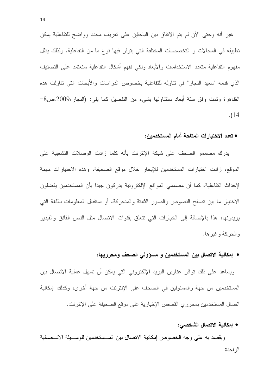غير أنه وحتى الآن لم يتم الاتفاق بين الباحثين على تعريف محدد وواضح للتفاعلية يمكن تطبيقه في المجالات و التخصصات المختلفة التي يتوفر فيها نوع ما من التفاعلية. ولذلك يظل مفهوم النفاعلية متعدد الاستخدامات والأبعاد ولكى نفهم أشكال التفاعلية سنعتمد على التصنيف الذي قدمه "سعيد النجار" في نتاوله للتفاعلية بخصوص الدراسات والأبحاث التي نتاولت هذه الظاهرة وتمت وفق ستة أبعاد سنتناولها بشيء من التفصيل كما يلي: (النجار،2009،ص8- $. (14)$ 

#### • تعدد الاختيارات المتاحة أمام المستخدمين:

يدرك مصممو الصحف على شبكة الإنترنت بأنه كلما زادت الوصلات التشعبية على الموقع، زادت اختيارات المستخدمين للإبحار خلال موقع الصحيفة، وهذه الاختيارات مهمة لإحداث التفاعلية، كما أن مصممي المواقع الإلكترونية يدركون جيدا بأن المستخدمين يفضلون الاختيار ما بين تصفح النصوص والصور الثابتة والمتحركة، أو استقبال المعلومات باللغة التي يريدونها، هذا بالإضافة إلى الخيارات التي نتعلق بقنوات الاتصال مثل النص الفائق والفيديو و الحركة و غير ها.

#### ● إمكانية الاتصال بين المستخدمين و مسؤولي الصحف ومحرريها:

ويساعد على ذلك نوافر عناوين البريد الإلكتروني التي يمكن أن تسهل عملية الاتصال بين المستخدمين من جهة والمسئولين في الصحف على الإنترنت من جهة أخرى، وكذلك إمكانية اتصال المستخدمين بمحرري القصص الإخبارية على موقع الصحيفة على الإنترنت.

#### • إمكانية الاتصال الشخصي:

ويقصد به على وجه الخصوص إمكانية الاتصال بين المــستخدمين للوســبلة الاتــصالية الو احدة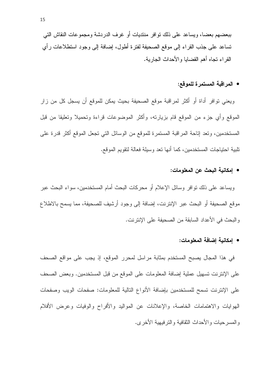ببعضهم بعضا، ويساعد على ذلك نوافر منتديات أو غر ف الدر دشة و مجمو عات النقاش التي نساعد على جذب القراء إلى موقع الصحيفة لفترة أطول، إضافة إلى وجود استطلاعات رأى القر اء تجاه أهم القضايا و الأحداث الجارية.

#### • المر اقبة المستمر ة للموقع:

ويعني توافر أداة أو أكثر لمراقبة موقع الصحيفة بحيث يمكن للموقع أن يسجل كل من زار الموقع وأي جزء من الموقع قام بزيارته، وأكثر الموضوعات قراءة وتحميلا وتعليقا من قبل المستخدمين، ونعد إناحة المراقبة المستمرة للموقع من الوسائل التي نجعل الموقع أكثر قدرة على نلبية احتياجات المستخدمين، كما أنها تعد وسيلة فعالة لتقويم الموقع.

#### • امكانية البحث عن المعلومات:

ويساعد على ذلك نوافر وسائل الإعلام أو محركات البحث أمام المستخدمين، سواء البحث عبر موقع الصحيفة أو البحث عبر الإنترنت، إضافة إلى وجود أرشيف للصحيفة، مما يسمح بالاطلاع والبحث في الأعداد السابقة من الصحيفة على الإنترنت.

#### • [مكانية إضافة المعلومات:

في هذا المجال يصبح المستخدم بمثابة مراسل لمحرر الموقع، إذ يجب على مواقع الصحف على الإنترينت تسهيل عملية إضافة المعلومات على الموقع من قبل المستخدمين. وبعض الصحف على الإنترنت تسمح للمستخدمين بإضافة الأنواع التالية للمعلومات: صفحات الويب وصفحات الهوايات والاهتمامات الخاصة، والإعلانات عن المواليد والأفراح والوفيات وعرض الأفلام و المسر حبات و الأحداث الثقافية و التر فيهية الأخر ي.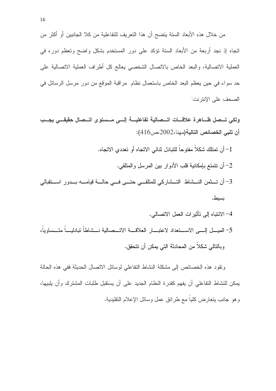من خلال هذه الأبعاد الستة يتضح أن هذا التعريف للتفاعلية من كلا الجانبين أو أكثر من اتجاه إذ نجد أربعة من الأبعاد الستة نؤكد على دور المستخدم بشكل واضح وتعظم دوره في العملية الانصالية، والبعد الخاص بالانصال الشخصبي يعالج كل أطراف العملية الانصالية على حد سواء في حين يعظم البعد الخاص باستعمال نظام ٍ مراقبة الموقع من دورٍ مرسل الرسائل في الصحف على الإنتر نت

ولكي تسصل ظباهرة علاقيات اتسصالية تفاعليسة إليبي مسستوى اتسصال حقيقيى يجسب أن تلبي الخصائص التالية(مهنا،2002،ص416):

- 1– أن تمتلك شكلاً مفتوحاً للتبادل ثنائي الاتجاه أو تعددي الاتجاه. 2– أن نتمتع بإمكانية قلب الأدوار بين المرسل والمتلقى. 3– أن تسثمن النسشاط التسشاركي للمتلقــي حتـــي فـــي حالـــة فيامــــه بـــدور اســـتقبالي بسيط.
- 4– الانتباه إلى تأثير ات العمل الاتصالي. 5– المبسل إلسي الاسستعداد لاعتبسار العلاقسة الاتسصالية نسشاطا تبادليسا متسساويا، وبـالتالـي شكلا من المحادثـة التـي يمكن أن نتحقق.

ونقود هذه الخصائص إلى مشكلة النشاط التفاعلي لوسائل الاتصال الحديثة ففي هذه الحالة يمكن للنشاط النفاعلي أن يفهم كقدرة النظام الجديد على أن يستقبل طلبات المشترك وأن يلبيها، وهو جانب بتعارض كلياً مع طرائق عمل وسائل الإعلام النقليدية.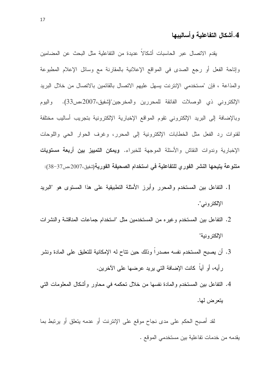# 4.أشكال التفاعلية وأساليبها

يقدم الاتصال عبر الحاسبات أشكالاً عديدة من التفاعلية مثل البحث عن المضامين وإتاحة الفعل أو رجع الصدى في المواقع الإعلانية بالمقارنة مع وسائل الإعلام المطبوعة والمذاعة ، فإن "مستخدمي الإنترنت بسهل عليهم الاتصال بالقائمين بالاتصال من خلال البريد الإلكتروني ذي الوصلات الفائقة للمحررين والمخرجين"(شفيق،2007،ص33). و البو م وبالإضافة إلى البريد الإلكتروني نقوم المواقع الإخبارية الإلكترونية بتجريب أساليب مختلفة لقنوات رد الفعل مثل الخطابات الإلكترونية إلى المحرر، وغرف الحوار الحي واللوحات الإخبارية وندوات النقاش والأسئلة الموجهة للخبراء. **ويمكن التمييز بين أربعة مستويات** متنوعة يتيحها النشر الفور ي للتفاعلية في استخدام الصحيفة الفورية(شفيق،2007،ص37-38):

- 1. التفاعل بين المستخدم والمحرر وأبرز الأمثلة التطبيقية على هذا المستوى هو "البريد الإلكتروني".
- 2. التفاعل بين المستخدم وغيره من المستخدمين مثل "استخدام جماعات المناقشة والنشرات الإلكتر ونية"
- 3. أن يصبح المستخدم نفسه مصدرا وذلك حين نتاح له الإمكانية للتعليق على المادة ونشر رأيه، أو آياً كانت الإضافة التي يريد عرضها على الأخرين.
- 4. التفاعل بين المستخدم والمادة نفسها من خلال نحكمه في محاور وأشكال المعلومات التبي يتعرض لها.

لقد أصبح الحكم على مدى نجاح موقع على الإنترنت أو عدمه يتعلق أو يرتبط بما يقدمه من خدمات تفاعلية بين مستخدمي الموقع .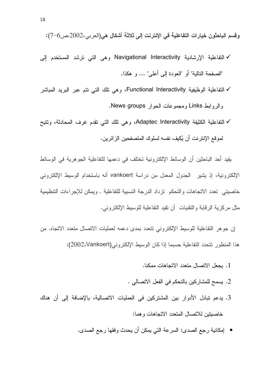وفسم الباحثون خيارات التفاعلية في الإنترنت إلى ثلاثة أشكال هي(العربي،2002،ص6–7):

- √ التفاعلية الإرشادية Navigational Interactivity وهي التي ترشد المستخدم إلى "الصفحة التالية" أو "العودة إلى أعلى" ... و هكذا.
- √ التفاعلية الوظيفية Functional Interactivity، وهي تلك التي نتم عبر البريد المباشر والر وابط Links ومجموعات الحوار News groups.
- √ التفاعلية الكثيفة Adaptec Interactivity، وهي نلك التي نقدم غرف المحادثة، ونتيح لموقع الإنترينت أن يُكيف نفسه لسلوك المتصفحين الزرائرين.

يفيد أحد الباحثين أن الوسائط الإلكترونية تختلف في دعمها للتفاعلية الجوهرية في الوسائط الإلكترونية، إذ يشير الجدول المعدل من در اسة vankoert أنه باستخدام الوسيط الإلكتروني خاصيتي تعدد الاتجاهات والتحكم نزداد الدرجة النسبية للتفاعلية . ويمكن للإجراءات التنظيمية مثَّل مر كز بـه الر قابـة و التقنبات - أن تقبد التفاعلبـة للو سبط الإلكتر و نـي.

إن جو هر التفاعلية للوسيط الإلكتروني تتعدد بمدى دعمه لعمليات الاتصال متعدد الاتجاه. من هذا المنظور نتحدد التفاعلية حسبما إذا كان الوسيط الإلكتروني(2002،Vankoert):

- 1. بجعل الاتصال متعدد الاتجاهات ممكنا.
- 2. يسمح للمشاركين بالتحكم في الفعل الاتصالي .
- 3. يدعم تبادل الأدوار بين المشتركين في العمليات الاتصالية، بالإضافة إلى أن هناك خاصبتين للاتصال المتعدد الاتجاهات وهما:
	- إمكانية رجع الصدى: السرعة التي يمكن أن يحدث وفقها رجع الصدى.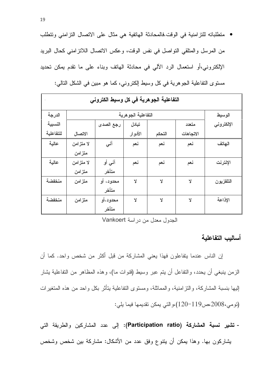• متطلباته للنزامنية في الوقت فالمحادثة الهاتفية هي مثال على الاتصال النزامني وتتطلب من المرسل والمتلقى التواصل في نفس الوقت، وعكس الانصال اللانز امنى كحال البريد الإلكتروني،أو استعمال الرد الآلي في محادثة الهاتف وبناء على ما نقدم بمكن تحديد مستوى التفاعلية الجوهرية في كل وسيط الكتروني، كما هو مبين في الشكل التالي:

| التفاعلية الجوهرية في كل وسبط الكتروني |           |                    |         |        |           |            |  |
|----------------------------------------|-----------|--------------------|---------|--------|-----------|------------|--|
| الدرجة                                 |           | التفاعلية الجوهرية |         |        |           |            |  |
| النسبية                                |           | رجع الصدى          | تبادل   |        | متعدد     | الإلكتروني |  |
| للتفاعلية                              | الاتصال   |                    | الأدوار | التحكم | الاتجاهات |            |  |
| عالية                                  | لا متزامن | آنسى               | نعم     | نعم    | نعم       | الهاتف     |  |
|                                        | متزامن    |                    |         |        |           |            |  |
| عالية                                  | لا متزامن | آنسي أو            | نعم     | نعم    | نعم       | الإنترنت   |  |
|                                        | متزامن    | متأخر              |         |        |           |            |  |
| منخفضة                                 | متزامن    | محدود، أو          | Y       | Y      | Y         | التلفزيون  |  |
|                                        |           | متأخر              |         |        |           |            |  |
| منخفضة                                 | متزامن    | محدود،أو           | Y       | Y      | Ÿ         | الإذاعة    |  |
|                                        |           | متأخر              |         |        |           |            |  |

الجدول معدل من در اسة Vankoert

أسالبب التفاعلية

إن الناس عندما يتفاعلون فهذا يعني المشاركة من قبل أكثر من شخص واحد. كما أن الزمن ينبغي أن يحدد، والنفاعل أن يتم عبر وسيط (فنوات ما)، وهذه المظاهر من النفاعلية يشار إليها بنسبة المشاركة، والنز امنية، والمماثلة، ومسنوى النفاعلية بتأثِّر بكل واحد من هذه المتغيرات (تومي،2008،ص119-120)،والتي يمكن تقديمها فيما يلي:

- تشير نسبة المشاركة (Participation ratio): إلى عدد المشاركين والطريقة التي يشاركون بها. وهذا يمكن أن يتنوع وفق عدد من الأشكال: مشاركة بين شخص وشخص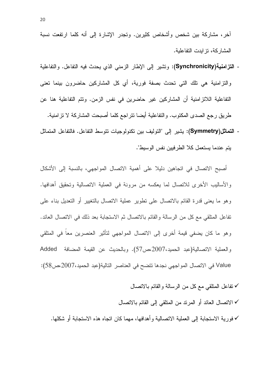أخر، مشاركة بين شخص وأشخاص كثيرين. وتجدر الإشارة إلى أنه كلما ارتفعت نسبة المشار كة، تز ابدت التفاعلية.

- التزامنية(Synchronicity): وتشير إلى الإطار الزمني الذي يحدث فيه التفاعل. والتفاعلية والتزامنية هي نلك التي تحدث بصفة فورية، أي كل المشاركين حاضرون بينما تعني التفاعلية اللاتز امنية أن المشاركين غير حاضرين في نفس الزمن. وتتم التفاعلية هنا عن طريق رجع الصدى المكتوب. والتفاعلية أيضا نتراجع كلما أصبحت المشاركة لا نز امنية.
- التماثل(Symmetry): يشير إلى "التوليف بين تكنولوجيات نتوسط التفاعل. فالتفاعل المتماثل يتم عندما يستعمل كلا الطرفيين نفس الوسيط".

أصبح الاتصال في اتجاهين دليلا على أهمية الاتصال المواجهي، بالنسبة إلى الأشكال والأساليب الأخرى للاتصال لما يعكسه من مرونة في العملية الاتصالية وتحقيق أهدافها. وهو ما يعني قدرة القائم بالاتصال على نطوير عملية الاتصال بالتغيير أو التعديل بناء على تفاعل المنلقى مع كل من الرسالة والقائم بالاتصال ثم الاستجابة بعد ذلك في الاتصال العائد. وهو ما كان يضفي قيمة أخرى إلى الاتصال المواجهي لتأثير العنصرين معا في المتلقى والعملية الاتصالية(عبد الحميد،2007،ص57). وبالحديث عن القيمة المضافة Added Value في الاتصال المواجهي نجدها نتضح في العناصر النالية(عبد الحميد،2007مص58):

√ تفاعل المنلقى مع كل من الرسالة والقائم بالاتصال

√ الاتصال العائد أو المرند من المنلقي إلى القائم بالاتصال

√ فور ية الاستجابة إلى العملية الاتصالية و أهدافها، مهما كان اتجاه هذه الاستجابة أو شكلها.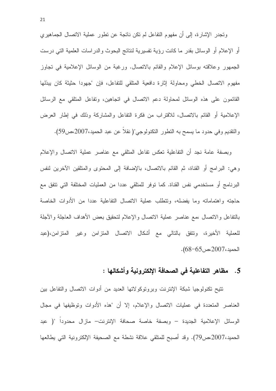وتجدر الإشارة، إلى أن مفهوم التفاعل لم نكن ناتجة عن نطور عملية الاتصال الجماهيري أو الإعلام أو الوسائل بقدر ما كانت رؤية تفسيرية لنتائج البحوث والدراسات العلمية التبي درست الجمهور وعلاقته بوسائل الإعلام والقائم بالانصال. ورغبة من الوسائل الإعلامية في نجاوز مفهوم الاتصال الخطي ومحاولة إثارة دافعية المتلقى للتفاعل، فإن "جهودا حثيثة كان يبذلها القائمون على هذه الوسائل لمحاولة دعم الاتصال في اتجاهين، وتفاعل المتلقى مع الرسائل الإعلامية أو القائم بالاتصال، للاقتراب من فكرة التفاعل والمشاركة وذلك في إطار العرض والنقديم وفي حدود ما يسمح به النطور النكنولوجي"( نقلاً عن عبد الحميد،2007،ص59).

وبصفة عامة نجد أن التفاعلية تعكس تفاعل المتلقى مع عناصر عملية الاتصال والإعلام وهي: البرامج أو القناة، ثم القائم بالاتصال، بالإضافة إلى المحتوى والمتلقين الآخرين لنفس البرنامج أو مستخدمي نفس القناة. كما توفر للمتلقى عددا من العمليات المختلفة التي تتفق مع حاجته واهتماماته وما يفضله، وتتطلب عملية الاتصال التفاعلية عددا من الأدوات الخاصة بالنفاعل والاتصال ،مع عناصر عملية الاتصال والإعلام لتحقيق بعض الأهداف العاجلة والأجلة للعملية الأخيرة، وتتفق بالتالي مع أشكال الاتصال المتزامن وغير المنزامن،(عبد  $. (68-65)$ الحميد، 2007 عص

#### 5. مظاهر التفاعلية في الصحافة الإلكترونية وأشكالها :

نتيح تكنولوجيا شبكة الإنترنت وبروتوكولاتها العديد من أدوات الاتصال والتفاعل بين العناصر المتعددة في عمليات الاتصال والإعلام، إلا أن "هذه الأدوات وتوظيفها في مجال الوسائل الإعلامية الجديدة – وبصفة خاصة صحافة الإنترنت– مازال محدودا "( عبد الحميد،2007،ص79). وقد أصبح للمتلقى علاقة نشطة مع الصحيفة الإلكترونية التي يطالعها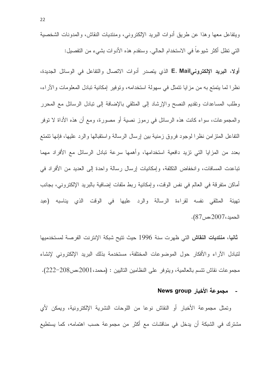ويتفاعل معها وهذا عن طريق أدوات البريد الإلكتروني، ومنتديات النقاش، والمدونات الشخصية التبي نظل أكثر شيوعا في الاستخدام الحالي. وسنقدم هذه الأدوات بشيء من التفصيل:

أولا، البريد الإلكترونيE. Mail الذي يتصدر أدوات الاتصال والتفاعل في الوسائل الجديدة، نظرًا لما يتمتع به من مزايا نتمثَّل في سهولة استخدامه، وتوفير ۖ إمكانية تبادل المعلومات والأراء، وطلب المساعدات ونقديم النصح والإرشاد إلى المنلقى بالإضافة إلى نبادل الرسائل مع المحرر والمجموعات، سواء كانت هذه الرسائل في رموز نصية أو مصورة، ومع أن هذه الأداة لا نوفر النفاعل المنزامن نظرا لوجود فروق زمنية بين إرسال الرسالة واستقبالها والرد عليها، فإنها نتمتع بعدد من المزايا التي نزيد دافعية استخدامها، وأهمها سرعة نبادل الرسائل مع الأفراد مهما تباعدت المسافات، وانخفاض التكلفة، وإمكانيات إرسال رسالة واحدة إلى العديد من الأفراد في أماكن متفرقة في العالم في نفس الوقت، وإمكانية ربط ملفات إضافية بالبريد الإلكتروني، بجانب تهيئة المتلقى نفسه لقراءة الرسالة والرد عليها في الوقت الذي يناسبه (عبد الحميد، 2007،ص87).

**ثانيا، منتديات النقاش** التي ظهرت سنة 1996 حيث تتيح شبكة الإنترنت الفرصة لمستخدميها لنبادل الأراء والأفكار حول الموضوعات المختلفة، مستخدمة بذلك البريد الإلكتروني لإنشاء مجموعات نقاش نتسم بالعالمية، ويتوفر على النظامين التاليين : (محمد،2001،ص208–222).

#### - مجموعة الأخبار News group

وتمثَّل مجموعة الأخبار أو النقاش نوعاً من اللوحات النشرية الإلكترونية، ويمكن لأي مشترك في الشبكة أن يدخل في مناقشات مع أكثر من مجموعة حسب اهتمامه، كما يستطيع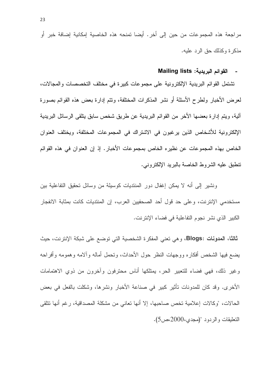مراجعة هذه المجموعات من حين إلى أخر . أيضا تمنحه هذه الخاصية إمكانية إضافة خبر أو مذكر ة وكذلك حق الر د عليه.

### القوائم البريدية: Mailing lists

تشتمل القوائم البريدية الإلكترونية على مجموعات كبيرة في مختلف التخصصات والمجالات، لعرض الأخبار ولطرح الأسئلة أو نشر المذكرات المختلفة، ونتم إدارة بعض هذه القوائم بصورة آلية، ويتم إدارة بعضها الأخر من القوائم البريدية عن طريق شخص سابق يتلقى الرسائل البريدية الإلكترونية للأشخاص الذين يرغبون في الاشتراك في المجموعات المختلفة، ويختلف العنوان الخاص بهذه المجموعات عن نظيره الخاص بمجموعات الأخبار . إذ إن العنوان في هذه القوائم تنطبق عليه الشر وط الخاصة بالبر بد الإلكتر ونبي.

ونشير إلى أنه لا يمكن إغفال دور المنتديات كوسيلة من وسائل تحقيق التفاعلية بين مستخدمي الإنترنت، وعلى حد قول أحد الصحفيين العرب، إن المنتديات كانت بمثابة الانفجار الكبير الذي نشر نجوم النفاعلية في فضاء الإنترنت.

ثالثًا، المدونات :Blogs، وهي تعني المفكرة الشخصية التي توضع على شبكة الإنترنت، حيث يضع فيها الشخص أفكاره ووجهات النظر حول الأحداث، وتحمل أماله وألامه وهمومه وأفراحه وغير ذلك، فهي فضاء للنعبير الحر، يمتلكها أناس محترفون وأخرون من ذوى الاهتمامات الأخرى. وقد كان للمدونات تأثير كبير في صناعة الأخبار ونشرها، وشكلت بالفعل في بعض الحالات، "وكالات إعلامية تخص صاحبها، إلا أنها تعانى من مشكلة المصداقية، رغم أنها تتلقى التعليقات والردود "(مجدى،2000،ص5).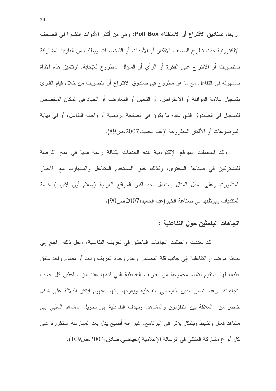رابعا، صناديق الاقتراع أو الاستفتاء Poll Box: وهي من أكثر الأدوات انتشاراً في الصحف الإلكتر ونية حيث تطرح الصحف الأفكار أو الأحداث أو الشخصيات ويطلب من القارئ المشاركة بالنصويت أو الاقتراع على الفكرة أو الرأي أو السؤال المطروح للإجابة. "ونتميز هذه الأداة بالسهولة في التفاعل مع ما هو مطروح في صندوق الاقتراع أو التصويت من خلال قيام القارئ بتسجيل علامة الموافقة أو الاعتراض، أو التامين أو المعارضة أو الحياد في المكان المخصص للتسجيل في الصندوق الذي عادة ما يكون في الصفحة الرئيسية أو واجهة التفاعل، أو في نهاية الموضوعات أو الأفكار المطروحة "(عبد الحميد،2007،ص89).

ولقد استعملت المواقع الإلكترونية هذه الخدمات بكثافة رغبة منها في منح الفرصة للمشتركين في صناعة المحتوى، وكذلك خلق المستخدم المتفاعل والمتجاوب مع الأخبار المنشورة. وعلى سبيل المثال يستعمل أحد أكبر المواقع العربية (إسلام أون لاين ) خدمة المنتديات ويوظفها في صناعة الخبر (عبد الحميد،2007،ص90).

#### اتجاهات الباحثين حول التفاعلية :

لقد نعددت واختلفت اتجاهات الباحثين في تعريف التفاعلية، ولعل ذلك راجع إلى حداثة موضوع التفاعلية إلى جانب قلة المصادر وعدم وجود نعريف واحد أو مفهوم واحد متفق عليه، لهذا سنقوم بتقديم مجموعة من تعاريف التفاعلية التي قدمها عدد من الباحثين كل حسب اتجاهاته. ويقدم نصر الدين العياضبي التفاعلية ويعرفها بأنها "مفهوم ابنكر للدلالة على شكل خاص من العلاقة بين التلفزيون والمشاهد، وتهدف التفاعلية إلى تحويل المشاهد السلبي إلى مشاهد فعال ونشيط وبشكل يؤثِّر في البرنامج. غير أنه أصبح بدل بعد الممارسة المتكررة على كل أنواع مشاركة المتلقى في الرسالة الإعلامية"(العياضي،صادق،2004،ص109).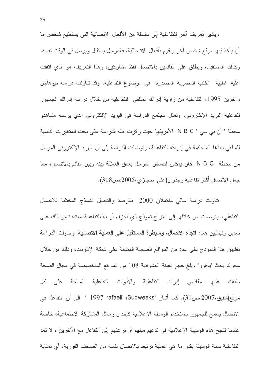ويشير نعريف أخر للتفاعلية إلى سلسلة من الأفعال الاتصالية التي يستطيع شخص ما أن يأخذ فيها موقع شخص آخر ويقوم بأفعال الاتصالية، فالمرسل يستقبل ويرسل في الوقت نفسه، وكذلك المستقبل، ويطلق على القائمين بالاتصال لفظ مشاركين، وهذا التعريف هو الذي اتفقت عليه غالبية الكتب المصرية المصدرة في موضوع التفاعلية. وقد نتاولت دراسة نيوهاجن وآخرين 1995، التفاعلية من زاوية إدراك المتلقى للتفاعلية من خلال دراسة إدراك الجمهور لتفاعلية البريد الإلكتروني، وتمثَّل مجتمع الدراسة في البريد الإلكتروني الذي يرسله مشاهدو محطة " أن بي سي " N B C الأمريكية حيث ركزت هذه الدراسة على بحث المتغيرات النفسية للمتلقى بعدِّها المتحكمة في إدراكه للتفاعلية، وتوصلت الدراسة إلى أن البريد الإلكتروني المرسل من محطة N B C كان يعكس إحساس المرسل بعمق العلاقة بينه وبين القائم بالاتصال، مما جعل الانصال أكثر نفاعلية وجدوى(علي ،حجازي،2005،ص318).

تناولت دراسة سالي ماكملان 2000 بالرصد والتحليل النماذج المختلفة للاتصال النفاعلي، ونوصلت من خلالها إلى افتراح نموذج ذي أجزاء أربعة للنفاعلية معتمدة من ذلك على بعدين رئيسَيين هما: ا**تجاه الاتصال، وسيطرة المستقبل على العملية الاتصالية.** وحاولت الدراسة تطبيق هذا النموذج على عدد من المواقع الصحية المتاحة على شبكة الإنترنت، وذلك من خلال محرك بحث "ياهوو" وبلغ حجم العينة العشوائية 108 من المواقع المتخصصة في مجال الصحة طبقت عليها مقاييس إدراك التفاعلية والأدوات التفاعلية المتاحة على كل موقع(شفيق،2007،ص31). كما أشار "Sudweeks، Sudweeks" " إلى أن التفاعل في الاتصال يسمح للجمهور باستخدام الوسيلة الإعلامية كإحدى وسائل المشاركة الاجتماعية، خاصة عندما نتجح هذه الوسيلة الإعلامية في ندعيم ميلهم أو نزعتهم إلى النفاعل مع الآخرين ، لا نعد التفاعلية سمة الوسيلة بقدر ما هي عملية ترتبط بالاتصال نفسه من الصحف الفورية، أي بمثابة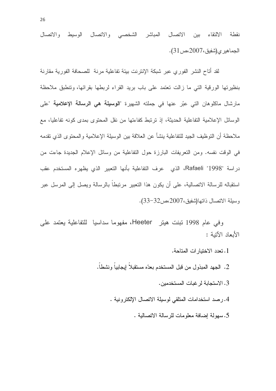المباشر الشخصبي والاتصال الوسيط والاتصال نقطة الالتقاء ببن الاتصال الجماهير ي(شفيق،2007،ص31).

لقد أتاح النشر الفوري عبر شبكة الإنترنت بيئة تفاعلية مرنة للصحافة الفورية مقارنة بنظيرتها الورقية التي ما زالت تعتمد على باب بريد القراء لربطها بقرائها، وتنطبق ملاحظة مارشال ماكلوهان التي عبّر عنها في جملته الشهيرة "**الوسيلة هي الرسالة الإعلامية** "علي الوسائل الإعلامية التفاعلية الحديثة، إذ نرتبط كفاءتها من نقل المحتوى بمدى كونه تفاعليا، مع ملاحظة أن التوظيف الجيد للتفاعلية ينشأ عن العلاقة بين الوسيلة الإعلامية والمحتوى الذي تقدمه في الوقت نفسه. ومن التعريفات البارزة حول التفاعلية من وسائل الإعلام الجديدة جاءت من دراسة "Rafaeli "1998، الذي عرف التفاعلية بأنها النعبير الذي يظهره المستخدم عقب استقباله للرسالة الاتصالية، على أن يكون هذا التعبير مرتبطا بالرسالة ويصل إلى المرسل عبر وسيلة الاتصال ذاتها(شفيق،2007،ص32–33).

وفي عام 1998 نَبِنت هينر Heeter، مفهوما سداسيا للتفاعلية يعتمد على الأبعاد الآتبة :

- 1. تعدد الاختبار ات المتاحة.
- 2. الجهد المبذول من قبل المستخدم بعدّه مستقبلاً إيجابياً ونشطاً.
	- 3. الاستجابة لر غبات المستخدمين.
	- 4.رصد استخدامات المتلقى لوسيلة الاتصال الإلكترونية .
		- 5. سهولة إضافة معلومات للرسالة الاتصالية .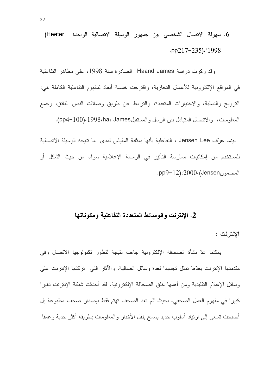6. سهولة الاتصال الشخصبي بين جمهور الوسيلة الاتصالية الواحدة (Heeter .pp217-235)."1998

وقد ركزت در اسة Haand James الصادر ة سنة 1998، على مظاهر التفاعلية في المواقع الإلكترونية للأعمال التجارية، واقترحت خمسة أبعاد لمفهوم التفاعلية الكاملة هي: الترويح والتسلية، والاختيارات المتعددة، والترابط عن طريق وصلات النص الفائق، وجمع المعلومات، والاتصال المتبادل بين الرسل والمستقبلJ998،ha، James). (100-pp4).

بينما عرَّف Jensen Lee ، التفاعلية بأنها بمثابة المقياس لمدى ما تتيجه الوسيلة الاتصالية للمستخدم من إمكانيات ممارسة التأثير في الرسالة الإعلامية سواء من حيث الشكل أو المضمون 2000، (Jensen.

### 2. الإنترنت والوسائط المتعددة التفاعلية ومكوناتها

الانترنت :

يمكننا عدّ نشأة الصحافة الإلكترونية جاءت نتيجة لتطور تكنولوجيا الاتصال وفي مقدمتها الإنترنت بعدّها تمثل تجسيدا لعدة وسائل اتصالية، والأثار التي تركتها الإنترنت على وسائل الإعلام التقليدية ومن أهمها خلق الصحافة الإلكتر ونية. لقد أحدثت شبكة الإنترنت تغير ا كبيرا في مفهوم العمل الصحفي، بحيث "لم تعد الصحف تهتم فقط بإصدار صحف مطبوعة بل أصبحت تسعى إلى ارتياد أسلوب جديد يسمح بنقل الأخبار والمعلومات بطريقة أكثر جدية وعمقا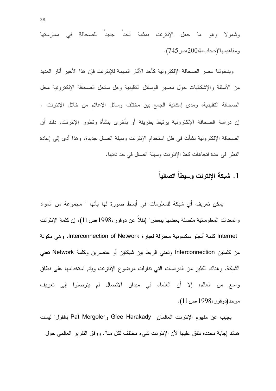وشمولا وهو ما جعل الإنترنت بمثابة تحدِّ جديد للصحافة في ممارستها و مفاهيمها"(حجاب،2004).

وبدخولنا عصر الصحافة الإلكترونية كأحد الآثار المهمة للإنترنت فإن هذا الأخير أثار العديد من الأسئلة والإشكاليات حول مصير الوسائل النقليدية وهل ستحل الصحافة الإلكترونية محل الصحافة النقليدية، ومدى إمكانية الجمع بين مختلف وسائل الإعلام من خلال الإنترنت . إن دراسة الصحافة الإلكترونية يرتبط بطريقة أو بأخرى بنشأة وتطور الإنترنت، ذلك أن الصحافة الإلكترونية نشأت في ظل استخدام الإنترنت وسيلة اتصال جديدة، وهذا أدى إلى إعادة النظر في عدة اتجاهات كعدّ الإنترنت وسيلة اتصال في حد ذاتها.

# 1. شبكة الإنترنت وسيطاً اتصالباً

يمكن تعريف أي شبكة للمعلومات في أبسط صورة لها بأنها " مجموعة من المواد والمعدات المعلوماتية متصلة بعضها ببعض" (نقلا عن دوفور ،1998،ص11)، إن كلمة الإنترنت Internet كلمة أنجلو سكسونية مختزلة لعبارة Interconnection of Network، وهي مكونة من كلمتين Interconnection وتعني الربط بين شبكتين أو عنصرين وكلمة Network تعني الشبكة. وهناك الكثير من الدراسات التي نتاولت موضوع الإنترنت ويتم استخدامها على نطاق واسع من العالم، إلا أن العلماء في ميدان الانصال لم يتوصلوا إلى نعريف موحد(دوفور ،1998،ص11).

يجيب عن مفهوم الإنترنت العالمان Glee Harakady و Pat Mergoler بالقول" ليست هناك إجابة محددة نتفق عليها لأن الإنترنت شيء مختلف لكل منا". ووفق التقرير العالمي حول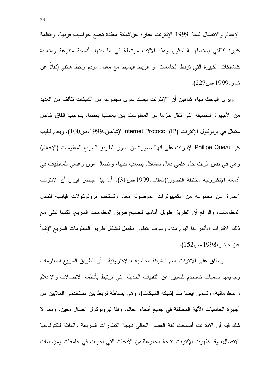الإعلام والاتصال لسنة 1999 الإنترنت عبارة عن"شبكة معقدة تجمع حواسيب فردية، وأنظمة كبيرة كاللتي يستعملها الباحثون وهذه الألات مرنبطة في ما بينها بأنسجة متنوعة ومتعددة كالشبكات الكبيرة التي تربط الجامعات أو الربط البسيط مع معدل مودم وخط هاتفي"(نقلا عن شمو ،1999،ص227).

وير ي الباحث بهاء شاهين أن "الإنترنت ليست سو ي مجموعة من الشبكات نتألف من العديد من الأجهز ة المضبفة التي نتقل حز ما من المعلومات بين بعضها بعضا، بموجب اتفاق خاص متمثل في برتوكول الإنترنت internet Protocol (IP) "(شاهين،1999) مص100). ويقدم فيليب كو Philipe Queau الإنترنت على أنها" صورة من صور الطريق السريع للمعلومات (الإعلام) وهي في نفس الوقت حل علمي فعّال لمشاكل بصعب حلها، وانصال مرن وعلمي للمعطيات في أدمغة الإلكترونية مختلفة التصور"(العقاب،1999،ص31). أما بيل جيتس فيرى أن الإنترنت "عبارة عن مجموعة من الكمبيوترات الموصولة معا، وتستخدم بروتوكولات قياسية لتبادل المعلومات، والواقع أن الطريق طويل أمامها لنصبح طريق المعلومات السريع، لكنها نبقى مع ذلك الاقتراب الأكبر لنا اليوم منه، وسوف تتطور بالفعل لتشكل طريق المعلومات السريع "(نقلا عن جيتس، 1998،ص152).

ويطلق على الإنترنت اسم " شبكة الحاسبات الإكترونية " أو الطريق السريع للمعلومات وجميعها تسميات تستخدم للتعبير عن التقنيات الحديثة التي ترتبط بأنظمة الاتصالات والإعلام والمعلوماتية، ونسمى أيضا بـــ (شبكة الشبكات)، وهي ببساطة نربط بين مستخدمي الملايين من أجهزة الحاسبات الألية المختلفة في جميع أنحاء العالم، وفقا لبرونوكول انصال معين. ومما لا شك فيه أن الإنترنت أصبحت لغة العصر الحالي نتيجة النطورات السريعة والهائلة لنكنولوجيا الاتصال، وقد ظهرت الإنترنت نتيجة مجموعة من الأبحاث التي أجريت في جامعات ومؤسسات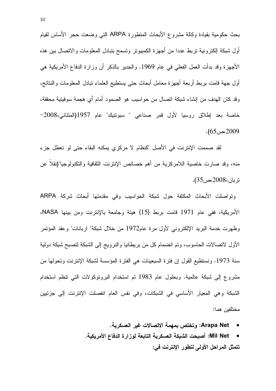بحث حكومية بقيادة وكالة مشروع الأبحاث المنطورة ARPA التبي وضعت حجر الأساس لقيام أول شبكة إلكترونية تربط عددا من أجهزة الكمبيوتر وتسمح بتبادل المعلومات والاتصال بين هذه الأجهزة وقد بدأت العمل الفعلي في عام 1969. والجدير بالذكر أن وزارة الدفاع الأمريكية هي أول جهة قامت بربط أربعة أجهزة معامل أبحاث حتى بستطيع العلماء نبادل المعلومات والنتائج، وقد كان الهدف من إنشاء شبكة اتصال من حواسيب هو الصمود أمام أي هجمة سوفيتية محققة، خاصة بعد إطلاق روسيا لأول قمر صناعي " سبونتيك" عام 1957(المثناني،2008–  $. (65)$ ص 2009.

لقد صممت الإنترنت في الأصل "كنظام لا مركزي يمكنه البقاء حتى لو تعطل جزء منه، وقد صارت خاصية اللامركزية من أهم خصائص الإنترنت الثقافية والتكنولوجيا"(نقلاً عن نر بان، 2008،ص35).

وتواصلت الأبحاث المكثفة حول شبكة الحواسيب وفي مقدمتها أبحاث شركة ARPA الأمريكية، ففي عام 1971 قامت بربط {15} هيئة وجامعة بالإنترنت ومن بينها NASA، وظهرت خدمة البريد الإلكتروني لأول مرة عام1972 من خلال شبكة" اربانات" وعقد المؤتمر الأول لاتصالات الحاسوب، ونم انضمام كل من بريطانيا والنرويج إلى الشبكة لتصبح شبكة دولية سنة 1973. ونستطيع القول إن فترة السبعينات هي الفترة المؤسسة لشبكة الإنترنت وتحولها من مشروع إلى شبكة عالمية. وبحلول عام 1983 تم استخدام البروتوكولات التي تنظم استخدام الشبكة وهي المعيار الأساسي في الشبكات، وفي نفس العام انفصلت الإنترنت إلى جزئيين مختلفين هما:

- Arapa Net: وتختص بمهمة الاتصالات غير العسكرية.
- Mil Net: أصبحت الشبكة العسكرية التابعة لوزارة الدفاع الأمريكية. تتمثل المراحل الأولى لتطور الإنترنت في: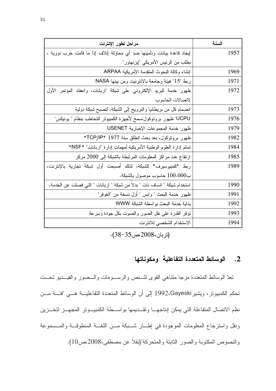| مراحل تطور الإنترنت                                                       | السنة |
|---------------------------------------------------------------------------|-------|
| لِيجاد قاعدة بيانات وتأمينها ضد أي محاولة لِتلاف لِذا ما قامت حرب نووية ، | 1957  |
| بطلب من الرئيس الأمريكي "إيزنهاور"                                        |       |
| إنشاء وكالة البحوث المتقدمة الأمريكية ARPAA                               | 1969  |
| ربط "15" هيئة وجامعة بالانترنيت ومن بينها NASA                            | 1971  |
| ظهور خدمة البريد الإلكتروني على شبكة "اربانات، وانعقاد المؤتمر الأول      | 1972  |
| لاتصالات الحاسوب                                                          |       |
| انضمام كل من بريطانيا والنرويج إلى الشبكة، لتصبح شبكة دولية               | 1973  |
| UCPU" ظهور برونوكول،سمح لأجهزة الكمبيونر للتخاطب بنظام " يونيكس"          | 1976  |
| ظهور خدمة المجموعات الإخبارية USENET                                      | 1979  |
| ظهور برونوكول، بعد بحث انطلق سنة 1977 *TCP/IP*                            | 1982  |
| تسلم إدارة العلوم الوطنية الأمريكية لمهمات إدارة "اربانات" *NSF*          | 1984  |
| ارتفاع عدد مراكز المعلومات المرتبطة بالشبكة إلى 2000 مركز                 | 1985  |
| ربط *كمبيوسيرف* للشبكة، لذلك أصبحت أول شبكة تجارية بالإنترنت،             | 1989  |
| ب100.000 حاسوب موصول بالشبكة.                                             |       |
| استخدام شبكة " انساف نات " بدلاً من شبكة " اربانات " التي فصلت عن الخدمة. | 1990  |
| ظهور خدمة البحث " وايس " أول نسخة من "الغوفر"                             | 1991  |
| بداية خدمة البحث بواسطة الشبكة WWW                                        | 1992  |
| نوفر القدرة على نقل الصور والصوت بكل جودة وسرعة                           | 1993  |
| الاستخدام الشخصى للانترنت                                                 | 1994  |

 $(38-35)$ (تربان، 2008ء).

## 2. الوسائط المتعددة التفاعلية ومكوناتها

تعدّ الوسائط المتعددة مزجا منتاهي القوى للسنص والرسومات والسصور والفيسديو تحست تحكم الكمبيوتر، ويشير 1992،Gayeski إلى أن الوسائط المتعددة التفاعليـــة هـــي "فئـــة مـــن نظم الاتصال المتفاعلة التي يمكن إنتاجهـا وتقـديمها بواسـطة الكمبيـوتر المجهــز لتخــزين ونقل واسترجاع المعلومات الموجودة في إطــار شــبكة مــن اللغــة المنطوقــة والمــسموعة والنصوص المكتوبة والصور الثابتة والمتحركة"(نقلاً عن مصطفى،2008،ص10).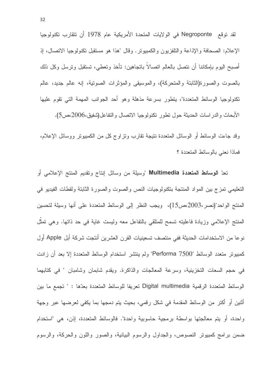لقد توقع Negroponte في الولايات المتحدة الأمريكية عام 1978 أن تتقارب تكنولوجيا الإعلام: الصحافة والإذاعة والتلفزيون والكمبيونر. وقال "هذا هو مستقبل نكنولوجيا الاتصال، إذ أصبح اليوم بإمكاننا أن نتصل بالعالم اتصالا باتجاهين: تأخذ وتعطي، تستقبل وترسل وكل ذلك بالصوت والصورة(الثابتة والمتحركة)، والموسيقى والمؤثرات الصونية، إنه عالم جديد، عالم نكنولوجيا الوسائط المتعددة"، يتطور بسرعة مذهلة وهو أحد الجوانب المهمة التي تقوم عليها الأبحاث والدراسات الحديثة حول نطور نكنولوجيا الاتصال والنفاعل(شفيق،2006،ص5).

وقد جاءت الوسائط أو الوسائل المتعددة نتيجة نقارب ونز اوج كل من الكمبيونز ووسائل الإعلام، فماذا نعني بالوسائط المتعددة ؟

تعدّ ا**لوسائط المتعددة Multimedia** "وسيلة من وسائل إنتاج وتقديم المنتج الإعلامي أو التعليمي تمزج بين المواد المنتجة بتكنولوجيات النص والصوت والصورة الثابتة ولقطات الفيديو في المنتج الواحد"(نصر،2003،ص15)، ويجب النظر إلى الوسائط المتعددة على أنها وسيلة لتحسين المنتج الإعلامي وزيادة فاعليته تسمح للمتلقى بالتفاعل معه وليست غاية في حد ذاتها. وهي تمثل نوعا من الاستخدامات الحديثة ففي منتصف تسعينيات القرن العشرين أنتجت شركة أبل Apple أول كمبيوتر متعدد الوسائط "Performa 7500" ولم ينتشر استخدام الوسائط المتعددة إلا بعد أن زادت في حجم السعات التخزينية، وسرعة المعالجات والذاكرة. ويقدم شابمان وشامبان " في كتابهما الوسائط المتعددة الرقمية Digital multimedia تعريفا للوسائط المتعددة بعدّها : " تجمع ما بين أثنين أو أكتر من الوسائط المقدمة في شكل رقمي، بحيث يتم دمجها بما يكفي لعرضها عبر وجهة واحدة، أو يتم معالجتها بواسطة برمجية حاسوبية واحدة". فالوسائط المتعددة، إذن، هي "استخدام ضمن برامج كمبيونر النصوص، والجداول والرسوم البيانية، والصور واللون والحركة، والرسوم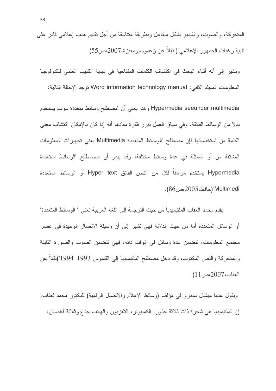المتحركة، والصوت، والفيديو بشكل متفاعل وبطريقة متناسقة من أجل نقديم هدف إعلامي قادر على تلبية رغبات الجمهور الإعلامي"( نقلاً عن زعموم،بومعيزة،2007،ص55) .

ونشير إلى أنه أثناء البحث في اكتشاف الكلمات المفتاحية في نهاية الكتيب العلمي لتكنولوجيا المعلومات المجلد الثاني: Word information technology manual توجد الإحالة التالية:

Hypermedia seeunder multimedia وهذا يعني أن "مصطلح وسائط متعددة سوف يستخدم بدلًا من الوسائط الفائقة. وفي سياق العمل نبرر فكرة مفادها أنه إذا كان بالإمكان اكتشاف معنى الكلمة من استخدماتها فإن مصطلح "الوسائط المتعددة Multimedia يعني تجهيزات المعلومات المشتقة من أو الممثلة في عدة وسائط مختلفة، وقد يبدو أن المصطلح "الوسائط المتعددة Hypermedia يستخدم مرادفاً لكل من النص الفائق Hyper text أو الوسائط المتعددة Multimedi"(حافظ،2005،ص86).

يقدم محمد العقاب الملتيميديا من حيث الترجمة إلى اللغة العربية تعني " الوسائط المتعددة" أو الوسائل المتعددة أما من حيث الدلالة فهي تشير إلى أن وسيلة الاتصال الوحيدة في عصر مجتمع المعلومات، نتضمن عدة وسائل في الوقت ذاته، فهي نتضمن الصوت والصورة الثابتة والمتحركة والنص المكتوب، وقد دخل مصطلح الملتيميديا إلى القاموس 1993–1994"(نقلاً عن العقاب،2007 مص11).

ويقول عنها ميشال سيدرو في مؤلف (وسائط الإعلام والاتصال الرقمية) للدكتور محمد لعقاب: إن الملتيميديا هي شجرة ذات ثلاثة جذور : الكمبيوتر ، التلفزيون والهاتف جذع وثلاثة أغصان: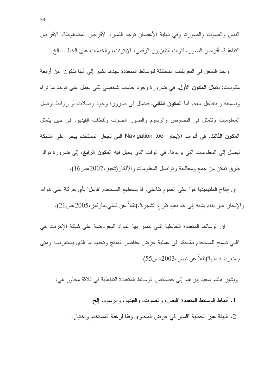النص والصوت والصورة، وفي نهاية الأغصان توجد الثمار: الأقراص المضغوطة، الأقراص النفاعلية، أقراص الصور، قنوات النلفزيون الرقمي، الإنترنت، والخدمات على الخط ...الخ.

وعند النمعن في النعريفات المختلفة للوسائط المتعددة نجدها تشير إلى أنها نتكون ٍ من أربعة مكونات: يتمثّل ا**لمكون الأول،** في ضرورة وجود حاسب شخصي لكي يعمل على توحد ما نراه ونسمعه و نتفاعل معه. أما ا**لمكون الثاني**، فيتمثَّل في ضرورة وجود وصلات أو روابط توصل المعلومات وتتمثَّل في النصوص والرسوم والصور الصوت ولقطات الفيديو. في حين يتمثَّل المكون الثالث، في أدوات الإبحار Navigation tool التي تجعل المستخدم يبحر على الشبكة ليصل إلى المعلومات التي يريدها. في الوقت الذي يحيل فيه ا**لمكون الرابع،** إلى ضرورة توافر طرق تمكن من جمع ومعالجة وتواصل المعلومات والأفكار (شفيق،2007،ص16).

إن إنتاج الملتيميديا هو" على العموم تفاعلي. إذ يستطيع المستخدم "فاعل" بأي حركة على هواه، والإبحار عبر بناء يشبه إلى حد بعيد نفر ع الشجرة".(نقلاً عن لسلي،ماركيز،2005،ص21).

إن الوسائط المتعددة التفاعلية التي تتميز بها المواد المعروضة على شبكة الإنترنت هي "التي تسمح للمستخدم بالتحكم في عملية عرض عناصر المنتج وتحديد ما الذي يستعرضه ومتي يستعرضه منها"(نقلا عن نصر ،2003،ص55).

ويشير هاشم سعيد إبراهيم إلى خصائص الوسائط المتعددة التفاعلية في ثلاثة محاور هي:

1. أنماط الوسائط المتعددة "النص، والصوت، والفيديو، والرسوم، إلخ. 2. البيئة غير الخطية "السير في عرض المحتوى وفقا لرغبة المستخدم واختيار .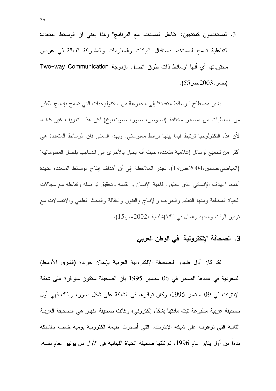3. المستخدمون كمنتجين: "تفاعل المستخدم مع البرنامج" وهذا يعني أن الوسائط المتعددة التفاعلية نسمح للمستخدم باستقبال البيانات والمعلومات والمشاركة الفعالة في عرض محتوياتها أي أنها "وسائط ذات طرق اتصال مزدوجة Two–way Communication (نصر ،2003،ص55).

يشير مصطلح " وسائط متعددة" إلى مجموعة من النكنولوجيات التي تسمح بإدماج الكثير من المعطيات من مصادر مختلفة (نصوص، صور، صوت،إلخ) لكن هذا النعريف غير كاف، لأن هذه التكنولوجيا ترتبط فيما بينها برابط معلوماتي. وبهذا المعنى فإن الوسائط المتعددة هي أكثر من تجميع لوسائل إعلامية متعددة، حيث أنه يحيل بالأحرى إلى اندماجها بفضل المعلوماتية" (العياضي،صادق،2004،ص19). تجدر الملاحظة إلى أن أهداف إنتاج الوسائط المتعددة عديدة أهمها "الهدف الإنساني الذي يحقق رفاهية الإنسان و نقدمه وتحقيق نواصله ونفاعله مع مجالات الحياة المختلفة ومنها التعليم والندريب والإنتاج والفنون والثقافة والبحث العلمى والاتصالات مع توفير الوقت والجهد والمال في ذلك"(شلبابة ،2002،ص15).

## 3. الصحافة الإلكترونية ً في الوطن العربي

لقد كان أول ظهور للصحافة الإلكترونية العربية بإعلان جريدة (الشرق الأوسط) السعودية في عددها الصادر في 06 سبتمبر 1995 بأن الصحيفة ستكون متوافرة على شبكة الإنترنت في 09 سبتمبر 1995، وكان توافرها في الشبكة على شكل صور، وبذلك فهي أول صحيفة عربية مطبوعة نبث مادتها بشكل الكتروني، وكانت صحيفة النهار هي الصحيفة العربية الثانية التي توافرت على شبكة الإنترنت، التي أصدرت طبعة الكترونية يومية خاصة بالشبكة بدءا من أول يناير عام 1996، تم تلتها صحيفة ا**لحياة** اللبنانية في الأول من يونيو العام نفسه،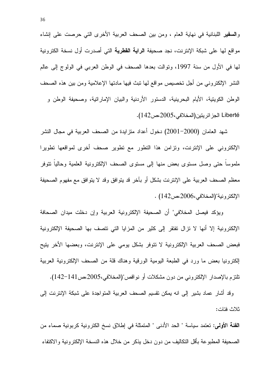وا**لسفير** اللبنانية في نهاية العام ، ومن بين الصحف العربية الأخرى التي حرصت على إنشاء مواقع لها على شبكة الإنترنت، نجد صحيفة ا**لراية القطرية** التي أصدرت أول نسخة الكترونية لَّها في الأول من سنة 1997، وتوالت بعدها الصحف في الوطن العربي في الولوج إلى عالم النشر ِ الإلكتروني من أجل تخصيص مواقع لمها تبث فيها مادتها الإعلامية ومن بين هذه الصحف الوطن الكويتية، الأيام البحرينية، الدستور الأردنية والبيان الإماراتية، وصحيفة الوطن و Liberté الجز ائريتين (المخلافي،2005).

شهد العامان (2000–2001) دخول أعداد متزايدة من الصحف العربية في مجال النشر الإلكتروني على الإنترنت، وتزامن هذا التطور مع تطوير صحف أخرى لمواقعها تطويرا ملموسا حتى وصل مستوى بعض منها إلى مستوى الصحف الإلكترونية العلمية وحاليا نتوفر معظم الصحف العربية على الإنترنت بشكل أو بآخر قد يتوافق وقد لا يتوافق مع مفهوم الصحيفة الإلكترونية"(المخلافي،2006،ص142) .

ويؤكد فيصل المخلافي" أن الصحيفة الإلكترونية العربية وإن دخلت ميدان الصحافة الإلكترونية إلا أنها لا نزال نفتقر إلى كثير من المزايا التي نتصف بها الصحيفة الإلكترونية فبعض الصحف العربية الإلكترونية لا نتوفر بشكل يومي على الإنترنت، وبعضها الأخر يتيح الكترونيا بعض ما ورد في الطبعة اليومية الورقية وهناك قلة من الصحف الإلكترونية العربية نلتزم بالإصدار الإلكتروني من دون مشكلات أو نواقص"(المخلافي،2005،ص141–142).

وقد أشار عماد بشير إلى انه يمكن تقسيم الصحف العربية المتواجدة على شبكة الإنترنت إلى ثلاث فئات:

الفئة الأولى: تعتمد سياسة " الحد الأدنى " المتمثلة في إطلاق نسخ الكترونية كربونية صماء من الصحيفة المطبوعة بأقل التكاليف من دون دخل يذكر ٍ من خلال هذه النسخة الإلكتر ونية والاكتفاء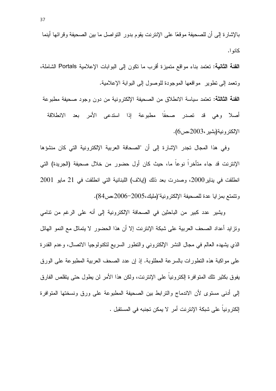بالإشار ة إلى أن للصحيفة موقعًا على الإنترنت يقوم بدور التواصل ما بين الصحيفة وقرائها أينما كانو ا.

الفئة الثانية: تعتمد بناء مواقع متميزة أقرب ما نكون إلى البوابات الإعلامية Portals الشاملة، ونعمد إلى نطوير ً مواقعها الموجودة للوصول إلى البوابة الإعلامية.

الفئة الثالثة: تعتمد سياسة الانطلاق من الصحيفة الإلكترونية من دون وجود صحيفة مطبوعة أصلا وهي قد تصدر صحفا مطبوعة إذا استدعى الأمر بعد الانطلاقة الإلكترونية(بشير،2003،ص6).

وفي هذا المجال تجدر الإشارة إلى أن "الصحافة العربية الإلكترونية التي كان منشؤها الإنترنت قد جاء متأخراً نوعاً ما، حيث كان أول حضور من خلال صحيفة (الجريدة) التي انطلقت في بناير 2000، وصدر ت بعد ذلك (إيلاف) اللبنانية التي انطلقت في 21 مايو 2001 ونتمتع بمزايا عدة للصحيفة الإلكترونية"(مليك،2005-2006مص84).

ويشير عدد كبير من الباحثين في الصحافة الإلكترونية إلى أنه على الرغم من تنامي وتز ايد أعداد الصحف العربية على شبكة الإنترنت إلا أن هذا الحضور لا يتماثل مع النمو الهائل الذي يشهده العالم في مجال النشر الإلكتروني والنطور السريع لنكنولوجيا الانصال، وعدم القدرة على مواكبة هذه النطورات بالسرعة المطلوبة. إذ إن عدد الصحف العربية المطبوعة على الورق بفوق بكثير تلك المتوافرة إلكترونيا على الإنترنت، ولكن هذا الأمر لن يطول حتى يتقلص الفارق إلى أدنى مستوى لأن الاندماج والترابط بين الصحيفة المطبوعة على ورق ونسختها المتوافرة الكترونياً على شبكة الإنترنت أمر لا يمكن تجنبه في المستقبل .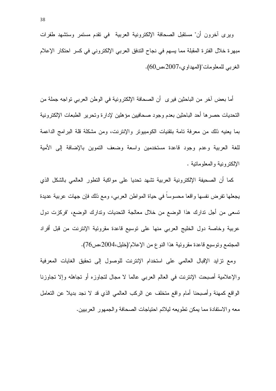أما بعض آخر من الباحثين فير ي أن الصحافة الإلكتر ونية في الوطن العربي تواجه جملة من التحديات حصرها أحد الباحثين بعدم وجود صحافيين مؤهلين لإدارة وتحرير الطبعات الإلكترونية بما يعنيه ذلك من معرفة نامة بتقنيات الكومبيونر والإنترنت، ومن مشكلة قلة البرامج الداعمة للغة العربية وعدم وجود فاعدة مستخدمين واسعة وضعف النموين بالإضافة إلىي الأمية الإلكترونية والمعلوماتية .

كما أن الصحيفة الإلكترونية العربية نشهد نحديا على مواكبة النطور العالمي بالشكل الذي يجعلها نفرض نفسها واقعا محسوسا في حياة المواطن العربي، ومع ذلك فإن جهات عربية عديدة تسعى من أجل تدارك هذا الوضع من خلال معالجة التحديات وتدارك الوضع، "فركزت دول عربية وخاصة دول الخليج العربي منها على نوسيع فاعدة مقروئية الإنترنت من قبل أفراد المجتمع وتوسيع قاعدة مقروئية هذا النوع من الإعلام"(خليل،2004،ص76).

ومع نزايد الإقبال العالمي على استخدام الإنترنت للوصول إلى تحقيق الغايات المعرفية والإعلامية أصبحت الإنترنت في العالم العربي عالما لا مجال لتجاوزه أو تجاهله وإلا تجاوزنا الواقع كمهنة وأصبحنا أمام واقع متخلف عن الركب العالمي الذي قد لا نجد بديلا عن التعامل معه والاستفادة مما يمكن تطويعه ليلائم احتياجات الصحافة والجمهور العربيين.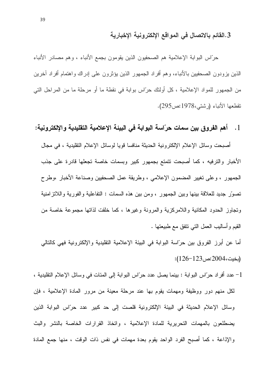## 3.القائم بالاتصال في المواقع الإلكترونية الإخبارية

حرَّاس البوابة الإعلامية هم الصحفيون الذين يقومون بجمع الأنباء ، وهم مصادر الأنباء الذين يزودون الصحفيين بالأنباء، وهم أفراد الجمهور الذين يؤثرون على إدراك واهتمام أفراد أخرين من الجمهور للمواد الإعلامية ، كل أولئك حرّاس بوابة في نقطة ما أو مرحلة ما من المراحل التي نقطعها الأنباء (رشتي،1978:ص295).

## 1. أهم الفروق بين سمات حرّاسة البوابة في البيئة الإعلامية التقليدية والإلكترونية:

أصبحت وسائل الإعلام الإلكترونية الحديثة منافسا قويا لوسائل الإعلام التقليدية ، في مجال الأخبار والترفيه ، كما أصبحت تتمتع بجمهور كبير وبسمات خاصة تجعلها قادرة على جذب الجمهور ، وعلى نغيير المضمون الإعلامي ، وطريقة عمل الصحفيين وصناعة الأخبار ،وطرح تصوَّر جديد للعلاقة بينها وبين الجمهور ، ومن بين هذه السمات : التفاعلية والفورية واللانزامنية وتجاوز الحدود المكانية واللامركزية والمرونة وغيرها ، كما خلقت لذاتها مجموعة خاصة من القيم وأساليب العمل التبي نتفق مع طبيعتها .

أما عن أبرز الفروق بين حرّاسة البوابة في البيئة الإعلامية التقليدية والإلكترونية فهي كالتالي (بخيت،2004:ص123–126):

1– عدد أفراد حرّاس البوابة : بينما يصل عدد حرّاس البوابة إلى المئات في وسائل الإعلام النقليدية ، لكل منهم دور ووظيفة ومهمات يقوم بها عند مرحلة معينة من مرور المادة الإعلامية ، فإن وسائل الإعلام الحديثة في البيئة الإلكترونية قلصت إلى حد كبير عدد حرّاس البوابة الذين يضطلعون بالمهمات التحريرية للمادة الإعلامية ، واتخاذ القرارات الخاصة بالنشر والبث والإذاعة ، كما أصبح الفرد الواحد يقوم بعدة مهمات في نفس ذات الوقت ، منها جمع المادة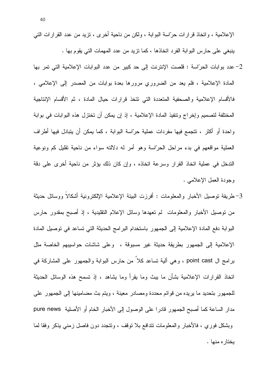الإعلامية ، وانخاذ قرارات حرَّاسة البوابة ، ولكن من ناحية أخرى ، نزيد من عدد القرارات التي ينبغي على حارس البوابة الفرد اتخاذها ، كما نزيد من عدد المهمات التي يقوم بها .

- 2– عدد بوابات الحرّاسة : قلصت الإنترنت إلى حد كبير من عدد البوابات الإعلامية التي تمر بها المعادة الإعلامية ، فلم يعد من الضروري مرورها بعدة بوابات من المصدر إلى الإعلامي ، فالأقسام الإعلامية والصحفية المتعددة التي نتخذ قرارات حيال المادة ، ثم الأقسام الإنتاجية المختلفة لتصميم وإخراج وتتفيذ المادة الإعلامية ، إذ إن يمكن أن تختزل هذه البوابات في بوابة واحدة أو أكثر ، تتجمع فيها مفردات عملية حرّاسة البوابة ، كما يمكن أن يتبادل فيها أطراف العملية مواقعهم في بدء مراحل الحرّاسة وهو أمر له دلالته سواء من ناحية نقليل كم ونوعية الندخل في عملية اتخاذ القرار وسرعة اتخاذه ، وإن كان ذلك يؤثر من ناحية أخرى على دقة وجودة العمل الإعلامي .
- 3–طريقة نوصيل الأخبار والمعلومات : أفرزت البيئة الإعلامية الإلكترونية أشكالا ووسائل حديثة من نوصيل الأخبار والمعلومات ً لم نعهدها وسائل الإعلام النقليدية ، إذ أصبح بمقدور حارس البوابة دفع المادة الإعلامية إلى الجمهور باستخدام البرامج الحديثة التي تساعد في توصيل المادة الإعلامية إلى الجمهور بطريقة حديثة غير مسبوقة ، وعلى شاشات حواسيبهم الخاصة مثل برامج ال point cast ، وهي ألية تساعد كلاً من حارس البوابة والجمهور على المشاركة في اتخاذ القرارات الإعلامية بشأن ما ببث وما بقرأ وما بشاهد ، إذ تسمح هذه الوسائل الحديثة للجمهور بتحديد ما يريده من قوائم محددة ومصادر معينة ، ويتم بث مضامينها إلىي الجمهور على مدار الساعة كما أصبح الجمهور قادرا على الوصول إلى الأخبار الخام أو الأصلية pure news وبشكل فوري ، فالأخبار والمعلومات نتدافع بلا نوقف ، ونتجدد دون فاصل زمني يذكر وفقا لما يختار ه منها .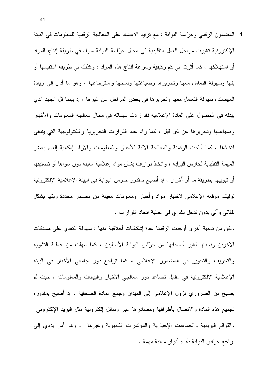4– المضمون الرقمي وحرّاسة البوابة : مع نزايد الاعتماد على المعالجة الرقمية للمعلومات في البيئة الإلكترونية تغيرت مراحل العمل التقليدية في مجال حرّاسة البوابة سواء في طريقة إنتاج المواد أو استهلاكها ، كما أثرت في كم وكيفية وسرعة إنتاج هذه المواد ، وكذلك في طريقة استقبالها أو بثها وسهولة النعامل معها ونحريرها وصياغتها ونسخها واسترجاعها ، وهو ما أدى إلىي زيادة المهمات وسهولة النعامل معها وتحرير ها في بعض المراحل عن غير ها ، إذ بينما قل الجهد الذي ببذله في الحصول على المادة الإعلامية فقد ز ادت مهماته في مجال معالجة المعلومات و الأخبار وصياغتها وتحريرها عن ذي قبل ، كما زاد عدد القرارات التحريرية والتكنولوجية التي ينبغي اتخاذها ، كما أتاحت الرفمنة والمعالجة الآلية للأخبار والمعلومات والأراء إمكانية إلغاء بعض المهمة النقليدية لحارس البوابة ، واتخاذ قرارات بشأن مواد إعلامية معينة دون سواها أو نصنيفها أو نبويبها بطريقة ما أو أخرى ، إذ أصبح بمقدور حارس البوابة في البيئة الإعلامية الإلكترونية توليف موقعه الإعلامي لاختيار مواد وأخبار ومعلومات معينة من مصادر محددة وبثها بشكل نلقائي وألىي بدون ندخل بشري في عملية انخاذ القرارات .

ولكن من ناحية أخرى أوجدت الرقمنة عدة إشكاليات أخلاقية منها : سهولة النعدى على ممتلكات الأخرين ونسبتها لغير أصحابها من حرّاس البوابة الأصليين ، كما سهلت من عملية التشويه والنحريف والنحوير في المضمون الإعلامي ، كما نراجع دور جامعي الأخبار في البيئة الإعلامية الإلكترونية في مقابل تصاعد دور معالجي الأخبار والبيانات والمعلومات ، حيث لم يصبح من الضروري نزول الإعلامي إلى الميدان وجمع المادة الصحفية ، إذ أصبح بمقدوره نجميع هذه المادة والانصال بأطرافها ومصادرها عبر وسائل إلكترونية مثل البريد الإلكترونبي والقوائم البريدية والجماعات الإخبارية والمؤتمرات الفيديوية وغيرها ، وهو أمر يؤدي إلى تراجع حرّاس البوابة بأداء أدوار مهنية مهمة .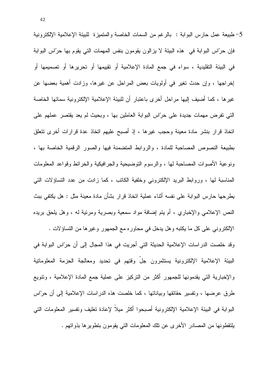5– طبيعة عمل حارس البوابة : بالرغم من السمات الخاصة والمتميزة للبيئة الإعلامية الإلكترونية فإن حرَّاس البوابة في هذه البيئة لا يزالون يقومون بنفس المهمات التي يقوم بها حرَّاس البوابة في البيئة التقليدية ، سواء في جمع المادة الإعلامية أو تقييمها أو تحريرها أو تصميمها أو إخراجها ، وإن حدث تغير في أولويات بعض المراحل عن غيرها، وزادت أهمية بعضها عن غير ها ، كما أضيف إليها مراحل أخرى باعتبار أن للبيئة الإعلامية الإلكترونية سماتها الخاصة التي تفرض مهمات جديدة على حرّاس البوابة العاملين بها ، وبحيث لم يعد يقتصر عملهم على اتخاذ قرار بنشر مادة معينة وحجب غيرها ، إذ أصبح عليهم اتخاذ عدة قرارات أخرى نتعلق بطبيعة النصوص المصاحبة للمادة ، والروابط المتضمنة فيها والصور الرقمية الخاصة بها ، ونوعية الأصوات المصاحبة لها ، والرسوم التوضيحية والجرافيكية والخرائط وقواعد المعلومات المناسبة لها ، وروابط البريد الإلكتروني وخلفية الكاتب ، كما زادت من عدد التساؤلات التي بطرحها حارس البوابة على نفسه أثناء عملية اتخاذ قرار بشأن مادة معينة مثل : هل يكتفي ببث النص الإعلامي والإخباري ، أم يتم إضافة مواد سمعية وبصرية ومرئية له ، وهل يلحق بريده

الإلكتروني على كل ما يكتبه وهل يدخل في محاوره مع الجمهور وغيرها من التساؤلات . وقد خلصت الدراسات الإعلامية الحديثة التي أجريت في هذا المجال إلى أن حرّاس البوابة في البيئة الإعلامية الإلكترونية يستثمرون جلَّ وقتهم في تحديد ومعالجة الحزمة المعلوماتية والإخبارية التي يقدمونها للجمهور أكثر من التركيز على عملية جمع المادة الإعلامية ، ونتويع طرق عرضها ، ونفسير حقائقها وبياناتها ، كما خلصت هذه الدراسات الإعلامية إلىي أن حرَّاس البوابة في البيئة الإعلامية الإلكترونية أصبحوا أكثر ميلاً لإعادة نغليف ونفسير المعلومات التبي يلتقطونها من المصادر الأخرى عن نلك المعلومات التي يقومون بتطويرها بذواتهم .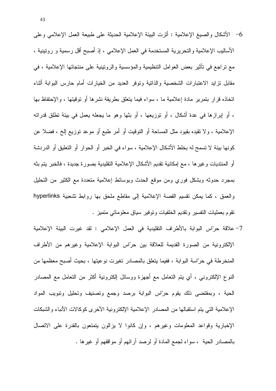- 6– الأشكال والصيغ الإعلامية : أثرت البيئة الإعلامية الحديثة على طبيعة العمل الإعلامي وعلى الأساليب الإعلامية والتحريرية المستخدمة في العمل الإعلامي ، إذ أصبح أقل رسمية و رونينية ، مع نراجع في نَأْثير بعض العوامل النَّنظيمية والمؤسسية والرونينية على منتجاتها الإعلامية ، في مقابل نزايد الاعتبارات الشخصية والذانية ونوفر العديد من الخيارات أمام حارس البوابة أنثاء اتخاذه قرار بنمرير مادة إعلامية ما ، سواء فيما يتعلق بطريقة نشرها أو توقيتها ، والإحتفاظ بها ، أو إبرازها في عدة أشكال ، أو نوزيعها ، أو بثها وهو ما يجعله يعمل في بيئة نطلق قدراته الإعلامية ، ولا نقيده بقيود مثل المساحة أو النوفيت أو أمر طبع أو موعد نوزيع إلخ ، فضلا عن كونها بيئة لا تسمح له بخلط الأشكال الإعلامية ، سواء في الخبر أو الحوار أو التعليق أو الدردشة أو المنتديات وغيرها ، مع إمكانية نقديم الأشكال الإعلامية التقليدية بصورة جديدة ، فالخبر يتم بثه بمجرد حدوثه وبشكل فوري ومن موقع الحدث وبوسائط إعلامية متعددة مع الكثير من النحليل والعمق ، كما يمكن نقسيم القصة الإعلامية إلى مقاطع ملحق بها روابط تشعبية hyperlinks نقوم بعمليات التفسير وتقديم الخلفيات وتوفير سياق معلوماتي متميز .
- 7– علاقة حرّاس البوابة بالأطراف النقليدية في العمل الإعلامي : لقد غيرت البيئة الإعلامية الإلكترونية من الصورة القديمة للعلاقة بين حرّاس البوابة الإعلامية وغيرهم من الأطراف المنخرطة في حرّاسة البوابة ، ففيما يتعلَّق بالمصادر تغيرت نوعيتها ، بحيث أصبح معظمها من النوع الإلكترونـي ، أي يتم النعامل مـع أجهزة ووسائل الكترونية أكثر من النعامل مـع المصـادر الحية ، وبمقتضى ذلك يقوم حرّاس البوابة برصد وجمع وتصنيف وتحليل وتبويب المواد الإعلامية التبي يتم استقبالها من المصادر الإعلامية الإلكترونية الأخرى كوكالات الأنباء والشبكات الإخبارية وقواعد المعلومات وغيرهم ، وإن كانوا لا يزالون يتمتعون بالقدرة على الاتصال بالمصادر الحية ، سواء لجمع المادة أو لرصد آرائهم أو مواقفهم أو غيرها .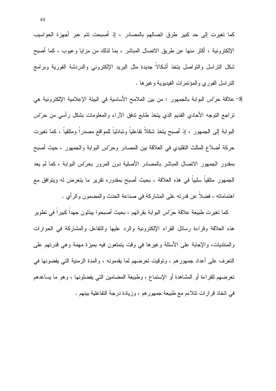كما تغيرت إلى حد كبير طرق اتصالهم بالمصادر ، إذ أصبحت نتم عبر أجهزة الحواسيب الإلكترونية ، أكثر منها عن طريق الاتصال المباشر ، بما لذلك من مزايا وعيوب ، كما أصبح شكل النراسل والنواصل ينخذ أشكالاً جديدة مثل البريد الإلكتروني والدردشة الفورية وبرامج النراسل الفوري والمؤتمرات الفيديوية وغيرها .

8– علاقة حرّاس البوابة بالجمهور : من بين الملامح الأساسية في البيئة الإعلامية الإلكترونية هي تراجع التوجه الأحادي القديم الذي يتخذ طابع ندفق الأراء والمعلومات بشكل رأسي من حرّاس البوابة إلى الجمهور ، إذ أصبح يتخذ شكلاً نفاعلياً وتبادلياً للمواقع مصدراً ومنلقياً ، كما تغيرت حركة أضلاع المثلث النقليدي في العلاقة بين المصادر وحرَّاس البوابة والجمهور ، حيث أصبح بمقدور الجمهور الانصال المباشر بالمصادر الأصلية دون المرور بحرّاس البوابة ، كما لم يعد الجمهور منلقياً سلبياً في هذه العلاقة ، بحيث أصبح بمقدوره نقرير ما يتعرض له ويتوافق مع اهتماماته ، فضلا عن قدرته على المشاركة في صناعة الحدث والمضمون والرأي .

كما نغيرت طبيعة علاقة حرّاس البوابة بقرائهم ، بحيث أصبحوا يبذلون جهدا كبيرا في نطوير هذه العلاقة وقراءة رسائل القراء الإلكترونية والرد عليها والنفاعل والمشاركة في الحوارات والمنتديات، والإجابة على الأسئلة وغيرها في وقت يتمتعون فيه بميزة مهمة وهي قدرتهم على النعرف على أعداد جمهورهم ، وتوقيت تعرضهم لما يقدمونه ، والمدة الزمنية التي يقضونها في تعرضهم للقراءة أو المشاهدة أو الإستماع ، وطبيعة المضامين التي يفضلونها ، وهو ما يساعدهم في اتخاذ قرارات نتلاءم مع طبيعة جمهورهم ، وزيادة درجة التفاعلية ببنهم .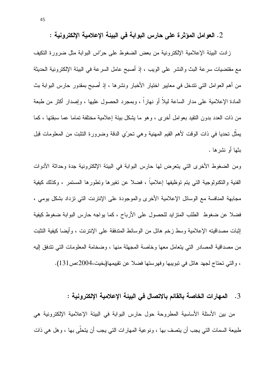2. العوامل المؤثرة على حارس البوابة في البيئة الإعلامية الإلكترونية :

زادت البيئة الإعلامية الإلكترونية من بعض الضغوط على حرَّاس البوابة مثل ضرورة النكيف مع مقتضيات سرعة البث والنشر على الويب ، إذ أصبح عامل السرعة في البيئة الإلكترونية الحديثة من أهم العوامل التي نتدخل في معايير اختيار الأخبار ونشرها ، إذ أصبح بمقدور حارس البوابة بث المعادة الإعلامية على مدار الساعة ليلاً أو نهاراً ، وبمجرد الحصول عليها ، وإصدار أكثر من طبعة من ذات العدد بدون النقيد بعوامل أخرى ، وهو ما يشكل بيئة إعلامية مختلفة تماما عما سبقتها ، كما يمثل تحديا في ذات الوقت لأهم القيم المهنية وهي تحرِّي الدقة وضرورة التثبت من المعلومات قبل بثها أو نشر ها .

ومن الضغوط الأخرى التي يتعرض لها حارس البوابة في البيئة الإلكترونية جدة وحداثة الأدوات الفنية والتكنولوجية التي بتم توظيفها إعلامياً ، فضلا عن تغيرها وتطورها المستمر ، وكذلك كيفية مجابهة المنافسة مع الوسائل الإعلامية الأخرى والموجودة على الإنترنت التي نزداد بشكل بومي ، فضلاً عن ضغوط الطلب المنزايد للحصول على الأرباح ، كما يواجه حارس البوابة ضغوط كيفية إثبات مصداقيته الإعلامية وسط زخم هائل من الوسائط المندفقة على الإنترنت ، وأيضا كيفية التثبت من مصداقية المصادر التي يتعامل معها وخاصة المجهلة منها ، وضخامة المعلومات التي تتدفق إليه ، والتي تحتاج لجهد هائل في تبويبها وفهرستها فضلا عن تقييمها(بخيت،2004:ص131).

3. المهارات الخاصة بالقائم بالاتصال في البيئة الإعلامية الإلكترونية :

من بين الأسئلة الأساسية المطروحة حول حارس البوابة في البيئة الإعلامية الإلكترونية هي طبيعة السمات التي يجب أن يتصف بها ، ونوعية المهارات التي يجب أن يتحلَّى بها ، وهل هي ذات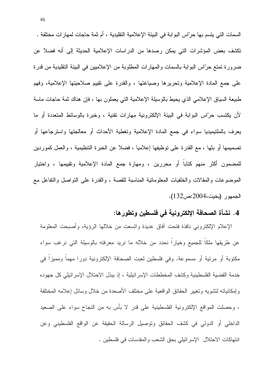السمات التي يتسم بها حرِّاس البوابة في البيئة الإعلامية التقليدية ، أم ثمة حاجات لمهارات مختلفة . تكشف بعض المؤشرات التي يمكن رصدها من الدراسات الإعلامية الحديثة إلى أنه فضلا عن ضرورة تمتع حرَّاس البوابة بالسمات والمهارات المطلوبة من الإعلاميين في البيئة التقليدية من قدرة على جمع المادة الإعلامية ونحريرها وصياغتها ، والقدرة على نقييم صلاحيتها الإعلامية، وفهم طبيعة السياق الإعلامي الذي يحيط بالوسيلة الإعلامية التي يعملون بها ، فإن هناك ثمة حاجات ماسة لأن يكتسب حرّاس البوابة في البيئة الإلكترونية مهارات نقنية ، وخبرة بالوسائط المتعددة أو ما يعرف بالملتيميديا سواء في جمع المادة الإعلامية وتغطية الأحداث أو معالجتها واسترجاعها أو تصميمها أو بثها ، مع القدرة على توظيفها إعلاميا ، فضلا عن الخبرة التنظيمية ، والعمل كموردين للمضمون أكثر منهم كتاباً أو محررين ، ومهارة جمع المادة الإعلامية وتقييمها ، واختيار الموضوعات والمقالات والخلفيات المعلوماتية المناسبة للقصة ، والقدرة على النواصل والنفاعل مع الجمهور (بخيت،2004:ص132).

## 4. نشأة الصحافة الإلكترونية في فلسطين وتطورها:

الإعلام الإلكتروني نافذة فتحت أفاق عديدة وإتسعت من خلالها الرؤية، وأصبحت المعلومة عن طريقها ملكاً للجميع وخياراً نحدد من خلاله ما نريد معرفته بالوسيلة التي نرغب سواء مكتوبة أو مرئية أو مسموعة. وفي فلسطين لعبت الصحافة الإلكترونية دورا مهما ومميزا في خدمة القضية الفلسطينية وكشف المخططات الإسرائيلية ، إذ يبذل الاحتلال الإسرائيلي كل جهوده وإمكانياته لنشويه وتغيير الحقائق الواقعية على مختلف الأصعدة من خلال وسائل إعلامه المختلفة ، وحصلت المواقع الإلكترونية الفلسطينية على قدر لا بأس به من النجاح سواء على الصعيد الداخلي أو الدولي في كشف الحقائق وتوصيل الرسالة الحقيقة عن الواقع الفلسطيني وعن انتهاكات الاحتلال الإسرائيلي بحق الشعب والمقدسات في فلسطين .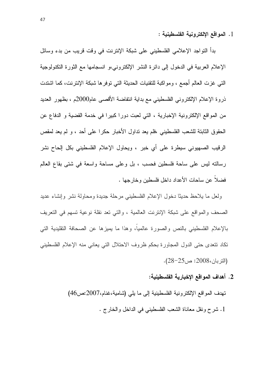1. المواقع الإلكترونية الفلسطينية :

بدأ التواجد الإعلامي الفلسطيني على شبكة الإنترنت في وفت فريب من بدء وسائل الإعلام العربية في الدخول إلى دائرة النشر الإلكتروني،و انسجامها مع الثورة التكنولوجية التبي غزت العالم أجمع ، ومواكبة للتقنيات الحديثة التبي توفرها شبكة الإنترنت، كما اشتدت ذروة الإعلام الإلكتروني الفلسطيني مع بداية انتفاضة الأقصى عام2000م ، بظهور العديد من المواقع الإلكترونية الإخبارية ، التي لعبت دورا كبيرا في خدمة القضية و الدفاع عن الحقوق الثابتة للشعب الفلسطيني ،فلم يعد نداول الأخبار حكرا على أحد ، و لم يعد لمقص الرقيب الصهيوني سيطرة على أي خبرٍ ، ويحاول الإعلام الفلسطيني بكل الحاح نشر رسالته ليس على ساحة فلسطين فحسب ، بل وعلى مساحة واسعة في شتى بقاع العالم فضلاً عن ساحات الأعداد داخل فلسطين وخارجها .

ولعل ما يلاحظ حديثًا دخول الإعلام الفلسطيني مرحلة جديدة ومحاولة نشر وإنشاء عديد الصحف والمواقع على شبكة الإنترنت العالمية ، والتي نعد نقلة نوعية تسهم في النعريف بالإعلام الفلسطيني بالنص والصورة عالمياً، وهذا ما يميزها عن الصحافة التقليدية التي نكاد نتعدى حتى الدول المجاورة بحكم ظروف الاحتلال التي يعاني منه الإعلام الفلسطيني (التربان،2008: ص25-28).

#### 2. أهداف المواقع الإخبارية الفلسطينية:

نهدف المواقع الإلكترونية الفلسطينية إلى ما يلي (شامية،غنام،2007:ص46) 1. شرح ونقل معاناة الشعب الفلسطيني في الداخل والخارج .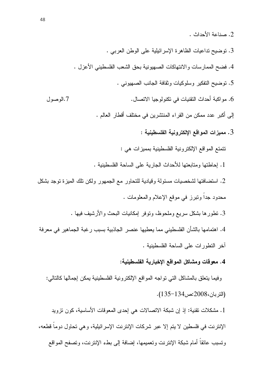- 2. صناعة الأحداث .
- 3. توضيح تداعيات الظاهرة الإسرائيلية على الوطن العربي .
- 4. فضح الممارسات والانتهاكات الصهيونية بحق الشعب الفلسطيني الأعزل .
	- 5. توضيح التفكير وسلوكيات وثقافة الجانب الصهيوني .
- 6. مو اكبة أحداث النقنبات في نكنو لو جبا الاتصال. 7. الوصول

إلى أكبر عدد ممكن من القراء المنتشرين في مختلف أقطار العالم .

3. مميزات المواقع الإلكترونية الفلسطينية :

نتمتع المواقع الإلكترونية الفلسطينية بمميزات هي :

- 1. إحاطتها ومتابعتها للأحداث الجارية على الساحة الفلسطينية .
- 2. استضافتها لشخصيات مسئولة وقيادية للتحاور مع الجمهور ولكن تلك المبزة توجد بشكل محدود جداً وتبرز في موقع الإعلام والمعلومات .
	- 3. نطورها بشكل سريع وملحوظ، ونوفر إمكانيات البحث والأرشيف فيها .

4. اهتمامها بالشأن الفلسطيني مما يعطيها عنصر الجاذبية بسبب رغبة الجماهير في معرفة آخر النطورات على الساحة الفلسطينية .

#### 4. معوفات ومشاكل المواقع الإخبارية الفلسطينية:

وفيما بتعلَّق بالمشاكل التي تواجه المواقع الإلكترونية الفلسطينية يمكن إجمالها كالنالبي: (النر بان،2008:ص134-135).

1. مشكلات تقنية: إذ إن شبكة الاتصالات هي إحدى المعوفات الأساسية، كون نزويد الإنترنت في فلسطين لا يتم إلا عبر شركات الإنترنت الإسرائيلية، و هي تحاول دوما قطعه، وتسبب عائقاً أمام شبكة الإنترنت وتعميمها، إضافة إلى بطء الإنترنت، وتصفح المواقع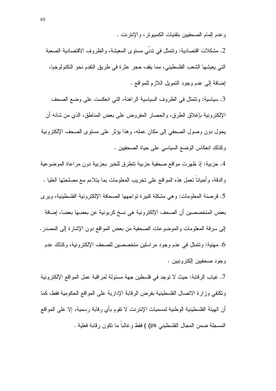وعدم المام الصحفيين بتقنيات الكمبيونز ، والإنترنت .

2. مشكلات اقتصادية: ونتمثل في ندني مستوى المعيشة، والظروف الاقتصادية الصعبة التي يعيشها الشعب الفلسطيني، مما يقف حجر عثرة في طريق النقدم نحو التكنولوجيا، إضـافة إلـى عدم وجود التمويل الـلازم للمواقع .

3. سياسية: وتتمثَّل في الظروف السياسية الراهنة، التي انعكست على وضع الصحف الإلكترونية بإغلاق الطرق، والحصار المفروض على بعض المناطق، الذي من شانه أن يحول دون وصول الصحفي إلى مكان عمله، وهذا يؤثر على مستوى الصحف الإلكترونية وكذلك انعكاس الوضع السياسي على حياة الصحفيين .

4. حزبية: إذ ظهرت مواقع صحفية حزبية نتطرق للخبر بحزبية دون مراعاة الموضوعية والدقة، وأحيانًا نعمل هذه المواقع على نخريب المعلومات بما يتلاءم مع مصلحتها العليا . 5. قرصنة المعلومات: وهي مشكلة كبيرة تواجهها الصحافة الإلكترونية الفلسطينية، ويرى بعض المتخصصين أن الصحف الإلكترونية هي نسخ كربونية عن بعضها بعضا، إضافة إلى سرقة المعلومات والموضوعات الصحفية من بعض المواقع دون الإشارة إلى المصدر . 6. مهنية: وتتمثَّل في عدم وجود مر اسلين متخصصين للصحف الإلكتر ونية، وكذلك عدم وجود صحفيين إلكترونيين .

7. غياب الر قابة: حيث لا نوجد في فلسطين جهة مسئولة لمر اقبة عمل المو اقع الإلكتر ونية ونكتفي وزارة الاتصال الفلسطينية بفرض الرقابة الإدارية على المواقع الحكومية فقط، كما أن الهيئة الفلسطينية الوطنية لمسميات الإنترنت لا نقوم بأي رقابة رسمية، إلا على المواقع المسجلة ضمن المجال الفلسطيني ps) ) فقط وغالباً ما نكون رقابة فعلية .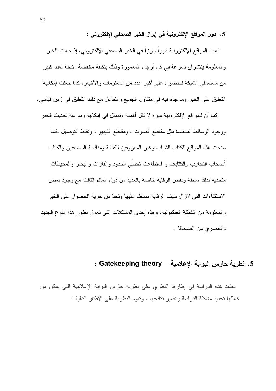5. دور المواقع الإلكترونية في إبراز الخبر الصحفي الإلكتروني :

لعبت المو اقع الإلكتر ونية دور اً بار ز اً في الخبر الصحفي الإلكتر وني، إذ جعلت الخبر والمعلومة بنتشران بسرعة في كل أرجاء المعمورة وذلك بتكلفة مخفضة متيحة لعدد كبير من مستعملي الشبكة للحصول على أكبر عدد من المعلومات والأخبار، كما جعلت إمكانية النعليق على الخبر وما جاء فيه في منتاول الجميع والنفاعل مع ذلك النعليق في زمن قياسي.

كما أن للمواقع الإلكترونية ميزة لا نقل أهمية ونتمثل في إمكانية وسرعة تحديث الخبر ووجود الوسائط المتعددة مثل مقاطع الصوت ، ومقاطع الفيديو ، ونقاط التوصيل ،كما سنحت هذه المواقع للكتاب الشباب وغير المعروفين للكتابة ومنافسة الصحفيين والكتاب أصحاب التجارب والكتابات و استطاعت تخطّي الحدود والقارات والبحار والمحيطات متحدية بذلك سلطة ونقص الر قابة خاصة بالعديد من دول العالم الثالث مع وجود بعض الاستثناءات التي لاز ال سبف الر قابة مسلطا عليها وتحدّ من حربة الحصول على الخبر والمعلومة من الشبكة العنكبونية، وهذه إحدى المشكلات التي نعوق نطور هذا النوع الجديد والعصر ى من الصحافة .

## 5. نظرية حارس اليوابة الإعلامية – Gatekeeping theory :

تعتمد هذه الدراسة في إطارها النظري على نظرية حارس البوابة الإعلامية التي يمكن من خلالها تحديد مشكلة الدراسة وتفسير نتائجها . وتقوم النظرية على الأفكار التالية :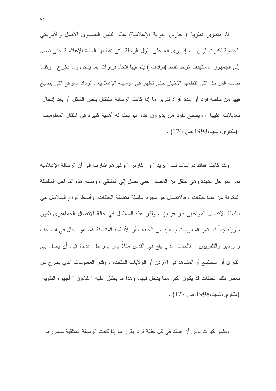قام بتطوير نظرية ( حارس البوابة الإعلامية) عالم النفس النمساوي الأصل والأمريكي الجنسية "كيرت لوين " ، إذ يرى أنه على طول الرحلة التي تقطعها المادة الإعلامية حتى تصل إلى الجمهور المستهدف توجد نقاط (بوابات ) يتم فيها اتخاذ قرارات بما يدخل وما يخرج . وكلما طالت المراحل التي تقطعها الأخبار حتى تظهر في الوسيلة الإعلامية ، تزداد المواقع التي يصبح فيها من سلطة فرد أو عدة أفراد تقرير ٍ ما إذا كانت الرسالة ستنتقل بنفس الشكل أو بعد إدخال تعديلات عليها ، ويصبح نفوذ من يديرون هذه البوابات له أهمية كبيرة في انتقال المعلومات . (مكاوى،السيد،1998:ص 176).

ولقد كانت هناك دراسات لـــ " بريد " و " كارتر " وغيرهم أشارت إلى أن الرسالة الإعلامية تمر بمراحل عديدة وهي نتنقل من المصدر حتى نصل إلى الملتقى ، ونشبه هذه المراحل السلسلة المكونة من عدة حلقات ، فالاتصال هو مجرد سلسلة متصلة الحلقات. وأبسط أنواع السلاسل هي سلسلة الاتصال المواجهي بين فردين ، ولكن هذه السلاسل في حالة الاتصال الجماهيري تكون طويلة جدا إذ تمر المعلومات بالعديد من الحلقات أو الأنظمة المتصلة كما هو الحال في الصحف والراديو والتلفزيون ، فالحدث الذي يقع في القدس مثلاً يمر بمراحل عديدة قبل أن يصل إلى القارئ أو المستمع أو المشاهد في الأردن أو الولايات المتحدة ، وقدر المعلومات الذي يخرج من بعض نلك الحلقات قد يكون أكبر مما يدخل فيها، وهذا ما يطلق عليه " شانون " أجهزة النقوية (مكاوى،السيد،1998:ص 177).

ويشير كيرت لوين أن هناك في كل حلقة فردا يقرر ما إذا كانت الرسالة المتلقية سيمررها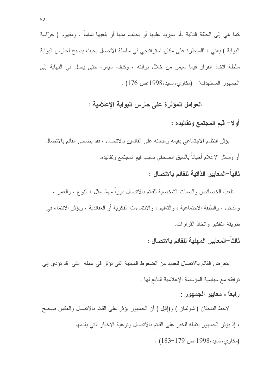كما هي إلى الحلقة التالية ،أم سيزيد عليها أو يحذف منها أو يلغيها تماماً . ومفهوم ( حرّاسة البوابة ) يعني : "السيطرة على مكان استراتيجي في سلسلة الاتصال بحيث يصبح لحارس البوابة سلطة اتخاذ القرار فيما سيمر من خلال بوابته ، وكيف سيمر، حتى يصل في النهاية إلى الجمهور المستهدف" (مكاوى،السيد،1998:ص 176) .

العوامل المؤثِّرة على حارس البوابة الإعلامية :

أو لا – قيم المجتمع و تقاليده :

يؤثِّر النظام الاجتماعي بقيمه ومبادئه على القائمين بالاتصال ، فقد يضحى القائم بالاتصال أو وسائل الإعلام أحياناً بالسبق الصحفى بسبب فيم المجتمع وتقاليده. ثانياً—المعايير الذاتية للقائم بالاتصال :

نلعب الخصائص والسمات الشخصية للقائم بالاتصال دوراً مهمّا مثل : النوع ، والعمر ، والدخل ، والطبقة الاجتماعية ، والتعليم ، والانتماءات الفكرية أو العقائدية ، ويؤثِّر الانتماء في طريقة النفكير واتخاذ القرارات.

ثالثاً–المعايير المهنية للقائم بالاتصال :

يتعرض القائم بالاتصال للعديد من الضغوط المهنية التي تؤثر في عمله التي قد تؤدي إلى نوافقه مع سياسية المؤسسة الإعلامية التابع لها .

رابعاً - معايير الجمهور :

لاحظ الباحثان ( شولمان ) و(إنَّيل ) أن الجمهور يؤثِّر على القائم بالاتصال والعكس صحيح ، إذ يؤثِّر الجمهور بنقبله للخبر على القائم بالاتصال ونوعية الأخبار التي يقدمها  $(183-179)$  (مكاوى،السيد،1998:ص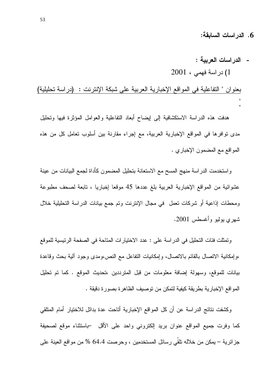6. الدراسات السابقة:

- الدراسات العربية : 1) در اسة فهمي ، 2001

بعنوان " التفاعلية في المواقع الإخبارية العربية على شبكة الإنترنت : (دراسة تحليلية)

هدفت هذه الدراسة الاستكشافية إلىي ليضاح أبعاد التفاعلية والعوامل المؤثرة فيها وتحليل مدى نوافرها في المواقع الإخبارية العربية، مع إجراء مقارنة بين أسلوب نعامل كل من هذه المواقع مع المضمون الإخباري .

واستخدمت الدراسة منهج المسح مع الاستعانة بتحليل المضمون كأداة لجمع البيانات من عينة عشوائية من المواقع الإخبارية العربية بلغ عددها 45 موقعا إخباريا ، نابعة لصحف مطبوعة ومحطات إذاعية أو شركات نعمل ً في مجال الإنترنت وتم جمع بيانات الدراسة التحليلية خلال شهري بوليو وأغسطس 2001.

وتمثلت فئات التحليل في الدراسة على : عدد الاختيارات المتاحة في الصفحة الرئيسية للموقع ،وإمكانية الاتصال بالقائم بالاتصال، وإمكانيات النفاعل مع النص،ومدى وجود ألية بحث وقاعدة بيانات للموقع، وسهولة إضافة معلومات من قبل المترددين ،تحديث الموقع . كما تم تحليل المواقع الإخبارية بطريقة كيفية لتمكن من توصيف الظاهرة بصورة دقيقة .

وكشفت نتائج الدراسة عن أن كل المواقع الإخبارية أتاحت عدة بدائل للاختيار أمام المتلقى كما وفرت جميع المواقع عنوان بريد إلكتروني واحد على الأقل جاستثناء موقع لصحيفة جزائرية – يمكن من خلاله نلقى رسائل المستخدمين ، وحرصت 64.4 % من مواقع العينة على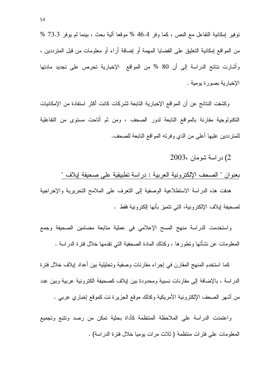نوفير إمكانية التفاعل مع النص ، كما وفر 46.4 % موقعا ألية بحث ، بينما لم يوفر 73.3 % من المواقع إمكانية التعليق على القضايا المهمة أو إضافة أراء أو معلومات من قبل المترددين ، وأشارت نتائج الدراسة إلى أن 80 % من المواقع الإخبارية تحرص على تجديد مادتها الإخبار ية بصور ة يومية .

وكشفت النتائج عن أن المواقع الإخبارية التابعة لشركات كانت أكثر استفادة من الإمكانيات النكنولوجية مقارنة بالمواقع التابعة لدور الصحف ، ومن ثم أتاحت مستوى من التفاعلية للمنز ددين عليها أعلى من الذي وفرنه المواقع النابعة للصحف.

2) در اسة شومان ،2003

بعنوان " الصحف الإلكترونية العربية : دراسة تطبيقية على صحيفة إيلاف "

هدفت هذه الدراسة الاستطلاعية الوصفية إلى التعرف على الملامح التحريرية والإخراجية لصحيفة إيلاف الإلكترونية، التي تتميز بأنها الكترونية فقط .

واستخدمت الدراسة منهج المسح الإعلامي في عملية متابعة مضامين الصحيفة وجمع المعلومات عن نشأتها ونطورها ، وكذلك المادة الصحفية النبي نقدمها خلال فنرة الدراسة .

كما استخدم المنهج المقارن في إجراء مقارنات وصفية وتحليلية بين أعداد إيلاف خلال فترة الدراسة ، بالإضافة إلى مقارنات نسبية ومحدودة بين إيلاف كصحيفة الكترونية عربية وبين عدد من أشهر الصحف الإلكترونية الأمريكية وكذلك موقع الجزيرة نت كموقع إخباري عربي .

واعتمدت الدراسة على الملاحظة المنتظمة كأداة بحثية نمكن من رصد ونتبع وتجميع المعلومات على فترات منتظمة ( ثلاث مرات بوميا خلال فترة الدراسة) .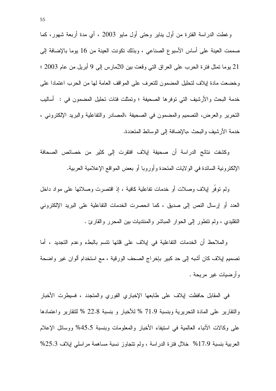وغطت الدراسة الفترة من أول بناير وحتى أول مايو 2003 ، أي مدة أربعة شهور، كما صممت العينة على أساس الأسبوع الصناعي ، وبذلك نكونت العينة من 16 يوما بالإضافة إلى 21 يوما نمثل فترة الحرب على العراق التي وقعت بين 20مارس إلى 9 أبريل من عام 2003 ؛ وخضعت مادة إيلاف لتحليل المضمون للتعرف على المواقف العامة لها من الحرب اعتمادا على خدمة البحث والأرشيف التي توفر ها الصحيفة ؛ وتمثلت فئات تحليل المضمون في : ۖ أساليب النحرير والعرض، النصميم والمضمون في الصحيفة ،المصادر والنفاعلية والبريد الإلكتروني ، خدمة الأرشيف والبحث ،بالإضافة إلى الوسائط المتعددة.

وكشفت نتائج الدراسة أن صحيفة إيلاف افتقرت إلى كثير من خصائص الصحافة الإلكترونية السائدة في الولايات المتحدة وأوروبا أو بعض المواقع الإعلامية العربية.

ولم توفُّر لِيلاف وصلات أو خدمات تفاعلية كافية ، إذ اقتصرت وصلاتها على مواد داخل العدد أو إرسال النص إلى صديق ، كما انحصرت الخدمات التفاعلية على البريد الإلكتروني النقليدي ، ولم نتطور إلى الحوار المباشر والمنتديات بين المحرر والقارئ .

والملاحظ أن الخدمات النفاعلية في إيلاف على قلتها نتسم بالبطء وعدم التجديد ، أما تصميم إيلاف كان أشبه إلى حد كبير بإخراج الصحف الورقية ، مع استخدام ألوان غير واضحة وأرضيات غير مريحة .

في المقابل حافظت إيلاف على طابعها الإخباري الفوري والمنجدد ، فسيطرت الأخبار والتقارير على المادة التحريرية وبنسبة 71.9 % للأخبار و بنسبة 22.8 % للتقارير واعتمادها على وكالات الأنباء العالمية في استيفاء الأخبار والمعلومات وبنسبة 45.5% ووسائل الإعلام العربية بنسبة 17.9% خلال فترة الدراسة ، ولم نتجاوز نسبة مساهمة مراسلي إيلاف 25.3%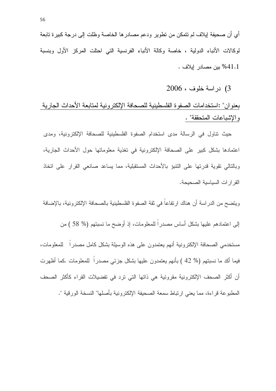أي أن صحيفة إيلاف لم نتمكن من نطوير ودعم مصادر ها الخاصة وظلت إلى درجة كبيرة تابعة لوكالات الأنباء الدولية ، خاصة وكالة الأنباء الفرنسية التي احتلت المركز الأول وبنسبة 41.1% بين مصادر إيلاف .

3) دراسة خلوف ، 2006

بعنو ان" :استخدامات الصفو ة الفلسطينية للصحافة الإلكتر و نية لمتابعة الأحداث الجار ية والإشباعات المتحققة" .

حيث نتاول في الرسالة مدى استخدام الصفوة الفلسطينية للصحافة الإلكترونية، ومدى اعتمادها بشكل كبير على الصحافة الإلكترونية في تغذية معلوماتها حول الأحداث الجارية، وبالتالي تقوية قدرتها على التنبؤ بالأحداث المستقبلية، مما يساعد صانعي القرار على اتخاذ القر ار ات السياسية الصحيحة.

ويتضح من الدر اسة أن هناك ارتفاعاً في ثقة الصفوة الفلسطينية بالصحافة الإلكترونية، بالإضافة

إلى اعتمادهم عليها بشكل أساس مصدراً للمعلومات، إذ أوضح ما نسبتهم (% 58 ) من

مستخدمي الصحافة الإلكترونية أنهم يعتمدون على هذه الوسيلة بشكل كامل مصدراً للمعلومات، فيما أكد ما نسبتهم (% 42 ) بأنهم يعتمدون عليها بشكل جزئي مصدر ا للمعلومات كما أظهرت أن أكثر الصحف الإلكترونية مقروئية هي ذاتها التي ترد في تفضيلات القراء كأكثر الصحف المطبوعة قراءة، مما يعني ارتباط سمعة الصحيفة الإلكترونية بأصلها" النسخة الورقية ".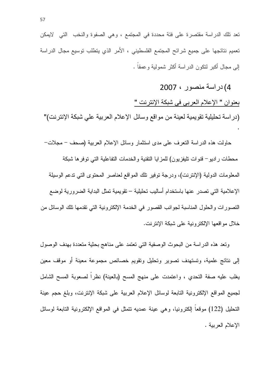تعد تلك الدراسة مقتصرة على فئة محددة في المجتمع ، وهي الصفوة والنخب التي الايمكن تعميم نتائجها على جميع شرائح المجتمع الفلسطيني ، الأمر الذي يتطلب توسيع مجال الدراسة إلى مجال أكبر لنكون الدراسة أكثر شمولية وعمقاً .

4) در اسة منصور ، 2007 بعنوان " الإعلام العربي في شبكة الإنترنت " (دراسة تحليلية تقويمية لعينة من مواقع وسائل الإعلام العربية على شبكة الإنترنت)"

حاولت هذه الدراسة النعرف على مدى استثمار وسائل الإعلام العربية (صحف – مجلات– محطات راديو– قنوات نليفزيون) للمزايا النقنية والخدمات التفاعلية التي نوفرها شبكة المعلومات الدولية (الإنترنت)، ودرجة نوفير نلك المواقع لعناصر المحتوى التي ندعم الوسيلة الإعلامية التي تصدر عنها باستخدام أساليب تحليلية – تقويمية تمثل البداية الضرورية لوضع النصورات والحلول المناسبة لجوانب القصور في الخدمة الإلكترونية التي نقدمها نلك الوسائل من خلال مواقعها الإلكترونية على شبكة الإنترنت.

وتعد هذه الدراسة من البحوث الوصفية التي تعتمد على مناهج بحثية متعددة بهدف الوصول إلى نتائج علمية، وتستهدف تصوير وتحليل وتقويم خصائص مجموعة معينة أو موقف معين يغلب عليه صفة النحدي ، واعتمدت على منهج المسح (بالعينة) نظرًا لصعوبة المسح الشامل لجميع المواقع الإلكترونية التابعة لوسائل الإعلام العربية على شبكة الإنترنت، وبلغ حجم عينة النَّحليل (122) موقعاً إلكترونيا، وهي عينة عمديه نتمثَّل في المواقع الإلكترونية التابعة لوسائل الإعلام العربية .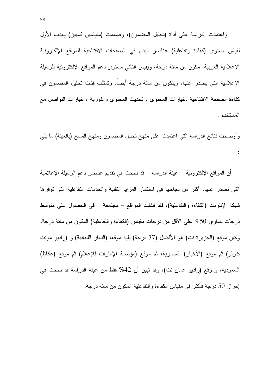واعتمدت الدراسة على أداة (تحليل المضمون)، وصممت (مقياسين كمبين) بهدف الأول لقياس مستوى (كفاءة وتفاعلية) عناصر البناء في الصفحات الافتتاحية للمواقع الإلكترونية الإعلامية العربية، مكون من مائة درجة، ويقيس الثاني مستوى دعم المواقع الإلكترونية للوسيلة الإعلامية التي يصدر عنها، ويتكون من مائة درجة أيضاً، وتمثلت فئات تحليل المضمون في كفاءة الصفحة الافتتاحية ،خيارات المحتوى ، تحديث المحتوى والفورية ، خيارات التواصل مع المستخدم .

وأوضحت نتائج الدراسة التي اعتمدت على منهج تحليل المضمون ومنهج المسح (بالعينة) ما يلي  $\ddot{\cdot}$ 

أن المواقع الإلكترونية – عينة الدراسة – قد نجحت في نقديم عناصر دعم الوسيلة الإعلامية التي تصدر عنها، أكثر من نجاحها في استثمار المزايا النقنية والخدمات التفاعلية التي توفرها شبكة الإنترنت (الكفاءة والتفاعلية)، فقد فشلت المواقع – مجتمعة – في الحصول على متوسط درجات بساوي 50% على الأقل من درجات مقياس (الكفاءة والنفاعلية) المكون من مائة درجة، وكان موقع (الجزيرة نت) هو الأفضل (77 درجة) يليه موقعا (النهار اللبنانية) و (راديو مونت كارلو) ثم موقع (الأخبار) المصرية، ثم موقع (مؤسسة الإمارات للإعلام) ثم موقع (عكاظ) السعودية، وموقع (راديو عمّان نت)، وقد تبين أن 42% فقط من عينة الدراسة قد نجحت في إحراز 50 درجة فأكثر في مقياس الكفاءة والتفاعلية المكون من مائة درجة.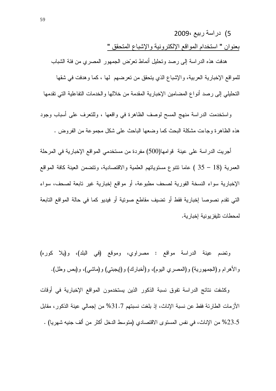5) دراسة ربيع 2009

بعنوان " استخدام المواقع الإلكترونية والإشباع المتحقق "

هدفت هذه الدراسة إلى رصد وتحليل أنماط نعرّض الجمهور المصري من فئة الشباب للمواقع الإخبارية العربية، والإشباع الذي يتحقق من تعرضهم لها ، كما وهدفت في شقها التحليلي إلىي رصد أنواع المضامين الإخبارية المقدمة من خلالها والخدمات النفاعلية التي تقدمها

واستخدمت الدراسة منهج المسح لوصف الظاهرة في واقعها ، وللتعرف على أسباب وجود هذه الظاهر ة وجاءت مشكلة البحث كما وضعها الباحث على شكل مجموعة من الفروض .

أجريت الدراسة على عينة قوامها(500) مفردة من مستخدمي المواقع الإخبارية في المرحلة العمرية (18 – 35 ) عاما نتتوع مستوياتهم العلمية والاقتصادية، وتتضمن العينة كافة المواقع الإخبارية سواء النسخة الفورية لصحف مطبوعة، أو مواقع إخبارية غير نابعة لصحف، سواء التي نقدم نصوصا إخبارية فقط أو تضيف مقاطع صونية أو فيديو كما في حالة المواقع التابعة لمحطات تليفز يو نية إخبار ية.

ونضم عينة الدراسة مواقع : مصراوي، وموقع (في البلد)، و(يلا كوره) والأهرام و(الجمهورية) و(المصري اليوم)، و(أخبارك) و(إيجبني) و(ماشي)، و(بص وطل).

وكشفت نتائج الدراسة تفوق نسبة الذكور الذين يستخدمون المواقع الإخبارية في أوقات الأزمات الطارئة فقط عن نسبة الإناث، إذ بلغت نسبتهم 31.7% من إجمالي عينة الذكور، مقابل 23.5% من الإناث، في نفس المستوى الاقتصادي (متوسط الدخل أكثر من ألف جنيه شهريا) .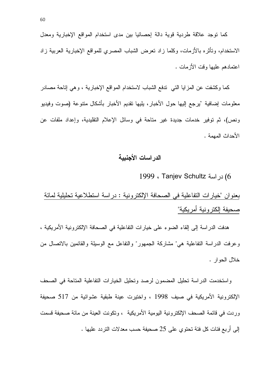كما نوجد علاقة طردية قوية دالة إحصائيا بين مدى استخدام المواقع الإخبارية ومعدل الاستخدام، وتأثَّره بالأزمات، وكلما زاد تعرض الشباب المصرى للمواقع الإخبارية العربية زاد اعتمادهم عليها وقت الأزمات .

كما وكشفت عن المزايا التي تدفع الشباب لاستخدام المواقع الإخبارية ، و هي إتاحة مصادر معلومات إضافية 'يرجع إليها حول الأخبار، بليها نقديم الأخبار بأشكال متنوعة (صوت وفيديو ونص)، ثم توفير خدمات جديدة غير متاحة في وسائل الإعلام التقليدية، وإعداد ملفات عن الأحداث المهمة .

#### الدراسات الأجنبية

6) در اسة Tanjev Schultz ، 1999

بعنوان "خيارات النفاعلية في الصحافة الإلكترونية : دراسة استطلاعية تحليلية لمائة صحيفة إلكترونية أمريكية"

هدفت الدراسة إلى إلقاء الضوء على خيارات النفاعلية في الصحافة الإلكترونية الأمريكية ، وعرفت الدراسة التفاعلية هي" مشاركة الجمهور" والتفاعل مع الوسيلة والقائمين بالاتصال من خلال الحو ار .

واستخدمت الدراسة تحليل المضمون لرصد وتحليل الخيارات التفاعلية المتاحة في الصحف الإلكترونية الأمريكية في صيف 1998 ، واختيرت عينة طبقية عشوائية من 517 صحيفة ور دت في قائمة الصحف الإلكتر ونية اليومية الأمر يكية ، ونكونت العينة من مائة صحيفة قسمت إلى أربع فئات كل فئة تحتوى على 25 صحيفة حسب معدلات التردد عليها .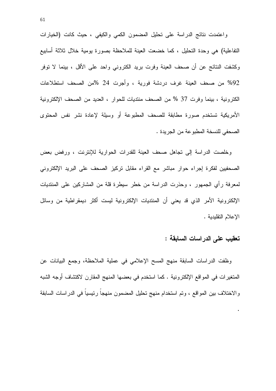واعتمدت نتائج الدراسة على تحليل المضمون الكمى والكيفى ، حيث كانت (الخيارات التفاعلية) هي وحدة التحليل ، كما خضعت العينة للملاحظة بصورة يومية خلال ثلاثة أسابيع وكشفت النتائج عن أن صحف العينة وفرت بريد الكتروني واحد على الأقل ، بينما لا نوفر 92% من صحف العينة غرف دردشة فورية ، وأجرت 24 %من الصحف استطلاعات الكتر ونبة ، ببنما وفرت 37 % من الصحف منتدبات للحوار ، العدبد من الصحف الإلكتر ونبة الأمريكية تستخدم صورة مطابقة للصحف المطبوعة أو وسيلة لإعادة نشر نفس المحتوى الصحفي للنسخة المطبوعة من الجريدة .

وخلصت الدراسة إلى تجاهل صحف العينة للقدرات الحوارية للإنترنت ، ورفض بعض الصحفيين لفكرة إجراء حوار مباشر مع القراء مقابل نركيز الصحف على البريد الإلكتروني لمعرفة رأى الجمهور ، وحذرت الدراسة من خطر سيطرة قلة من المشاركين على المنتديات الإلكترونية الأمر الذي قد يعني أن المنتديات الإلكترونية ليست أكثر ديمقراطية من وسائل الإعلام النقليدية .

#### تعقيب على الدراسات السابقة :

وظفت الدر اسات السابقة منهج المسح الإعلامي في عملية الملاحظة، وجمع البيانات عن المتغيرات في المواقع الإلكترونية . كما استخدم في بعضها المنهج المقارن لاكتشاف أوجه الشبه والاختلاف بين المواقع ، وتم استخدام منهج تحليل المضمون منهجاً رئيسياً في الدراسات السابقة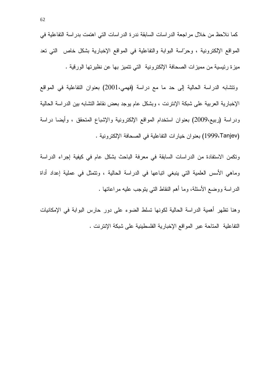كما نلاحظ من خلال مراجعة الدراسات السابقة ندرة الدراسات التي اهتمت بدراسة التفاعلية في المواقع الإلكترونية ، وحرَّاسة البوابة والتفاعلية في المواقع الإخبارية بشكل خاص التي تعد ميزة رئيسية من مميزات الصحافة الإلكترونية التي تتميز بها عن نظيرتها الورقية .

ونتشابه الدراسة الحالية إلى حد ما مع دراسة (فهمي،2001) بعنوان النفاعلية في المواقع الإخبار بة العر بية على شبكة الإنتر نت ، وبشكل عام بوجد بعض نقاط التشابه بين الدر اسة الحالية ودراسة (ربيع،2009) بعنوان استخدام المواقع الإلكترونية والإشباع المتحقق ، وأيضا دراسة (1999،Tanjev) بعنوان خيارات التفاعلية في الصحافة الإلكترونية .

ونكمن الاستفادة من الدراسات السابقة في معرفة الباحث بشكل عام في كيفية إجراء الدراسة وماهي الأسس العلمية التي ينبغي اتباعها في الدراسة الحالية ، ونتمثل في عملية إعداد أداة الدراسة ووضع الأسئلة، وما أهم النقاط التبي ينوجب عليه مراعاتها .

وهنا نظهر أهمية الدراسة الحالية لكونها نسلط الضوء على دور حارس البوابة في الإمكانيات النفاعلية المناحة عبر المواقع الإخبارية الفلسطينية على شبكة الإنترنت .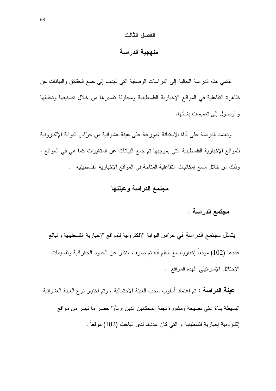#### الفصل الثالث

#### منهجية الدراسة

نتنسى هذه الدراسة الحالية إلى الدراسات الوصفية التي نهدف إلى جمع الحقائق والبيانات عن ظاهرة التفاعلية في المواقع الإخبارية الفلسطينية ومحاولة تفسيرها من خلال تصنيفها وتحليلها والوصول إلى نعميمات بشأنها.

وتعتمد الدراسة على أداة الاستبانة الموزعة على عينة عشوائية من حرَّاس البوابة الإلكترونية للمواقع الإخبارية الفلسطينية التي بموجبها تم جمع البيانات عن المتغيرات كما هي في المواقع ، وذلك من خلال مسح إمكانيات التفاعلية المتاحة في المواقع الإخبارية الفلسطينية .

## مجتمع الدراسة وعينتها

## مجتمع الدراسة :

يتمثَّل مجتمع الدراسة في حرَّاس البوابة الإلكترونية للمواقع الإخبارية الفلسطينية والبالغ عددها (102) موقعاً إخباريا، مع العلم أنه تم صرف النظر عن الحدود الجغرافية وتقسيمات الإحتلال الإسرائيلي لمهذه المواقع .

**عينـة الدراسـة :** تم اعتماد أسلوب سحب العينة الاحتمالية ، وتم اختيار نوع العينة العشوائية البسيطة بناءً على نصيحة ومشور ة لجنة المحكمين الذين ار تأو ْا حصر ٍ ما نيسر ٍ من مو اقع الِكتر ونية اِخبارية فلسطينية و التي كان عددها لدى الباحث (102) موقعاً .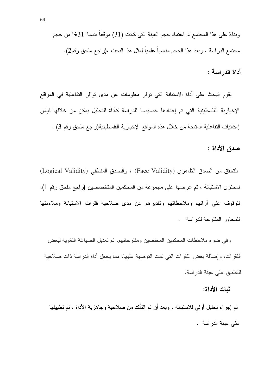أداة الدراسة :

يقوم البحث على أداة الاستبانة التي توفر معلومات عن مدى توافر التفاعلية في المواقع الإخبارية الفلسطينية التي تم إعدادها خصيصا للدراسة كأداة للتحليل بمكن من خلالها فياس إمكانيات التفاعلية المتاحة من خلال هذه المواقع الإخبارية الفلسطينية(راجع ملحق رقم 3) .

صدق الأداة :

للتحقق من الصدق الظاهري (Face Validity) ، والصدق المنطقي (Logical Validity) لمحتوى الاستبانة ، تم عرضها على مجموعة من المحكمين المتخصصين (راجع ملحق رقم 1)، للوقوف علىي أرائهم وملاحظاتهم ونقديرهم عن مدى صلاحية فقرات الاستبانة وملاءمتها للمحاور المقترحة للدراسة .

وفي ضوء ملاحظات المحكمين المختصين ومقترحاتهم، تم تعديل الصياغة اللغوية لبعض الفقرات، وإضافة بعض الفقرات التي تمت التوصية عليها، مما يجعل أداة الدراسة ذات صلاحية للتطبيق على عينة الدراسة.

شات الأداة:

تم إجراء تحليل أولى للاستبانة ، وبعد أن تم التأكد من صلاحية وجاهزية الأداة ، تم تطبيقها على عينة الدراسة .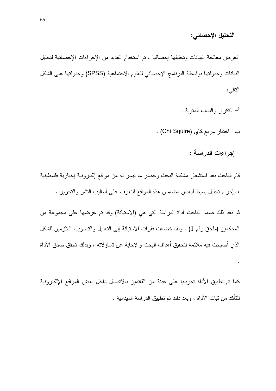#### التحليل الإحصائي:

لغرض معالجة البيانات وتحليلها إحصائيا ، تم استخدام العديد من الإجراءات الإحصائية لتحليل البيانات وجدولتها بواسطة البرنامج الإحصائي للعلوم الاجتماعية (SPSS) وجدولتها على الشكل التالي:

أ– النكر ار و النسب المئو ية .

ب- اختبار مربع كاي (Chi Squire) .

إجراءات الدراسة :

 $\ddot{\phantom{0}}$ 

قام الباحث بعد استشعار مشكلة البحث وحصر ما نيسر له من مواقع الكترونية إخبارية فلسطينية ، بإجراء نحليل بسيط لبعض مضامين هذه المواقع للنعرف على أساليب النشر والنحرير .

ثم بعد ذلك صمم الباحث أداة الدراسة التي هي (الاستبانة) وقد تم عرضها على مجموعة من المحكمين (ملحق رقم 1) . ولقد خضعت فقرات الاستبانة إلى التعديل والتصويب اللازمين للشكل الذي أصبحت فيه ملائمة لتحقيق أهداف البحث والإجابة عن تساؤ لاته ، وبذلك تحقق صدق الأداة

كما تم تطبيق الأداة تجريبيا على عينة من القائمين بالاتصال داخل بعض المواقع الإلكترونية للتأكد من ثبات الأداة ، وبعد ذلك تم تطبيق الدر اسة المبدانية .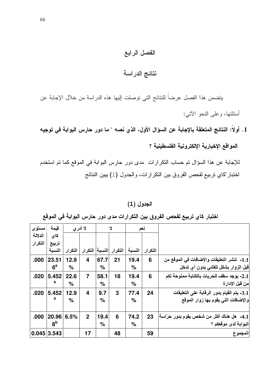## الفصل الرابع

## نتائج الدراسة

يتضمن هذا الفصل عرضاً للنتائج التي توصلت إليها هذه الدراسة من خلال الإجابة عن أسئلتها، وعلى النحو الآتي:

1. أولاً: النتائج المتعلقة بالإجابة عن السؤال الأول، الذي نصه " ما دور حارس البوابة في توجيه المواقع الإخبارية الإلكترونية الفلسطينية ؟

للإجابة عن هذا السؤال تم حساب التكرارات ً مدى دور حارس البوابة في الموقع كما تم استخدم اختبار "كاي تربيع لفحص الفروق بين النكر ارات، والجدول (1) يبين النتائج

#### الجدول (1)

| مستوى         | قيمة           | لا أدر ي |                |      | Y                        |        | نعم     |                                             |
|---------------|----------------|----------|----------------|------|--------------------------|--------|---------|---------------------------------------------|
| الدلالة       | كای            |          |                |      |                          |        |         |                                             |
| التكرار       | تربيع          |          |                |      |                          |        |         |                                             |
|               | النسبة         | التكرار  |                |      | التكرار  النسبة  التكرار | النسبة | التكرار |                                             |
| .000          | 23.51          | 12.9     | 4              | 67.7 | 21                       | 19.4   | 6       | 1.1- تنشر التعليقات والإضافات في الموقع من  |
|               | 6 <sup>a</sup> | %        |                | %    |                          | %      |         | قبل الزوار بشكل تلقائي بدون أي تدخل         |
| .020          | 5.452          | 22.6     | $\overline{7}$ | 58.1 | 18                       | 19.4   | 6       | 2.1- يوجد سقف للحريات بالكتابة ممنوحة لكم   |
|               | a              | $\%$     |                | %    |                          | %      |         | من قبل الإدار ة                             |
| .020          | 5.452          | 12.9     | 4              | 9.7  | 3                        | 77.4   | 24      | 3.1- يتم القيام بدور الرقابة على التعليقات  |
|               | a              | %        |                | $\%$ |                          | %      |         | والإضافات التى يقوم بها زوار الموقع         |
|               |                |          |                |      |                          |        |         |                                             |
| .000          | 20.96          | 6.5%     | $\mathbf{2}$   | 19.4 | 6                        | 74.2   | 23      | 4.1-   هل هناك أكثر من شخص يقوم بدور حرّاسة |
|               | 8 <sup>b</sup> |          |                | %    |                          | %      |         | البوابة لدى موقعكم ؟                        |
| $0.045$ 3.543 |                |          | 17             |      | 48                       |        | 59      | المجموع                                     |

اختبار كاي تربيع لفحص الفروق بين التكرارات مدى دور حارس البوابة في الموقع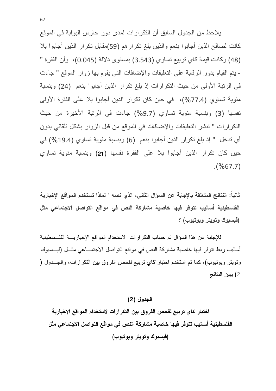بلاحظ من الجدول السابق أن التكر ار ات لمدى دو رحار س البو ابة في الموقع كانت لصـالـح الذين أجابوا بنعم والذين بلـغ تكرار هم (59)مقابل تكرار الذين أجابوا بلا (48) وكانت قيمة كاي تربيع تساوي (3.543) بمستوى دلالة (0.045)، وأن الفقرة " - يتم القيام بدور الرقابة على التعليقات والإضافات التي يقوم بها زوار الموقع " جاءت في الرتبة الأولى من حيث التكرارات إذ بلغ تكرار الذين أجابوا بنعم (24) وبنسبة مئوية تساوي (77.4%)، في حين كان تكرار الذين أجابوا بلا على الفقرة الأولى نفسها (3) وبنسبة مئوية تساوي (9.7%) جاءت في الرتبة الأخيرة من حيث التكرارات " تنشر التعليقات والإضافات في الموقع من قبل الزوار بشكل تلقائي بدون أي تدخل " إذ بلغ تكرار الذين أجابوا بنعم (6) وبنسبة مئوية تساوي (19.4%) في حين كان تكرار الذين أجابوا بلا على الفقرة نفسها (21) وبنسبة مئوية تساوى  $(%67.7)$ 

ثانيا: النتائج المتعلقة بالإجابة عن السؤال الثاني، الذي نصه " لماذا تستخدم المواقع الإخبارية الفلسطينية أساليب تتوفر فيها خاصية مشاركة النص في مواقع التواصل الاجتماعي مثل (فيسبوك وتويتر ويوتيوب) ؟

للإجابة عن هذا السؤال تم حساب النكر ارات الاستخدام المواقع الإخباريــــة الفلـــسطينية أساليب ربط نتوفر فيها خاصية مشاركة النص في مواقع التواصل الاجتمـــاعي مثـــل (فيـــسبوك وتويتر ويوتيوب)، كما تم استخدم اختبار "كاي تربيع لفحص الفروق بين التكر ارات، والجـــدول ( 2) يبين النتائج

الجدول (2)

اختبار كاى تربيع لفحص الفروق بين التكرارات لاستخدام المواقع الإخبارية الفلسطينية أساليب تتوفر فيها خاصية مشاركة النص في مواقع التواصل الاجتماعي مثل (فيسبوك وتويتر ويوتيوب)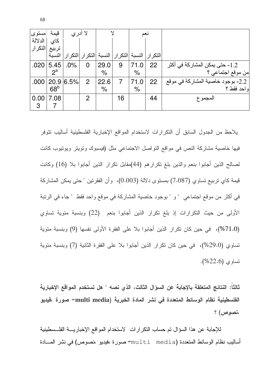| مستوى    | قيمة            | لا أدري   |                |               |    |      | لىغت                                                 |                                   |
|----------|-----------------|-----------|----------------|---------------|----|------|------------------------------------------------------|-----------------------------------|
| الدلالة  | كاي             |           |                |               |    |      |                                                      |                                   |
| التكرارا | تربيع           |           |                |               |    |      |                                                      |                                   |
|          | النسبة          |           |                |               |    |      | التكرار   النسبة  التكرار   النسبة  التكرار  التكرار |                                   |
| .020     | 5.45            | .0%       | 0              | 29.0          | 9  | 71.0 | 22                                                   | 1.2- حتى يمكن المشاركة في أكثر    |
|          | $2^a$           |           |                | $\%$          |    | $\%$ |                                                      | من موقع اجتماعي ؟                 |
| .000     |                 | 20.9 6.5% | 2              | 22.6          |    | 71.0 | 22                                                   | 2.2- بوجود خاصية المشاركة في موقع |
|          | 68 <sup>b</sup> |           |                | $\frac{0}{0}$ |    | $\%$ |                                                      | او احد فقط ؟                      |
| 0.00     | 7.08            |           | $\overline{2}$ |               | 16 |      | 44                                                   | المجموع                           |
| 3        |                 |           |                |               |    |      |                                                      |                                   |

يلاحظ من الجدول السابق أن النكرارات لاستخدام المواقع الإخبارية الفلسطينية أساليب نتوفر فيها خاصية مشاركة النص في مواقع التواصل الاجتماعي مثل (فيسبوك ونويتر ويونيوب كانت لصالح الذين أجابوا بنعم والذين بلغ نكرارهم (44)مقابل نكرار الذين أجابوا بلا (16) وكانت قيمة كاي تربيع تساوي (7.087) بمستوى دلالة (0.003)، وأن الفقرنين "حتى يمكن المشاركة في أكثر من موقع اجتماعي " و " بوجود خاصية المشاركة في موقع واحد فقط " جاء في الرنبة الأولى من حيث التكرارات إذ بلغ تكرار الذين أجابوا بنعم (22) وبنسبة مئوية تساوي (71.0%)، في حين كان تكرار الذين أجابوا بلا على الفقرة الأولى نفسها (9) وبنسبة مئوية تساوى (29.0%)، في حين كان تكرار الذين أجابوا بلا على الفقرة الثانية (7) وبنسبة مئوية نساوي (22.6%).

ثالثاً: النتائج المتعلقة بالإجابة عن السوّال الثالث، الذي نصه " هل تستخدم المواقع الإخبارية الفلسطينية نظام الوسائط المتعددة في نشر المادة الخبرية (multi media= صورة ،فيديو ،نصوص) ؟

للإجابة عن هذا السؤال تم حساب التكرارات الاستخدام المواقع الإخباريسة الفلسطينية أساليب نظام الوسائط المتعددة (media=صورة ،فيديو ،نصوص) في نشر المسادة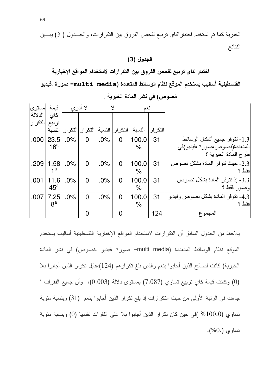الخبرية كما تم استخدم اختبار "كاي تربيع لفحص الفروق بين التكرارات، والجــدول ( 3) يبــين النتائج.

#### الجدول (3)

## اختبار كاي تربيع لفحص الفروق بين التكرارات لاستخدام المواقع الإخبارية

الفلسطينية أساليب يستخدم الموقع نظام الوسائط المتعددة (multi media= صورة ،فيديو=multi media=

| امستوى  | قبمة            | لا أدر ي |                     | $\mathsf{Y}$ |                   | نعم    |          |                                      |
|---------|-----------------|----------|---------------------|--------------|-------------------|--------|----------|--------------------------------------|
| الدلالة | كاي             |          |                     |              |                   |        |          |                                      |
| التكرار | تربيع           |          |                     |              |                   |        |          |                                      |
|         | النسبة          |          | التكر ار   التكر ار |              | التكر ار   النسبة | النسبة | التكر ار |                                      |
| .000    | 23.5            | $.0\%$   | $\overline{0}$      | .0%          | $\overline{0}$    | 100.0  | 31       | 1.3- نتوفر جميع أشكال الوسائط        |
|         | 16 <sup>a</sup> |          |                     |              |                   | %      |          | المتعددة(نصوص،صورة ،فيديو)في         |
|         |                 |          |                     |              |                   |        |          | طرح المادة الخبرية ؟                 |
| .209    | 1.58            | $.0\%$   | $\overline{0}$      | .0%          | $\Omega$          | 100.0  | 31       | 2.3- حيث نتوفر المادة بشكل نصوص      |
|         | 4а              |          |                     |              |                   | %      |          | فقط ؟                                |
| .001    | 11.6            | $.0\%$   | $\overline{0}$      | .0%          | $\overline{0}$    | 100.0  | 31       | 3.3- إذ تتوفَّر المادة بشكل نصوص     |
|         | $45^{\circ}$    |          |                     |              |                   | $\%$   |          | وصور فقط؟                            |
| .007    | 7.25            | .0%      | $\overline{0}$      | .0%          | $\overline{0}$    | 100.0  | 31       | 4.3- تتوفَّر المادة بشكل نصوص وفيديو |
|         | 8 <sup>a</sup>  |          |                     |              |                   | $\%$   |          | فقط ؟                                |
|         |                 |          | 0                   |              | $\Omega$          |        | 124      | المجموع                              |
|         |                 |          |                     |              |                   |        |          |                                      |

### ،نصوص) في نشر المادة الخبرية .

يلاحظ من الجدول السابق أن النكر ارات لاستخدام المواقع الإخبارية الفلسطينية أساليب يستخدم الموقع نظام الوسائط المتعددة (multi media= صورة ،فيديو ،نصوص) في نشر المادة الخبرية) كانت لصالح الذين أجابوا بنعم والذين بلغ نكرارهم (124)مقابل نكرار الذين أجابوا بلا (0) وكانت قيمة كاي نربيع نساوي (7.087) بمستوى دلالة (0.003)، وأن جميع الفقرات " جاءت في الرتبة الأولى من حيث النكرارات إذ بلغ نكرار الذين أجابوا بنعم (31) وبنسبة مئوية نساوي (100.0% )في حين كان نكرار الذين أجابوا بلا على الفقرات نفسها (0) وبنسبة مئوية  $(0.0)$  : تساوى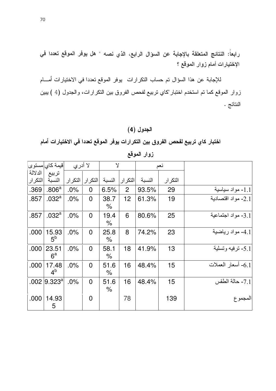رابعاً: النتائج المتعلقة بالإجابة عن السؤال الرابع، الذي نصه " هل يوفر الموقع تعددا في الإختيارات أمام زوار الموقع ؟

للإجابة عن هذا السؤال تم حساب التكرارات يوفر الموقع تعددا في الاختيارات أمـــام زوار الموقع كما تم استخدم اختبار "كاي تربيع لفحص الفروق بين التكرارات، والجدول (4 ) يبين النتائج .

## الجدول (4)

اختبار كاي تربيع لفحص الفروق بين التكرارات يوفر الموقع تعددا في الاختيارات أمام

|                    | قيمة كاي مستوى          | لا أدر ي |                | $\mathsf{Y}$ |                 |        | نعم     |                    |
|--------------------|-------------------------|----------|----------------|--------------|-----------------|--------|---------|--------------------|
| الدلالة<br>التكرار | تربيع<br>النسبة         | التكرار  | االتكرار       | النسبة       | التكر ار        | النسبة | التكرار |                    |
| .369               | .806 <sup>a</sup>       | .0%      | $\overline{0}$ | 6.5%         | $\overline{2}$  | 93.5%  | 29      | 1.1- مواد سياسية   |
| .857               | .032 <sup>a</sup>       | $.0\%$   | $\overline{0}$ | 38.7<br>%    | 12 <sub>2</sub> | 61.3%  | 19      | 2.1- مواد اقتصادية |
| .857               | .032 <sup>a</sup>       | .0%      | $\overline{0}$ | 19.4<br>%    | 6               | 80.6%  | 25      | 3.1- مواد اجتماعية |
| .000               | 15.93<br>$5^{\circ}$    | .0%      | $\overline{0}$ | 25.8<br>%    | 8               | 74.2%  | 23      | 4.1- مواد رياضية   |
| .000               | 23.51<br>$6^a$          | .0%      | $\overline{0}$ | 58.1<br>%    | 18              | 41.9%  | 13      | 5.1- ترفيه وتسلية  |
| .000               | 17.48<br>4 <sup>b</sup> | .0%      | $\overline{0}$ | 51.6<br>$\%$ | 16              | 48.4%  | 15      | 6.1- أسعار العملات |
| .002               | $ 9.323^{\circ} $       | .0%      | $\overline{0}$ | 51.6<br>%    | 16              | 48.4%  | 15      | 7.1- حالة الطقس    |
| .000               | 14.93<br>5              |          | $\Omega$       |              | 78              |        | 139     | المجموع            |

زوار الموقع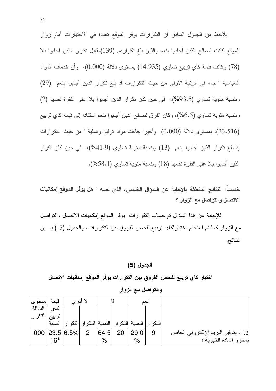يلاحظ من الجدول السابق أن التكرارات يوفر الموقع تعددا في الاختيارات أمام زوار الموقع كانت لصالح الذين أجابوا بنعم والذين بلغ نكرارهم (139)مقابل نكرار الذين أجابوا بلا (78) وكانت قيمة كاي نربيع نساوي (14.935) بمستوى دلالة (0.000)، وأن خدمات المواد السياسية " جاء في الرتبة الأولى من حيث التكرارات إذ بلغ تكرار الذين أجابوا بنعم (29) وبنسبة مئوية تساوى (93.5%)، في حين كان تكرار الذين أجابوا بلا على الفقرة نفسها (2) وبنسبة مئوية تساوى (6.5%)، وكان الفرق لصالح الذين أجابوا بنعم استنادا إلى قيمة كاي تربيع (23.516)، بمستوى دلالة (0.000) وأخيرا جاءت مواد ترفيه وتسلية " من حيث التكرارات إذ بلغ تكرار الذين أجابوا بنعم (13) وبنسبة مئوية تساوي (41.9%)، في حين كان تكرار الذين أجابوا بلا على الفقرة نفسها (18) وبنسبة مئوية تساوي (58.1%).

خامساً: النتائج المتعلقة بالإجابة عن السوّال الخامس، الذي نصه " هل يوفر الموقع إمكانيات الاتصال والتواصل مع الزوار ؟

للإجابة عن هذا السؤال نم حساب النكر ارات بوفر الموقع إمكانيات الانصال والنواصل مع الزوار كما نم استخدم اختبار "كاي نربيع لفحص الفروق بين النكر ارات، والجدول (5 ) يبـــين النتائج.

#### الجدول (5)

اختبار كاى تربيع لفحص الفروق بين التكرارات يوفر الموقع إمكانيات الاتصال والتواصل مع الزوار

| مستوى   | قنمة   | لا أدر ي                                                 |   |      |    |               | نعد |                                      |
|---------|--------|----------------------------------------------------------|---|------|----|---------------|-----|--------------------------------------|
| الدلالة | كاى    |                                                          |   |      |    |               |     |                                      |
| التكرار |        |                                                          |   |      |    |               |     |                                      |
|         | النسية | التكر ار   النسبة  التكر ار   النسبة  التكر ار  التكر ار |   |      |    |               |     |                                      |
|         |        | $.000$   23.5   6.5%                                     | ヮ | 64.5 | 20 | 29.0          |     | [1.2- بتوفير البريد الإلكتروني الخاص |
|         | $16^a$ |                                                          |   | $\%$ |    | $\frac{0}{0}$ |     | بمحرر المادة الخبرية ؟               |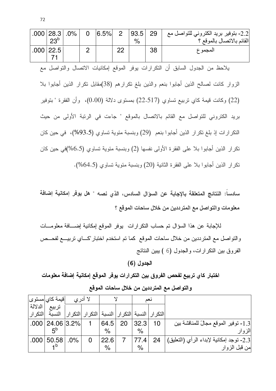|                                                                                        | $.000$   28.3  <br>23 <sup>b</sup>                                                      | .0% | $\overline{0}$ | 6.5% | $\overline{2}$              | 93.5<br>$\%$ | 29 | 2.2- بنوفير بريد الكتروني للتواصل مع<br>القائم بالاتصال بالموقع ؟               |  |  |  |  |
|----------------------------------------------------------------------------------------|-----------------------------------------------------------------------------------------|-----|----------------|------|-----------------------------|--------------|----|---------------------------------------------------------------------------------|--|--|--|--|
|                                                                                        | $.000$ 22.5                                                                             |     | 2 <sup>1</sup> |      | $\overline{\phantom{1}}$ 22 |              | 38 | المجموع                                                                         |  |  |  |  |
|                                                                                        | 71                                                                                      |     |                |      |                             |              |    |                                                                                 |  |  |  |  |
| يلاحظ من الجدول السابق أن التكرارات يوفر الموقع إمكانيات الاتصال والنواصل مع           |                                                                                         |     |                |      |                             |              |    |                                                                                 |  |  |  |  |
|                                                                                        |                                                                                         |     |                |      |                             |              |    |                                                                                 |  |  |  |  |
|                                                                                        | الزوار كانت لصالح الذين أجابوا بنعم والذين بلغ نكرارهم (38)مقابل نكرار الذين أجابوا بلا |     |                |      |                             |              |    |                                                                                 |  |  |  |  |
|                                                                                        | (22) وكانت قيمة كاي نزبيع تساوي (22.517) بمستوى دلالة (0.00)، وأن الفقرة " بتوفير       |     |                |      |                             |              |    |                                                                                 |  |  |  |  |
|                                                                                        |                                                                                         |     |                |      |                             |              |    |                                                                                 |  |  |  |  |
|                                                                                        |                                                                                         |     |                |      |                             |              |    | بريد الكتروني للتواصل مع القائم بالاتصال بالموقع " جاءت في الرتبة الأولى من حيث |  |  |  |  |
|                                                                                        | النكرارات إذ بلغ نكرار الذين أجابوا بنعم (29) وبنسبة مئوية تساوي (93.5%)، في حين كان    |     |                |      |                             |              |    |                                                                                 |  |  |  |  |
| نكرار الذين أجابوا بلا على الفقرة الأولى نفسها (2) وبنسبة مئوية نساوي (6.5%)في حين كان |                                                                                         |     |                |      |                             |              |    |                                                                                 |  |  |  |  |
| نكرار الذين أجابوا بلا على الفقرة الثانية (20) وبنسبة مئوية تساوي (64.5%).             |                                                                                         |     |                |      |                             |              |    |                                                                                 |  |  |  |  |

سادساً: النتائج المتعلقة بالإجابة عن السؤال السادس، الذي نصه " هل يوفر إمكانية إضافة معلومات والتواصل مع المترددين من خلال ساحات الموقع ؟

للإجابة عن هذا السؤال تم حساب النكرارات يوفر الموقع إمكانية إضـــافة معلومـــات والتواصل مع المترددين من خلال ساحات الموقع كما تم استخدم اختبار "كــاي تربيـــع لفحــص الفروق بين التكرارات، والجدول (6 ) يبين النتائج

الجدول (6)

اختبار كاي تربيع لفحص الفروق بين التكرارات يوفر الموقع إمكانية إضافة معلومات والتواصل مع المترددين من خلال ساحات الموقع

|          | $ \varepsilon $ قيمة كاي $ \varepsilon $ مستوى | لا أدر ي |                               |               |    | نعم                  |                            |                                          |
|----------|------------------------------------------------|----------|-------------------------------|---------------|----|----------------------|----------------------------|------------------------------------------|
| الدلالة  | تربيع                                          |          |                               |               |    |                      |                            |                                          |
| االتكرار | النسىة                                         | التكر ار | <mark>ـه</mark>   التكر ار ال | النسبة        |    |                      | التكرار  النسبة  التكرار ا |                                          |
|          | $.000$   24.06 $ 3.2\% $                       |          |                               | 64.5          | 20 | 32.3                 | 10                         | [1.3- توفير الموقع مجالً للمناقشة بين    |
|          |                                                |          |                               | $\frac{0}{2}$ |    | $\frac{1}{\sqrt{2}}$ |                            | الزوار                                   |
|          | $.000$   50.58                                 | $.0\%$   |                               | 22.6          |    |                      | 24                         | 2.3- توجد إمكانية لإبداء الرأي (التعليق) |
|          |                                                |          |                               | $\%$          |    | $\%$                 |                            | من قبل الزوار                            |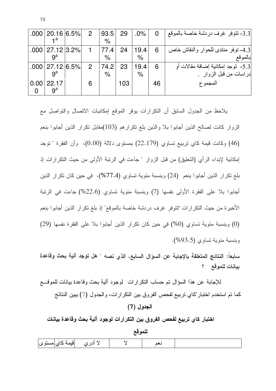|      | $.000$   20.16 $ 6.5\% $<br>⊿a    | $\overline{2}$ | 93.5 <br>$\%$ | 29  | $.0\%$                       | $\Omega$ | 3.3- تتوفر غرف دردشة خاصة بالموقع                            |
|------|-----------------------------------|----------------|---------------|-----|------------------------------|----------|--------------------------------------------------------------|
|      | $.000$   27.12   3.2%  <br>$q^a$  |                | 77.4<br>$\%$  | 24  | 19.4<br>$\%$                 | 6        | 4.3- توفر منتدى للحوار والنقاش خاص<br>بالموقع                |
|      | $.000$   27.12 $ 6.5\% $<br>$q^a$ | $\overline{2}$ | 74.2<br>$\%$  | 23  | 19.4<br>$\frac{1}{\sqrt{2}}$ | 6        | 5.3-  توجد إمكانية إضافة مقالات أو<br>دراسات من قبل الزوار . |
| 0.00 | 22.17<br>$9^a$                    | 6              |               | 103 |                              | 46       | المجموع                                                      |

يلاحظ من الجدول السابق أن التكرارات يوفر الموقع إمكانيات الاتصال والتواصل مع الزوار كانت لصـالـح الذين أجابوا بـلا والذين بلـغ نكرارهم (103)مقابل نكرار الذين أجابوا بنعم (46) وكانت قيمة كاي نربيع تساوي (22.179) بمستوى دلالة (0.00)، وأن الفقرة "نوجد إمكانية لإبداء الرأي (التعليق) من قبل الزوار " جاءت في الرنبة الأولى من حيث النكرارات إذ بلغ تكرار الذين أجابوا بنعم (24) وبنسبة مئوية تساوى (77.4%)، في حين كان تكرار الذين أجابوا بلا على الفقرة الأولى نفسها (7) وبنسبة مئوية تساوى (22.6%) جاءت في الربِّبة الأخيرة من حيث النكرارات "نتوفر غرف دردشة خاصة بالموقع" إذ بلغ نكرار الذين أجابوا بنعم (0) وبنسبة مئوية تساوى (0%) في حين كان تكرار الذين أجابوا بلا على الفقرة نفسها (29) وبنسبة مئوية تساوي (93.5%).

سابعا: النتائج المتعلقة بالإجابة عن السؤال السابع، الذي نصه " هل توجد آلية بحث وقاعدة بيانات للموقع ؟

للإجابة عن هذا السؤال نم حساب النكرارات ۖ لوجود ألية بحث وقاعدة بيانات للموقــــع كما تم استخدم اختبار "كاي تربيع لفحص الفروق بين التكر ارات، والجدول (7) يبين النتائج

الجدول (7)

اختبار كاي تربيع لفحص الفروق بين التكرارات لوجود آلية بحث وقاعدة بيانات

|                                       | للموقع |  |  |  |  |  |  |  |  |  |  |  |
|---------------------------------------|--------|--|--|--|--|--|--|--|--|--|--|--|
| لا أدري <mark>إقيمة كاي</mark>  مستوى |        |  |  |  |  |  |  |  |  |  |  |  |

73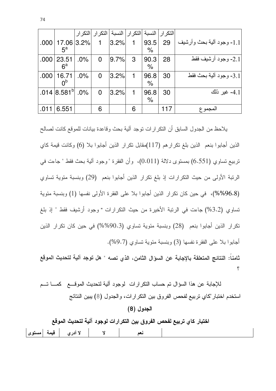|      |                            |        | التكرار  التكرار |           | التكر ار   النسبة |                              | التكر ار   النسبة |                           |
|------|----------------------------|--------|------------------|-----------|-------------------|------------------------------|-------------------|---------------------------|
| .000 | 17.06 3.2%<br>$5^a$        |        |                  | 3.2%      | 1                 | 93.5<br>$\%$                 | 29                | 1.1- وجود ألية بحث وأرشيف |
| .000 | 23.51<br>$6^a$             | $.0\%$ | $\overline{0}$   | 9.7%      | 3                 | 90.3<br>$\%$                 | 28                | 2.1- وجود أرشيف فقط       |
| .000 | 16.71<br>nb                | $.0\%$ | 0                | $ 3.2\% $ | 1                 | 96.8<br>$\frac{1}{\sqrt{2}}$ | 30                | 3.1- وجود ألية بحث فقط    |
|      | .014 $ 8.581^{\circ} $ .0% |        | $\overline{0}$   | 3.2%      | 1                 | 96.8<br>$\%$                 | 30                | 4.1- غير ذلك              |
| .011 | 6.551                      |        | 6                |           | 6                 |                              | 117               | المجموع                   |

يلاحظ من الجدول السابق أن التكر ار ات نوجد آلية بحث وفاعدة بيانات للموقع كانت لصالح الذين أجابوا بنعم الذين بلغ نكرارهم (117)مقابل نكرار الذين أجابوا بلا (6) وكانت قيمة كاي تربيع تساوي (6.551) بمستوى دلالة (0.011)، وأن الفقرة "وجود ألية بحث فقط " جاءت في الرتبة الأولى من حيث التكرارات إذ بلغ نكرار الذين أجابوا بنعم (29) وبنسبة مئوية نساوي (96.8%%)، في حين كان تكرار الذين أجابوا بلا على الفقرة الأولى نفسها (1) وبنسبة مئوية تساوي (3.2%) جاءت في الرتبة الأخيرة من حيث التكرارات " وجود أرشيف فقط " إذ بلغ تكرار الذين أجابوا بنعم (28) وبنسبة مئوية تساوى (90.3%%) في حين كان تكرار الذين أجابوا بلا على الفقرة نفسها (3) وبنسبة مئوية تساوى (9.7%).

ثامناً: النتائج المتعلقة بالإجابة عن السؤال الثامن، الذي نصه " هل توجد آلية لتحديث الموقع

للإجابة عن هذا السؤال تم حساب النكرارات الوجود ألية لتحديث الموقـــع كمـــا تـــم استخدم اختبار "كاي تربيع لفحص الفروق بين النكر ارات، والجدول (8) يبين النتائج

الجدول (8)

اختبار كاي تربيع لفحص الفروق بين التكرارات لوجود آلية لتحديث الموقع

لا أدري | قيمة |مستوى| Y نعم

74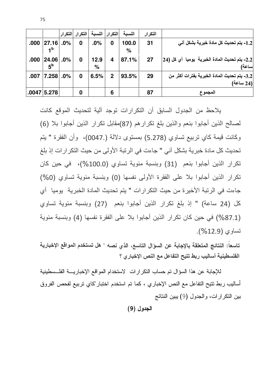|                                                           | التكرار | النسىة        |                | التكرار  النسبة | التكرار  التكرار |        |                          |      |
|-----------------------------------------------------------|---------|---------------|----------------|-----------------|------------------|--------|--------------------------|------|
| 1.2- يتم تحديث كل مادة خبرية بشكل آني                     | 31      | 100.0<br>$\%$ | 0              | .0%             | 0                | $.0\%$ | 27.16 <br>1 <sup>b</sup> | .000 |
| 2.2- يتم تحديث المادة الخبرية  يوميا  أي كل (24 <br>ساعة) | 27      | 87.1%         | 4              | 12.9<br>%       | 0                | .0%    | 24.06<br>5 <sup>b</sup>  | .000 |
| 3.2- يتم تحديث المادة الخبرية بفترات أكثر من<br>(24 ساعة) | 29      | 93.5%         | $\overline{2}$ | 6.5%            | 0                | .0%    | 7.258                    | .007 |
| المجموع                                                   | 87      |               | 6              |                 | 0                |        | $.0047$ 5.278            |      |

75

بلاحظ من الجدول السابق أن النكرارات توجد آلية لتحديث الموقع كانت لمصالح الذين أجابوا بنعم والذين بلغ تكرار هم (87)مقابل تكرار الذين أجابوا بلا (6) وكانت قيمة كاي تربيع تساوي (5.278) بمستوى دلالة (.0047)، وأن الفقرة " يتم تحديث كل مادة خبر ية بشكل آني " جاءت في الر تبة الأو لي من حيث التكر ار ات إذ بلغ تكرار الذين أجابوا بنعم (31) وبنسبة مئوية تساوي (100.0%)، في حين كان تكرار الذين أجابوا بلا على الفقرة الأولى نفسها (0) وبنسبة مئوية تساوى (0%) جاءت في الرئبة الأخير ة من حيث النكر ار ات " يتم تحديث المادة الخبر ية يوميا أي كل (24 ساعة) " إذ بلغ تكرار الذين أجابوا بنعم (27) وبنسبة مئوية تساوي (87.1%) في حين كان تكرار الذين أجابوا بلا على الفقرة نفسها (4) وبنسبة مئوية تساوي (12.9%).

تاسعاً: النتائج المتعلقة بالإجابة عن السوّال التاسع، الذي نصه " هل تستخدم المواقع الإخبارية الفلسطينية أساليب ربط تتيح التفاعل مع النص الإخبار ي؟

للإجابة عن هذا السؤال تم حساب التكرارات الاستخدام المواقع الإخباريــــة الفلـــسطينية أساليب ربط نتيح النفاعل مع النص الإخباري ، كما تم استخدم اختبار "كاي نربيع لفحص الفروق بين النكرارات، والجدول (9) يبين النتائج

الجدول (9)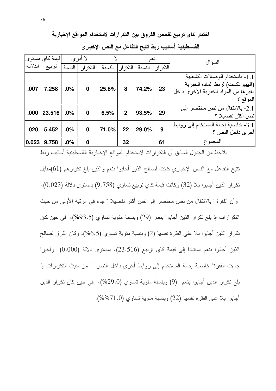اختبار كاي تربيع لفحص الفروق بين التكرارات لاستخدام المواقع الإخبارية

|         | قیمة کای مستوی |        | لا أدر ي         |        |                |        | نعد         | السو ال                                |
|---------|----------------|--------|------------------|--------|----------------|--------|-------------|----------------------------------------|
| الدلالة | تربيع          | النسبة | التكرار          | النسبة | التكرار ا      | النسبة | اللتكر ار ا |                                        |
|         |                |        |                  |        |                |        |             | 1.1- باستخدام الوصلات التشعبية         |
| .007    | 7.258          | $.0\%$ | $\bf{0}$         | 25.8%  | 8              | 74.2%  | 23          | (الهيبر تكست) لربط المادة الخبرية      |
|         |                |        |                  |        |                |        |             | بغير ها من المواد الخبرية الأخر ي داخل |
|         |                |        |                  |        |                |        |             | الموقع ؟                               |
|         |                |        |                  |        |                |        |             | 2.1- بالانتقال من نص مختصر إلى         |
| .000    | 23.516         | .0%    | $\bf{0}$         | 6.5%   | $\overline{2}$ | 93.5%  | 29          | نص أكثر تفصيلا ؟                       |
|         |                |        |                  |        |                |        |             | 3.1- خاصية إحالة المستخدم إلى روابط    |
| .020    | 5.452          | .0%    | $\bf{0}$         | 71.0%  | 22             | 29.0%  | 9           | أخر ي داخل النص ؟                      |
| 0.023   | 9.758          | .0%    | $\boldsymbol{0}$ |        | 32             |        | 61          | المجموع                                |

الفلسطينية أساليب ربط تتيح التفاعل مع النص الإخبار ي

يلاحظ من الجدول السابق أن التكرارات لاستخدام المواقع الإخبارية الفلسطينية أساليب ربط

نتيح التفاعل مع النص الإخباري كانت لصالح الذين أجابوا بنعم والذين بلغ نكرارهم (61)مقابل تكرار الذين أجابوا بلا (32) وكانت فيمة كاي تربيع تساوى (9.758) بمستوى دلالة (0.023)، و أن الفقر ة " بالانتقال من نص مختصر إلى نص أكثر تفصيلا " جاء في الرئبة الأولى من حيث النكرارات إذ بلغ نكرار الذين أجابوا بنعم (29) وبنسبة مئوية تساوى (93.5%)، في حين كان تكرار الذين أجابوا بلا على الفقرة نفسها (2) وبنسبة مئوية تساوى (6.5%)، وكان الفرق لصالح الذين أجابوا بنعم استنادا إلى قيمة كاي نربيع (23.516)، بمستوى دلالة (0.000) وأخيرا جاءت الفقرة" خاصية إحالة المستخدم إلى روابط أخرى داخل النص " من حيث النكرارات إذ بلغ تكرار الذين أجابوا بنعم (9) وبنسبة مئوية تساوى (29.0%)، في حين كان تكرار الذين أجابوا بلا على الفقرة نفسها (22) وبنسبة مئوية تساوى (71.0%%).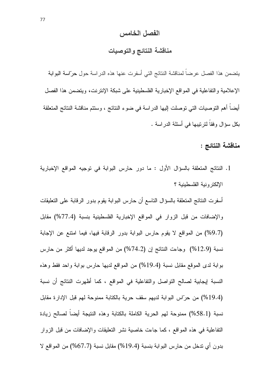#### الفصل الخامس

## مناقشة النتائج والتوصيات

يتضمن هذا الفصل عرضاً لمناقشة النتائج التي أسفرت عنها هذه الدراسة حول حرّاسة البوابة الإعلامية والتفاعلية في المواقع الإخبارية الفلسطينية على شبكة الإنترنت، ويتضمن هذا الفصل أيضاً أهم التوصيات التي توصلت إليها الدراسة في ضوء النتائج ، وستتم مناقشة النتائج المتعلقة بكل سؤال وفقاً لترتيبها في أسئلة الدراسة .

مناقشة النتائج :

1. النتائج المتعلقة بالسؤال الأول : ما دور حارس البوابة في توجيه المواقع الإخبارية الإلكتر ونبة الفلسطبنبة ؟

أسفرت النتائج المتعلقة بالسؤال التاسع أن حارس البوابة يقوم بدور الرقابة على التعليقات والإضافات من قبل الزوار في المواقع الإخبارية الفلسطينية بنسبة (77.4%) مقابل (9.7%) من المواقع لا يقوم حارس البوابة بدور الرقابة فيها، فيما امتنع عن الإجابة نسبة (12.9%) وجاءت النتائج إن (74.2%) من المواقع بوجد لديها أكثر من حارس بوابة لدى الموقع مقابل نسبة (19.4%) من المواقع لديها حارس بوابة واحد فقط وهذه النسبة لِيجابية لصالح النواصل والنفاعلية في المواقع ، كما أظهرت النتائج أن نسبة (19.4%) من حرّاس البوابة لديهم سقف حرية بالكتابة ممنوحة لهم قبل الإدارة مقابل نسبة (58.1%) ممنوحة لمهم الحرية الكاملة بالكتابة وهذه النتيجة أيضاً لصالح زيادة النفاعلية في هذه المواقع ، كما جاءت خاصية نشر النعليقات والإضافات من قبل الزوار بدون أي نتـخل من حارس البوابـة بنسبـة (19.4%) مقابل نسبـة (67.7%) من المواقـع لا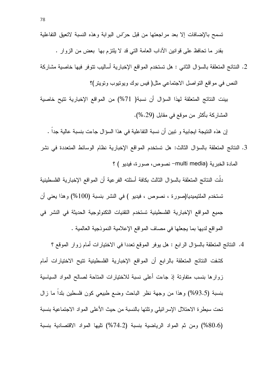2. النتائج المتعلقة بالسؤال الثاني : هل تستخدم المواقع الإخبارية أساليب نتوفر فيها خاصية مشاركة النص في مواقع النواصل الاجتماعي مثل( فيس بوك ويونيوب ونوينر)؟

بينت النتائج المتعلقة لهذا السؤال أن نسبة( 71%) من المواقع الإخبارية تتيح خاصية المشاركة بأكثر من موقع في مقابل (29.%).

إن هذه النتيجة ايجابية و نبين أن نسبة النفاعلية في هذا السؤال جاءت بنسبة عالية جداً .

3. النتائج المتعلقة بالسؤال الثالث: هل تستخدم المواقع الإخبارية نظام الوسائط المتعددة في نشر المادة الخبرية (multi media— نصوص، صورة، فيديو ) ؟

دلَّت النتائج المتعلقة بالسؤال الثالث بكافة أسئلته الفرعية أن المواقع الإخبارية الفلسطينية تستخدم الملتيميديا(صورة ، نصوص ، فيديو ) في النشر بنسبة (100%) وهذا يعني أن جميع المواقع الإخبارية الفلسطينية تستخدم التقنيات التكنولوجية الحديثة في النشر في المواقع لديها بما يجعلها في مصاف المواقع الإعلامية النموذجية العالمية .

4. النتائج المتعلقة بالسؤال الرابع : هل يوفر الموقع نعددا في الاختبارات أمام زوار الموقع ؟ كشفت النتائج المتعلقة بالرابع أن المواقع الإخبارية الفلسطينية نتيح الاختيارات أمام زوارها بنسب متفاونة إذ جاءت أعلى نسبة للاختيارات المتاحة لصالح المواد السياسية بنسبة (93.5%) وهذا من وجهة نظر الباحث وضع طبيعي كون فلسطين بلداً ما زال نحت سيطرة الاحتلال الإسرائيلي ونلتها بالنسبة من حيث الأعلى المواد الاجتماعية بنسبة (80.6%) ومن ثم المواد الرياضية بنسبة (74.2%) تليها المواد الاقتصادية بنسبة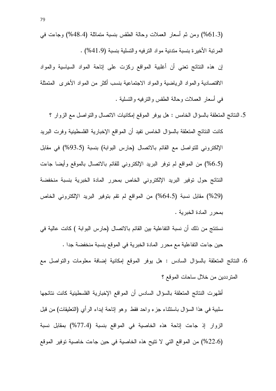(61.3%) ومن ثم أسعار العملات وحالة الطقس بنسبة متماثلة (48.4%) وجاءت في المرتبة الأخيرة بنسبة متدنية مواد الترفيه والتسلية بنسبة (41.9%) .

إن هذه النتائج تعني أن أغلبية المواقع ركزت على إناحة المواد السياسية والمواد الاقتصادية والمواد الرياضية والمواد الاجتماعية بنسب أكثر من المواد الأخرى المتمثلة في أسعار العملات وحالة الطقس والترفيه والتسلية .

- 5. النتائج المتعلقة بالسؤال الخامس : هل يوفر الموقع إمكانيات الاتصال والنواصل مع الزوار ؟ كانت النتائج المتعلقة بالسؤال الخامس تفيد أن المواقع الإخبارية الفلسطينية وفرت البريد الإلكتروني للتواصل مع القائم بالاتصال (حارس البوابة) بنسبة (93.5%) في مقابل (6.5%) من المواقع لم نوفر البريد الإلكتروني للقائم بالانصال بالموقع وأيضا جاءت النتائج حول توفير البريد الإلكتروني الخاص بمحرر المادة الخبرية بنسبة منخفضة (29%) مقابل نسبة (64.5%) من المواقع لم نقم بنوفير البريد الإلكتروني الخاص بمحرر المادة الخبرية .
- نستنتج من ذلك أن نسبة التفاعلية بين القائم بالاتصال (حارس البوابة ) كانت عالية في حين جاءت التفاعلية مع محرر المادة الخبرية في الموقع بنسبة منخفضة جدا .
- 6. النتائج المتعلقة بالسؤال السادس : هل يوفر الموقع إمكانية إضافة معلومات والتواصل مع المنز ددين من خلال ساحات الموقع ؟

أظهرت النتائج المتعلقة بالسؤال السادس أن المواقع الإخبارية الفلسطينية كانت نتائجها سلبية في هذا السؤال باستثناء جزء واحد فقط وهو إناحة إبداء الرأي (النعليقات) من قبل الزوار إذ جاءت إتاحة هذه الخاصية في المواقع بنسبة (77.4%) بمقابل نسبة (22.6%) من المواقع التي لا نتيح هذه الخاصية في حين جاءت خاصية توفير الموقع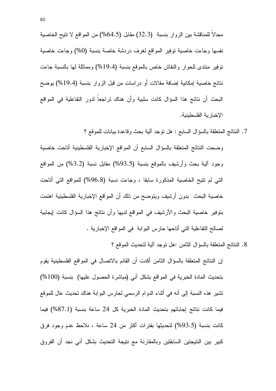مجالاً للمناقشة بين الزوار بنسبة (32.3) مقابل (64.5%) من المواقع لا تتيح الخاصية نفسها وجاءت خاصية توفير المواقع لغرف دردشة خاصة بنسبة (0%) وجاءت خاصية نوفير منتدى للحوار والنقاش خاص بالموقع بنسبة (19.4%) ومماثلة لها بالنسبة جاءت نتائج خاصية إمكانية إضافة مقالات أو دراسات من قبل الزوار بنسبة (19.4%) يوضح البحث أن نتائج هذا السؤال كانت سلبية وأن هناك تراجعاً لدور التفاعلية في المواقع الإخبارية الفلسطينية.

7. النتائج المتعلقة بالسؤال السابع : هل توجد ألية بحث وفاعدة بيانات للموقع ؟

وضحت النتائج المتعلقة بالسؤال السابع أن المواقع الإخبارية الفلسطينية أتاحت خاصية وجود ألية بحث وأرشيف بالموقع بنسبة (93.5%) مقابل نسبة (3.2%) من المواقع التبي لم نتيح الخاصية المذكورة سابقا ، وجاءت نسبة (96.8%) للمواقع التبي أتاحت خاصية البحث بدون أرشيف ويتوضح من ذلك أن المواقع الإخبارية الفلسطينية اهتمت بتوفير خاصية البحث والأرشيف في المواقع لديها وأن نتائج هذا السؤال كانت إيجابية لصالح النفاعلية التي أتاحها حارس البوابة في المواقع الإخبارية .

8. النتائج المتعلقة بالسؤال الثامن :هل نوجد آلية لتحديث الموقع ؟

إن النتائج المتعلقة بالسؤال الثامن أكدت أن القائم بالاتصال في المواقع الفلسطينية يقوم بتحديث المادة الخبرية في المواقع بشكل أني (مباشرة الحصول عليها) بنسبة (100%) نتثير هذه النسبة إلى أنه في أثناء الدوام الرسمي لحارس البوابة هناك نحديث عال للموقع فيما كانت نتائج إجاباتهم بتحديث المادة الخبرية كل 24 ساعة بنسبة (87.1%) فيما كانت بنسبة (93.5%) لتحديثها بفترات أكثر من 24 ساعة ، نلاحظ عدم وجود فرق كبير بين النتيجتين السابقتين وبالمقارنة مع نتيجة التحديث بشكل آني نجد أن الفروق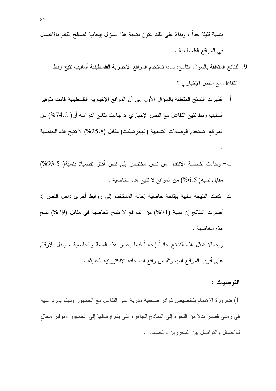- 9. النتائج المتعلقة بالسؤال التاسع: لماذا تستخدم المواقع الإخبارية الفلسطينية أساليب نتيح ربط التفاعل مع النص الإخباري ؟
- أ– أظهرت النتائج المتعلقة بالسؤال الأول إلى أن المواقع الإخبارية الفلسطينية قامت بتوفير أساليب ربط نتيح النفاعل مع النص الإخباري إذ جاءت نتائج الدراسة أن( 74.2%) من المواقع تستخدم الوصلات التشعبية (الهيبرتسكت) مقابل (25.8%) لا تتيح هذه الخاصية
- ب- وجاءت خاصية الانتقال من نص مختصر إلى نص أكثر تفصيلا بنسبة( 93.5%) مقابل نسبة( 6.5%) من المواقع لا نتيح هذه الخاصية .
- ت– كانت النتيجة سلبية بإتاحة خاصية إحالة المستخدم إلى روابط أخرى داخل النص إذ أظهرت النتائج إن نسبة (71%) من المواقع لا نتيح الخاصية في مقابل (29%) نتيح هذه الخاصبة .
- وإجمالا تمثَّل هذه النتائج جانباً إيجابياً فيما يخص هذه السمة والخاصبة ، وندل الأرقام على أقرب المواقع المبحوثة من واقع الصحافة الإلكترونية الحديثة .

#### التوصبات :

 $\ddot{\phantom{0}}$ 

1) ضرورة الاهتمام بتخصيص كوادر صحفية مدربة على التفاعل مع الجمهور وتهتم بالرد عليه في زمني قصير بدلاً من اللجوء إلى النماذج الجاهزة التي يتم إرسالها إلى الجمهور وتوفير مجال للاتصال والنواصل بين المحررين والجمهور .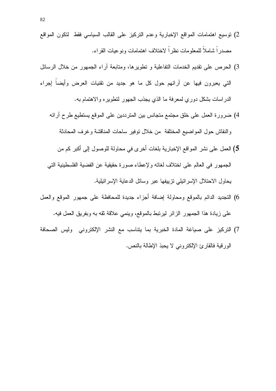- 2) نوسيع اهتمامات المواقع الإخبارية وعدم التركيز على القالب السياسي فقط لتكون المواقع مصدر اً شاملاً للمعلومات نظر اً لاختلاف اهتمامات ونو عيات القر اء.
- 3) الحرص على نقديم الخدمات النفاعلية و نطويرها، ومنابعة أراء الجمهور من خلال الرسائل التبي يعبرون فيها عن أرائهم حول كل ما هو جديد من نقنيات العرض وأيضا إجراء الدر اسات بشكل دوري لمعرفة ما الذي يجذب الجهور لنطوير ه والاهتمام به.
	- 4) ضرورة العمل على خلق مجتمع متجانس بين المترددين على الموقع يستطيع طرح آرائه والنقاش حول المواضيع المختلفة من خلال توفير ساحات المناقشة وغرف المحادثة
	- 5) العمل على نشر المواقع الإخبارية بلغات أخرى في محاولة للوصول إلى أكبر كم من الجمهور ً في العالم على اختلاف لغاته و لإعطاء صور ة حقيقية عن القضيبة الفلسطينية التي يحاول الاحتلال الإسرائيلي نزييفها عبر وسائل الدعاية الإسرائيلية.
- 6) التجديد الدائم بالموقع ومحاولة إضافة أجزاء جديدة للمحافظة على جمهور الموقع والعمل على زيادة هذا الجمهور الزائر ليرتبط بالموقع، وينمي علاقة ثقه به وبفريق العمل فيه.
- 7) التركيز على صياغة المادة الخبرية بما يتناسب مع النشر الإلكتروني وليس الصحافة الورقية فالقارئ الإلكتروني لا يحبذ الإطالة بالنص.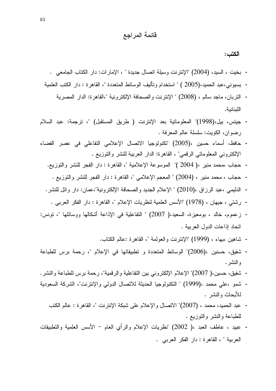## قائمة المراجع

الكتب :

- بخيت ، السيد، (2004) "الإنترنت وسيلة اتصال جديدة " ، الإمارات: دار الكتاب الجامعي .
- بسيوني،عبد الحميد،(2005 ) " استخدام وتأليف الوسائط المتعددة "، القاهرة : دار الكتب العلمية
	- النربان، ماجد سالم ، (2008) " الإنترنت والصحافة الإلكترونية "،القاهرة: الدار المصرية اللينانية.
- جيتس، بيل،(1998)" المعلوماتية بعد الإنترنت ( طريق المستقبل) "، ترجمة: عبد السلام رضوان، الكويت: سلسلة عالم المعرفة .
- حافظ، أسماء حسين ،(2005) "تكنولوجيا الاتصال الإعلامي التفاعلي في عصر الفضاء الإلكتروني المعلوماتي الرقمي" ، القاهرة: الدار العربية للنشر والتوزيع .
	- حجاب ،محمد منير ،( 2004 )" الموسوعة الإعلامية "، القاهر ة : دار الفجر للنشر والنوزيع.
		- حجاب ، محمد منير ، (2004) " المعجم الإعلامي "، القاهرة : دار الفجر للنشر والنوزيع .
	- الدليمي ،عبد الرزاق ،(2010) " الإعلام الجديد والصحافة الإلكترونية"،عمان: دار وائل للنشر .
		- رشتي ، جيهان ، (1978) "الأسس العلمية لنظريات الإعلام "، القاهر ة : دار الفكر العربي .
- زعموم، خالد ، بومعيزة، السعيد،( 2007) " النفاعلية في الإذاعة أشكالها ووسائلها "، نونس: اتحاد إذاعات الدول العربية .
	- شاهين ،بهاء ، (1999) "الإنترنت والعولمة "، القاهرة :عالم الكتاب.
- شفيق، حسنين ،(2006)" الوسائط المتعددة و تطبيقاتها في الإعلام "، رحمة برس للطباعة و النشر .
- شفيق، حسين،( 2007)" الإعلام الإلكتروني بين النفاعلية والرفعية"، رحمة برس للطباعة والنشر .
- شمو ،علي محمد ،(1999) " النكنولوجيا الحديثة للاتصال الدولي والإنترنت"، الشركة السعودية للأبحاث والنشر .
	- عبد الحميد، محمد ، (2007)" الاتصال والإعلام على شبكة الإنترنت "، القاهرة : عالم الكتب للطباعة والنشر والنوزيع .
- عبيد ، عاطف العبد ،( 2002) "نظريات الإعلام والرأي العام الأسس العلمية والنطبيقات العربية "، القاهرة: دار الفكر العربي .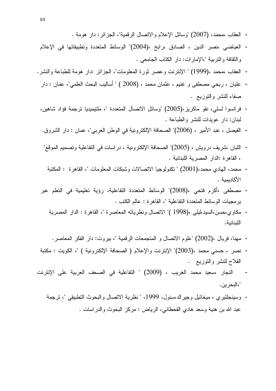- العقاب ،محمد، (2007) "وسائل الإعلام والانصال الرقمية"، الجزائر : دار هومة .
- العياضي ،نصر الدين ، الصادق ،رابح ،(2004)" الوسائط المتعددة وتطبيقاتها في الإعلام و النقافة و النربية "،الإمار ات: دار الكتاب الجامعي .
- العقاب ،محمد ،(1999) " الإنترنت وعصر ثورة المعلومات"، الجزائر :دار هومة للطباعة والنشر .
- عليان ، ربحي مصطفى و غنيم ، عثمان محمد ، (2008 ) " أساليب البحث العلمي"، عمان : دار صفاء للنشر والنوزيع .
- فر انسو ا لسلي، نقو ماكر بز ،(2005) "وسائل الاتصال المتعددة "، ملتبمبديا تر جمة فؤاد شاهبن، لبنان: دار عوبدات للنشر والطباعة .
- الفيصل ، عبد الأمير ، (2006)" الصحافة الإلكترونية في الوطن العربي"، عمان : دار الشروق.
- اللبان ،شريف درويش ، (2005)" الصحافة الإلكترونية ، دراسات في التفاعلية وتصميم الموقع" ، القاهر ة :الدار المصرية اللبنانية .
	- محمد، الـهادي محمد،(2001) " نكنولوجيا الاتصالات وشبكات المعلومات "، القاهر ة : المكتبة الأكاديمية .
- مصطفى ،أكرم فتحي ،(2008)" الوسائط المتعددة التفاعلية، رؤية تعليمية في التعلم عبر بر مجيات الوسائط المتعددة التفاعلية "، القاهر ة : عالم الكتب .
	- مكاوي،حسن،السيد،ليلبي ،(1998 )" الاتصال ونظرياته المعاصرة "، القاهرة : الدار المصرية اللبنانية.
		- مهنا، فريال ،(2002) "علوم الاتصال و المتجمعات الرقمية "، بيروت: دار الفكر المعاصر .
- نصر ، حسني محمد ،(2003)" الإنترنت والإعلام ( الصحافة الإلكترونية ) "، الكويت : مكتبة الفلاح للنشر والنوزيع .
- النجار ،سعيد محمد الغريب ، (2009) " التفاعلية في الصحف العربية على الإنترنت "،البحر ين.
	- وسينجلتيري ، ميخائيل وجيرالد،سنول، 1999، " نظرية الاتصال والبحوث التطبيقي "، نرجمة عبد الله بن هنية وسعد هادي القحطانبي، الرياض : مركز البحوث والدراسات .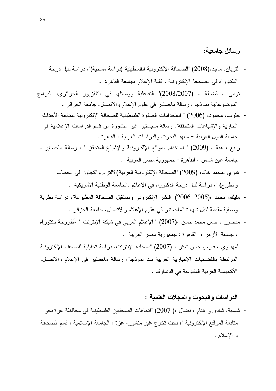## ر سائل جامعية:

- النربان، ماجد،(2008) "الصحافة الإلكترونية الفلسطينية (دراسة مسحية)"، دراسة لنيل درجة الدكتوراه في الصحافة الإلكترونية ، كلية الإعلام ،جامعة القاهرة .
- تومي ، فضبلة ، (2007/2007)" التفاعلية ووسائلها في التلفزيون الجزائري، البرامج الموضو عاتية نمو ذجا"، ر سالة ماجستير ً في علوم الإعلام و الاتصال، جامعة الجز ائر .
	- خلوف، محمود، (2006) " استخدامات الصفوة الفلسطينية للصحافة الإلكتر ونية لمتابعة الأحداث الجارية والإشباعات المتحققة"، رسالة ماجستير غير منشورة من قسم الدراسات الإعلامية في جامعة الدول العربية – معهد البحوث والدراسات العربية : القاهرة .
	- ربيع ، هبة ، (2009) " استخدام المواقع الإلكترونية والإشباع المتحقق " ، رسالة ماجستير ، جامعة عين شمس ، القاهرة : جمهورية مصر العربية .
		- غازي ،محمد خالد، (2009) "الصحافة الإلكترونية العربية(الالتزام والتجاوز في الخطاب والطرح) "، دراسة لنيل درجة الدكتوراه في الإعلام ،الجامعة الوطنية الأمريكية .
	- مليك، محمد ،(2005–2006) "النشر الإلكتروني ومستقبل الصحافة المطبوعة"، در اسة نظرية وصفية مقدمة لنيل شهادة الماجستير في علوم الإعلام والاتصال، جامعة الجزائر .
	- منصور ، حسن محمد حسن ،(2007) " الإعلام العربي في شبكة الإنترنت " ،أطروحة دكتوراه ، جامعة الأزهر ، القاهرة : جمهورية مصر العربية .
	- المهداوي ، فارس حسن شكر ، (2007) "صحافة الإنترنت، در اسة تحليلية للصحف الإلكترونية المرتبطة بالفضائيات الإخبارية العربية نت نموذجا"، رسالة ماجستير في الإعلام والاتصال، الأكاديمية العربية المفتوحة في الدنمارك .

#### الدر اسات و اليجو ث و المجلات العلمية :

- شامية، شادي و غنام ، نضـال ،( 2007) "اتجاهات الصـحفيين الفلسطينية في محافظة غز ة نـحو متابعة المواقع الإلكترونية "، بحث تخرج غير منشور ، غزة : الجامعة الإسلامية ، قسم الصحافة و الإعلام .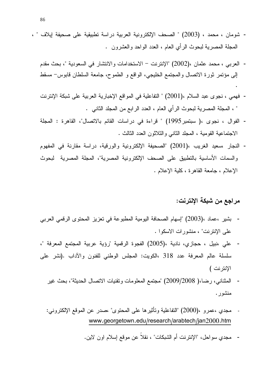- شومان ، محمد ، (2003) " الصحف الإلكترونية العربية دراسة تطبيقية على صحيفة إيلاف " ، المجلَّة المصـرية لبحوث الرأي العام ، العدد الواحد والعشرون .
	- العربي ، محمد عثمان ،(2002) "الإنترنت الاستخدامات والانتشار في السعودية "، بحث مقدم إلى مؤتمر ثورة الاتصال والمجتمع الخليجي، الواقع و الطموح، جامعة السلطان قابوس- مسقط
	- فهمي ، نجوى عبد السلام ،(2001) " النفاعلية في المواقع الإخبارية العربية على شبكة الإنترنت " ، المجلة المصرية لبحوث الرأى العام ، العدد الرابع من المجلد الثاني .
	- الفوال ، نجوى ،( سبتمبر1995) " قراءة في دراسات القائم بالاتصال"، القاهرة : المجلة الاجتماعية القومية ، المجلد الثاني والثلاثون العدد الثالث .
	- النجار ،سعيد الغريب ،(2001) "الصحيفة الإلكترونية والورقية، دراسة مقارنة في المفهوم والسمات الأساسية بالنطبيق على الصحف الإلكترونية المصرية"، المجلة المصرية لبحوث الإعلام ، جامعة القاهر ة ، كلية الإعلام .

### مراجع من شبكة الإنترنت:

- بشير ،عماد ،(2003) "إسهام الصحافة اليومية المطبوعة في تعزيز المحتوى الرقمي العربي على الإنترنت" ، منشورات الاسكوا .
- على ،نبيل ، حجازي، نادية ،(2005) الفجوة الرقمية "رؤية عربية المجتمع المعرفة "، سلسلة عالم المعرفة عدد 318 ،الكويت: المجلس الوطني للفنون والآداب .(نشر على الإنتر نت )
	- المثناني، رضا،( 2009/2008) "مجتمع المعلومات ونقنيات الاتصال الحديثة"، بحث غير منشور .
	- مجدى ،عمرو ،(2000) "النفاعلية وتأثيرها على المحتوى" ،صدر عن الموقع الإلكتروني: www.georgetown.edu/research/arabtech/jan2000.htm
		- مجدى سواحل، "الإنترنت أم الشبكات" ، نقلاً عن موقع إسلام اون لاين.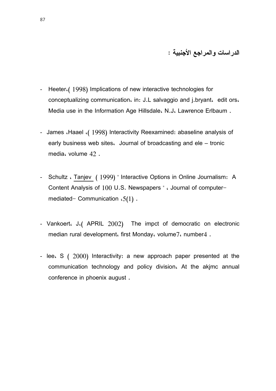### الدراسات والمراجع الأجنبية :

- Heeter.(1998) Implications of new interactive technologies for  $\blacksquare$ conceptualizing communication, in: J.L salvaggio and j.bryant, edit ors, Media use in the Information Age Hillsdale. N.J. Lawrence Erlbaum.
- James Maael (1998) Interactivity Reexamined: abaseline analysis of early business web sites. Journal of broadcasting and ele – tronic media، volume 42.
- Schultz WTanjev (1999) "Interactive Options in Online Journalism: A Content Analysis of 100 U.S. Newspapers " . Journal of computermediated- Communication  $.5(1)$ .
- Vankoert،  $J($  APRIL  $2002$ ) The impct of democratic on electronic median rural development. first Monday. volume7. number4.
- lee.  $\mathsf{S}$  ( 2000) Interactivity: a new approach paper presented at the communication technology and policy division. At the akimc annual conference in phoenix august.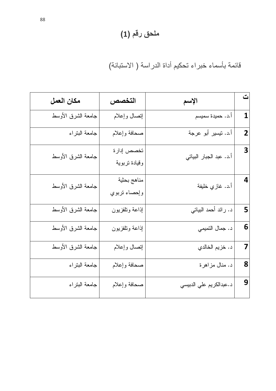# ملحق رقم (1)

قائمة بأسماء خبراء تحكيم أداة الدراسة ( الاستبانة)

| مكان العمل         | التخصص                      | الإسم                   | $\ddot{\underline{\phantom{a}}}\phantom{\ddot{\phantom{a}}}\phantom{\ddot{\phantom{a}}}\phantom{\ddot{\phantom{a}}}\phantom{\ddot{\phantom{a}}}\phantom{\ddot{\phantom{a}}}\phantom{\ddot{\phantom{a}}}\phantom{\dddot{\phantom{a}}}\phantom{\dddot{\phantom{a}}}\phantom{\dddot{\phantom{a}}}\phantom{\dddot{\phantom{a}}}\phantom{\dddot{\phantom{a}}}\phantom{\dddot{\phantom{a}}}\phantom{\dddot{\phantom{a}}}\phantom{\dddot{\phantom{a}}}\phantom{\dddot{\phantom{a}}}\phantom{\dddot{\phantom{a}}}\phantom{\dddot{\phantom{a}}}\phantom{\dd$ |
|--------------------|-----------------------------|-------------------------|-----------------------------------------------------------------------------------------------------------------------------------------------------------------------------------------------------------------------------------------------------------------------------------------------------------------------------------------------------------------------------------------------------------------------------------------------------------------------------------------------------------------------------------------------------|
| جامعة الشرق الأوسط | إتصال وإعلام                | أ.د. حميدة سميسم        | 1                                                                                                                                                                                                                                                                                                                                                                                                                                                                                                                                                   |
| جامعة البتراء      | صحافة وإعلام                | أ.د. تيسير أبو عرجة     | $\overline{2}$                                                                                                                                                                                                                                                                                                                                                                                                                                                                                                                                      |
| جامعة الشرق الأوسط | تخصص إدارة<br>وقيادة تربوية | أ.د. عبد الجبار البياتي | 3                                                                                                                                                                                                                                                                                                                                                                                                                                                                                                                                                   |
| جامعة الشرق الأوسط | مناهج بحثية<br>وإحصاء نزبوي | أ.د. غازي خليفة         | 4                                                                                                                                                                                                                                                                                                                                                                                                                                                                                                                                                   |
| جامعة الشرق الأوسط | إذاعة ونلفزيون              | د. رائد أحمد البياتي    | 5                                                                                                                                                                                                                                                                                                                                                                                                                                                                                                                                                   |
| جامعة الشرق الأوسط | إذاعة ونلفزيون              | د. جمال النميمي         | 6                                                                                                                                                                                                                                                                                                                                                                                                                                                                                                                                                   |
| جامعة الشرق الأوسط | إنصال وإعلام                | د. خزيم الخالد <i>ي</i> | 7                                                                                                                                                                                                                                                                                                                                                                                                                                                                                                                                                   |
| جامعة البتراء      | صحافة وإعلام                | د. منال مزاهرة          | 8                                                                                                                                                                                                                                                                                                                                                                                                                                                                                                                                                   |
| جامعة البتراء      | صحافة وإعلام                | د.عبدالكريم علي الدبيسي | 9                                                                                                                                                                                                                                                                                                                                                                                                                                                                                                                                                   |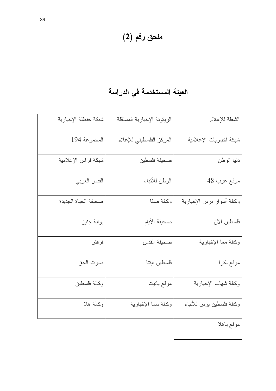# ملحق رقم (2)

# العينة المستخدمة في الدراسة

| شبكة حنظلة الإخبارية | الزيتونة الإخبارية المستقلة | الشعلة للإعلام            |
|----------------------|-----------------------------|---------------------------|
| المجموعة 194         | المركز الفلسطيني للإعلام    | شبكة اخباريات الإعلامية   |
| شبكة فراس الإعلامية  | صحيفة فلسطين                | دنيا الوطن                |
| القدس العربي         | الوطن للأنباء               | موقع عرب 48               |
| صحبفة الحباة الجدبدة | وكالة صفا                   | وكالة أسوار برس الإخبارية |
| بوابة جنين           | صحيفة الأيام                | فلسطين الآن               |
| فرفش                 | صحيفة القدس                 | وكالة معا الإخبارية       |
| صوت الحق             | فلسطين بيتنا                | موقع بكرا                 |
| وكالة فلسطين         | موقع بانيت                  | وكالة شهاب الإخبارية      |
| وكالة هلا            | وكالة سما الإخبارية         | وكالة فلسطين برس للأنباء  |
|                      |                             | موقع ياهلا                |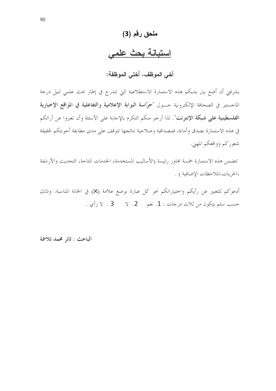## ملحق رقم (3)

## استبانة بحث علمى

أخى الموظف، أختى الموظفة:

يشرفني أن أضع بين يديكم هذه الاستمارة الاستطلاعية التي تندرج في إطار بحث علمي لنيل درجة الماحستير في الصحافة الإلكترونية حــول "حرّاسة البوابة الإعلامية والتفاعلية في المواقع الإخبارية ا**لفلسطينية على شبكة الإنترنت**". لذا أرحو منكم التكرم بالإحابة على الأسئلة وأن تعبروا عن آرائكم في هذه الاستمارة بصدق وأمانة، فمصداقية وصلاحية نتائجها تتوقف على مدى مطابقة أجوبتكم لحقيقة شعوركم وواقعكم المهني.

تتضمن هذه الاستمارة خمسة محاور رئيسة (الأساليب المستخدمة، الخدمات المتاحة، التحديث والأرشفة ،الحريات،الملاحظات الإضافية ) .

أدعوكم للتعبير عن رأيكم واحتياراتكم نحو كل عبارة بوضع علامة (X) في الخانة المناسبة. وذلك حسب سلم يتكون من ثلاث درجات : 1. نعم هـ 2. لا مـ 3 . لا رأي .

الباحث : ثائر محمد تلاحمة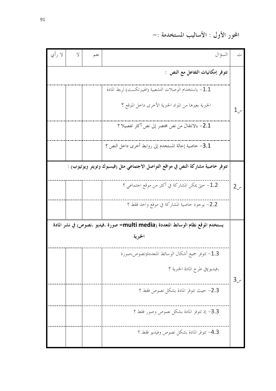المحور الأول : الأساليب المستخدمة :–

| ت            | السؤ ال                                                                            | نعم | $\vee$ | لا رأي |
|--------------|------------------------------------------------------------------------------------|-----|--------|--------|
|              | تتوفر إمكانيات التفاعل مع النص :                                                   |     |        |        |
|              | باستخدام الوصلات التشعبية (الهيبرتكست) لربط المادة $-1.1$                          |     |        |        |
| $1_{\cdot}$  | الخبرية بغيرها من المواد الخبرية الأخرى داخل الموقع ؟                              |     |        |        |
|              | 2.1– بالانتقال من نص مختصر إلى نص أكثر تفصيلا ؟                                    |     |        |        |
|              | 3.1- خاصية إحالة المستخدم إلى روابط أخرى داخل النص ؟                               |     |        |        |
|              | تتوفر خاصية مشاركة النص في مواقع التواصل الاجتماعي مثل (فيسبوك وتويتر ويوتيوب) :   |     |        |        |
| $2_{\omega}$ | 1.2– حتى يمكن المشاركة في أكثر من موقع احتماعي ؟                                   |     |        |        |
|              | 2.2- بوجود خاصية المشاركة في موقع واحد فقط ؟                                       |     |        |        |
|              | يستخدم الموقع نظام الوسائط المتعددة (multi media= صورة ،فيديو ،نصوص) في نشر المادة |     |        |        |
|              | الحجبرية                                                                           |     |        |        |
|              | 1.3– تتوفر جميع أشكال الوسائط المتعددة(نصوص،صورة                                   |     |        |        |
| $3_{\nu}$    | ،فيديو)في طرح المادة الخبرية ؟                                                     |     |        |        |
|              | 2.3- حيث تتوفر المادة بشكل نصوص فقط ؟                                              |     |        |        |
|              | 3.3- إذ تتوفر المادة بشكل نصوص وصور فقط ؟                                          |     |        |        |
|              | 4.3- تتوفر المادة بشكل نصوص وفيديو فقط ؟                                           |     |        |        |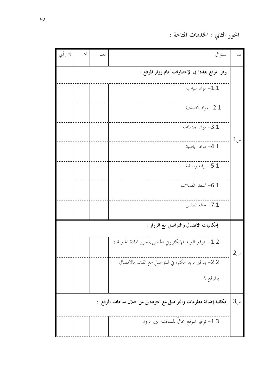المحور الثاني : الحْدمات المتاحة :–

| لا رأي | $\vee$ | نعم | السؤال                                                              | ت                |
|--------|--------|-----|---------------------------------------------------------------------|------------------|
|        |        |     | يوفر الموقع تعددا في الإختيارات أمام زوار الموقع :                  |                  |
|        |        |     | مواد سياسية $-1.1$                                                  |                  |
|        |        |     | مواد اقتصادية $-2.1$                                                |                  |
|        |        |     | مواد احتماعية – $3.1\,$                                             |                  |
|        |        |     | 4.1- مواد رياضية                                                    | $1\mathcal{L}$ س |
|        |        |     | ترفيه وتسلية $-5.1$                                                 |                  |
|        |        |     | ـ6.1 أسعار العملات                                                  |                  |
|        |        |     | حالة الطقس — $7.1$                                                  |                  |
|        |        |     | إمكانيات الاتصال والتواصل مع الزوار :                               |                  |
|        |        |     | 1.2- بتوفير البريد الإلكتروني الخاص بمحرر المادة الخبرية ؟          | $2_{\nu}$        |
|        |        |     | 2.2– بتوفير بريد الكتروني للتواصل مع القائم بالاتصال                |                  |
|        |        |     | بالموقع ؟                                                           |                  |
|        |        |     | إمكانية إضافة معلومات والتواصل مع المترددين من خلال ساحات الموقع  : | 3 <sub>cm</sub>  |
|        |        |     | 1.3- توفير الموقع مجالُ للمناقشة بين الزوار                         |                  |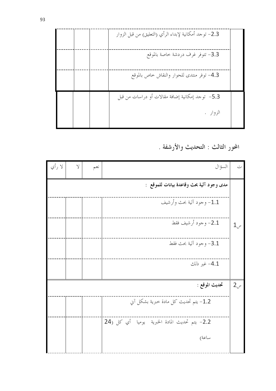| 3.3- تتوفر غرف دردشة خاصة بالموقع                |          |  |
|--------------------------------------------------|----------|--|
| 4.3- توفر منتدى للحوار والنقاش خاص بالموقع       |          |  |
| 5.3–  توجد إمكانية إضافة مقالات أو دراسات من قبل |          |  |
|                                                  | الزوار . |  |

المحور الثالث : التحديث والأرشفة .

| لا رأي | $\vee$ | نعم | السؤال                                        | ت            |
|--------|--------|-----|-----------------------------------------------|--------------|
|        |        |     | مدى وجود آلية بحث وقاعدة بيانات للموقع :      |              |
|        |        |     | 1.1- وجود آلية بحث وأرشيف                     |              |
|        |        |     | 2.1- وجود أرشيف فقط                           | $1_{\omega}$ |
|        |        |     | 3.1- وجود آلية بحث فقط                        |              |
|        |        |     | 4.1- غير ذلك                                  |              |
|        |        |     | تحديث الموقع :                                | $2\omega$    |
|        |        |     | 1.2- يتم تحديث كل مادة خبرية بشكل آني         |              |
|        |        |     | 2.2- يتم تحديث المادة الخبرية يوميا أي كل (24 |              |
|        |        |     | ساعة)                                         |              |